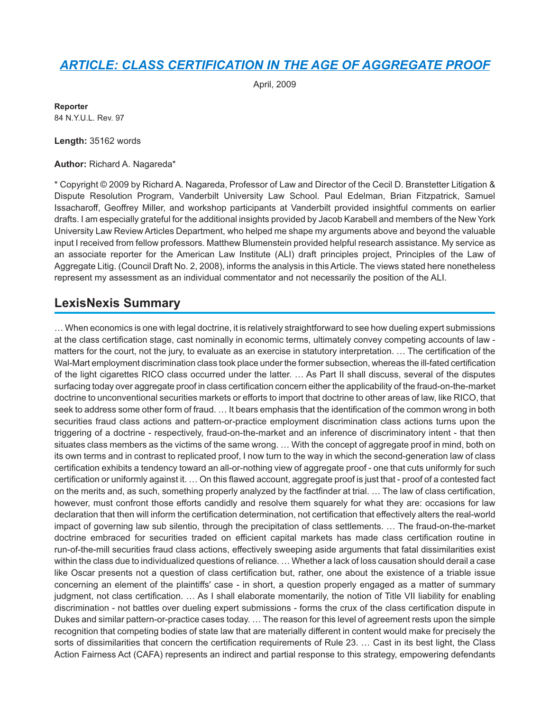# *[ARTICLE: CLASS CERTIFICATION IN THE AGE OF AGGREGATE PROOF](http://advance.lexis.com/api/document?collection=analytical-materials&id=urn:contentItem:4W3Y-VH40-02BN-116D-00000-00&context=1000516)*

April, 2009

**Reporter** 84 N.Y.U.L. Rev. 97

**Length:** 35162 words

**Author:** Richard A. Nagareda\*

\* Copyright © 2009 by Richard A. Nagareda, Professor of Law and Director of the Cecil D. Branstetter Litigation & Dispute Resolution Program, Vanderbilt University Law School. Paul Edelman, Brian Fitzpatrick, Samuel Issacharoff, Geoffrey Miller, and workshop participants at Vanderbilt provided insightful comments on earlier drafts. I am especially grateful for the additional insights provided by Jacob Karabell and members of the New York University Law Review Articles Department, who helped me shape my arguments above and beyond the valuable input I received from fellow professors. Matthew Blumenstein provided helpful research assistance. My service as an associate reporter for the American Law Institute (ALI) draft principles project, Principles of the Law of Aggregate Litig. (Council Draft No. 2, 2008), informs the analysis in this Article. The views stated here nonetheless represent my assessment as an individual commentator and not necessarily the position of the ALI.

## **LexisNexis Summary**

… When economics is one with legal doctrine, it is relatively straightforward to see how dueling expert submissions at the class certification stage, cast nominally in economic terms, ultimately convey competing accounts of law matters for the court, not the jury, to evaluate as an exercise in statutory interpretation. … The certification of the Wal-Mart employment discrimination class took place under the former subsection, whereas the ill-fated certification of the light cigarettes RICO class occurred under the latter. … As Part II shall discuss, several of the disputes surfacing today over aggregate proof in class certification concern either the applicability of the fraud-on-the-market doctrine to unconventional securities markets or efforts to import that doctrine to other areas of law, like RICO, that seek to address some other form of fraud. … It bears emphasis that the identification of the common wrong in both securities fraud class actions and pattern-or-practice employment discrimination class actions turns upon the triggering of a doctrine - respectively, fraud-on-the-market and an inference of discriminatory intent - that then situates class members as the victims of the same wrong. … With the concept of aggregate proof in mind, both on its own terms and in contrast to replicated proof, I now turn to the way in which the second-generation law of class certification exhibits a tendency toward an all-or-nothing view of aggregate proof - one that cuts uniformly for such certification or uniformly against it. … On this flawed account, aggregate proof is just that - proof of a contested fact on the merits and, as such, something properly analyzed by the factfinder at trial. … The law of class certification, however, must confront those efforts candidly and resolve them squarely for what they are: occasions for law declaration that then will inform the certification determination, not certification that effectively alters the real-world impact of governing law sub silentio, through the precipitation of class settlements. … The fraud-on-the-market doctrine embraced for securities traded on efficient capital markets has made class certification routine in run-of-the-mill securities fraud class actions, effectively sweeping aside arguments that fatal dissimilarities exist within the class due to individualized questions of reliance. … Whether a lack of loss causation should derail a case like Oscar presents not a question of class certification but, rather, one about the existence of a triable issue concerning an element of the plaintiffs' case - in short, a question properly engaged as a matter of summary judgment, not class certification. … As I shall elaborate momentarily, the notion of Title VII liability for enabling discrimination - not battles over dueling expert submissions - forms the crux of the class certification dispute in Dukes and similar pattern-or-practice cases today. … The reason for this level of agreement rests upon the simple recognition that competing bodies of state law that are materially different in content would make for precisely the sorts of dissimilarities that concern the certification requirements of Rule 23. … Cast in its best light, the Class Action Fairness Act (CAFA) represents an indirect and partial response to this strategy, empowering defendants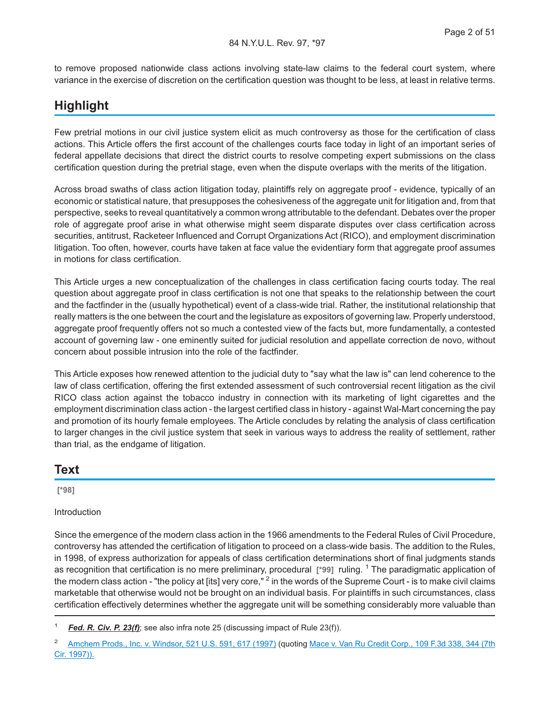to remove proposed nationwide class actions involving state-law claims to the federal court system, where variance in the exercise of discretion on the certification question was thought to be less, at least in relative terms.

## **Highlight**

Few pretrial motions in our civil justice system elicit as much controversy as those for the certification of class actions. This Article offers the first account of the challenges courts face today in light of an important series of federal appellate decisions that direct the district courts to resolve competing expert submissions on the class certification question during the pretrial stage, even when the dispute overlaps with the merits of the litigation.

Across broad swaths of class action litigation today, plaintiffs rely on aggregate proof - evidence, typically of an economic or statistical nature, that presupposes the cohesiveness of the aggregate unit for litigation and, from that perspective, seeks to reveal quantitatively a common wrong attributable to the defendant. Debates over the proper role of aggregate proof arise in what otherwise might seem disparate disputes over class certification across securities, antitrust, Racketeer Influenced and Corrupt Organizations Act (RICO), and employment discrimination litigation. Too often, however, courts have taken at face value the evidentiary form that aggregate proof assumes in motions for class certification.

This Article urges a new conceptualization of the challenges in class certification facing courts today. The real question about aggregate proof in class certification is not one that speaks to the relationship between the court and the factfinder in the (usually hypothetical) event of a class-wide trial. Rather, the institutional relationship that really matters is the one between the court and the legislature as expositors of governing law. Properly understood, aggregate proof frequently offers not so much a contested view of the facts but, more fundamentally, a contested account of governing law - one eminently suited for judicial resolution and appellate correction de novo, without concern about possible intrusion into the role of the factfinder.

This Article exposes how renewed attention to the judicial duty to "say what the law is" can lend coherence to the law of class certification, offering the first extended assessment of such controversial recent litigation as the civil RICO class action against the tobacco industry in connection with its marketing of light cigarettes and the employment discrimination class action - the largest certified class in history - against Wal-Mart concerning the pay and promotion of its hourly female employees. The Article concludes by relating the analysis of class certification to larger changes in the civil justice system that seek in various ways to address the reality of settlement, rather than trial, as the endgame of litigation.

### **Text**

**[\*98]**

#### Introduction

Since the emergence of the modern class action in the 1966 amendments to the Federal Rules of Civil Procedure, controversy has attended the certification of litigation to proceed on a class-wide basis. The addition to the Rules, in 1998, of express authorization for appeals of class certification determinations short of final judgments stands as recognition that certification is no mere preliminary, procedural [\*99] ruling. <sup>1</sup> The paradigmatic application of the modern class action - "the policy at [its] very core," <sup>2</sup> in the words of the Supreme Court - is to make civil claims marketable that otherwise would not be brought on an individual basis. For plaintiffs in such circumstances, class certification effectively determines whether the aggregate unit will be something considerably more valuable than

<sup>1</sup> *Fed. R. Civ. P. 23(f)*; see also infra note 25 (discussing impact of Rule 23(f)).

<sup>&</sup>lt;sup>2</sup> [Amchem Prods., Inc. v. Windsor, 521 U.S. 591, 617 \(1997\)](http://advance.lexis.com/api/document?collection=cases&id=urn:contentItem:3RV9-HGW0-003B-R17N-00000-00&context=1000516) (quoting [Mace v. Van Ru Credit Corp., 109 F.3d 338, 344 \(7th](http://advance.lexis.com/api/document?collection=cases&id=urn:contentItem:3S4X-HYP0-00B1-D4S0-00000-00&context=1000516) [Cir. 1997\)\).](http://advance.lexis.com/api/document?collection=cases&id=urn:contentItem:3S4X-HYP0-00B1-D4S0-00000-00&context=1000516)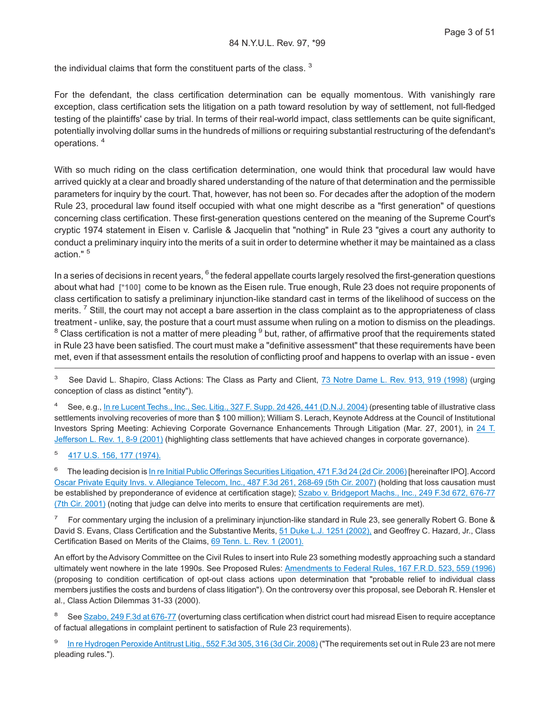the individual claims that form the constituent parts of the class.<sup>3</sup>

For the defendant, the class certification determination can be equally momentous. With vanishingly rare exception, class certification sets the litigation on a path toward resolution by way of settlement, not full-fledged testing of the plaintiffs' case by trial. In terms of their real-world impact, class settlements can be quite significant, potentially involving dollar sums in the hundreds of millions or requiring substantial restructuring of the defendant's operations. <sup>4</sup>

With so much riding on the class certification determination, one would think that procedural law would have arrived quickly at a clear and broadly shared understanding of the nature of that determination and the permissible parameters for inquiry by the court. That, however, has not been so. For decades after the adoption of the modern Rule 23, procedural law found itself occupied with what one might describe as a "first generation" of questions concerning class certification. These first-generation questions centered on the meaning of the Supreme Court's cryptic 1974 statement in Eisen v. Carlisle & Jacquelin that "nothing" in Rule 23 "gives a court any authority to conduct a preliminary inquiry into the merits of a suit in order to determine whether it may be maintained as a class action." <sup>5</sup>

In a series of decisions in recent years, <sup>6</sup> the federal appellate courts largely resolved the first-generation questions about what had **[\*100]** come to be known as the Eisen rule. True enough, Rule 23 does not require proponents of class certification to satisfy a preliminary injunction-like standard cast in terms of the likelihood of success on the merits. <sup>7</sup> Still, the court may not accept a bare assertion in the class complaint as to the appropriateness of class treatment - unlike, say, the posture that a court must assume when ruling on a motion to dismiss on the pleadings.  $^8$  Class certification is not a matter of mere pleading  $^9$  but, rather, of affirmative proof that the requirements stated in Rule 23 have been satisfied. The court must make a "definitive assessment" that these requirements have been met, even if that assessment entails the resolution of conflicting proof and happens to overlap with an issue - even

<sup>3</sup> See David L. Shapiro, Class Actions: The Class as Party and Client, [73 Notre Dame L. Rev. 913, 919 \(1998\)](http://advance.lexis.com/api/document?collection=analytical-materials&id=urn:contentItem:3T9H-JN20-00CT-S003-00000-00&context=1000516) (urging conception of class as distinct "entity").

<sup>4</sup> See, e.g., [In re Lucent Techs., Inc., Sec. Litig., 327 F. Supp. 2d 426, 441 \(D.N.J. 2004\)](http://advance.lexis.com/api/document?collection=cases&id=urn:contentItem:4CYD-VK60-0038-Y1PC-00000-00&context=1000516) (presenting table of illustrative class settlements involving recoveries of more than \$ 100 million); William S. Lerach, Keynote Address at the Council of Institutional Investors Spring Meeting: Achieving Corporate Governance Enhancements Through Litigation (Mar. 27, 2001), in [24 T.](http://advance.lexis.com/api/document?collection=analytical-materials&id=urn:contentItem:4697-F1V0-00CV-V013-00000-00&context=1000516) [Jefferson L. Rev. 1, 8-9 \(2001\)](http://advance.lexis.com/api/document?collection=analytical-materials&id=urn:contentItem:4697-F1V0-00CV-V013-00000-00&context=1000516) (highlighting class settlements that have achieved changes in corporate governance).

5 [417 U.S. 156, 177 \(1974\).](http://advance.lexis.com/api/document?collection=cases&id=urn:contentItem:3RJ6-FCY0-003B-S001-00000-00&context=1000516)

6 The leading decision is [In re Initial Public Offerings Securities Litigation, 471 F.3d 24 \(2d Cir. 2006\)](http://advance.lexis.com/api/document?collection=cases&id=urn:contentItem:4MHB-1K20-0038-X0JC-00000-00&context=1000516) [hereinafter IPO]. Accord [Oscar Private Equity Invs. v. Allegiance Telecom, Inc., 487 F.3d 261, 268-69 \(5th Cir. 2007\)](http://advance.lexis.com/api/document?collection=cases&id=urn:contentItem:4NRV-99D0-0038-X1BG-00000-00&context=1000516) (holding that loss causation must be established by preponderance of evidence at certification stage); [Szabo v. Bridgeport Machs., Inc., 249 F.3d 672, 676-77](http://advance.lexis.com/api/document?collection=cases&id=urn:contentItem:430G-H570-0038-X2F5-00000-00&context=1000516) [\(7th Cir. 2001\)](http://advance.lexis.com/api/document?collection=cases&id=urn:contentItem:430G-H570-0038-X2F5-00000-00&context=1000516) (noting that judge can delve into merits to ensure that certification requirements are met).

7 For commentary urging the inclusion of a preliminary injunction-like standard in Rule 23, see generally Robert G. Bone & David S. Evans, Class Certification and the Substantive Merits, [51 Duke L.J. 1251 \(2002\),](http://advance.lexis.com/api/document?collection=analytical-materials&id=urn:contentItem:45S3-N9R0-00CV-5267-00000-00&context=1000516) and Geoffrey C. Hazard, Jr., Class Certification Based on Merits of the Claims, [69 Tenn. L. Rev. 1 \(2001\).](http://advance.lexis.com/api/document?collection=analytical-materials&id=urn:contentItem:45RF-2YC0-00CW-11G8-00000-00&context=1000516)

An effort by the Advisory Committee on the Civil Rules to insert into Rule 23 something modestly approaching such a standard ultimately went nowhere in the late 1990s. See Proposed Rules: [Amendments to Federal Rules, 167 F.R.D. 523, 559 \(1996\)](http://advance.lexis.com/api/document?collection=cases&id=urn:contentItem:3S4N-KG50-006F-P0KT-00000-00&context=1000516) (proposing to condition certification of opt-out class actions upon determination that "probable relief to individual class members justifies the costs and burdens of class litigation"). On the controversy over this proposal, see Deborah R. Hensler et al., Class Action Dilemmas 31-33 (2000).

<sup>8</sup> See [Szabo, 249 F.3d at 676-77](http://advance.lexis.com/api/document?collection=cases&id=urn:contentItem:430G-H570-0038-X2F5-00000-00&context=1000516) (overturning class certification when district court had misread Eisen to require acceptance of factual allegations in complaint pertinent to satisfaction of Rule 23 requirements).

9 [In re Hydrogen Peroxide Antitrust Litig., 552 F.3d 305, 316 \(3d Cir. 2008\)](http://advance.lexis.com/api/document?collection=cases&id=urn:contentItem:4V8Y-WGY0-TXFX-527F-00000-00&context=1000516) ("The requirements set out in Rule 23 are not mere pleading rules.").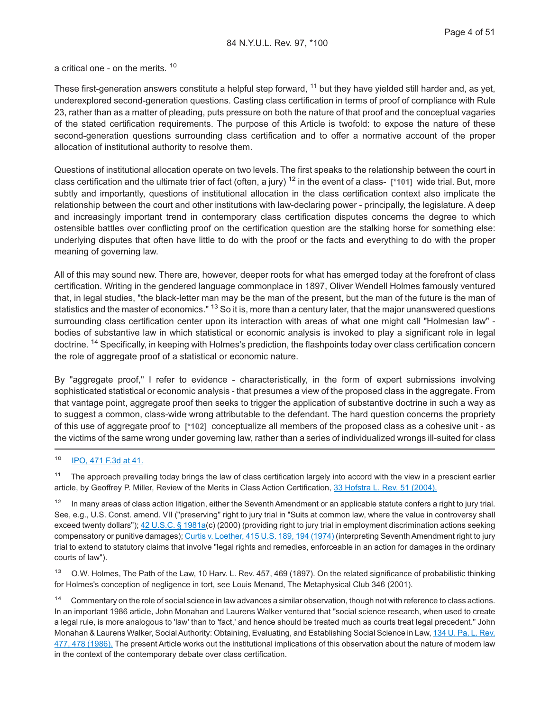a critical one - on the merits. <sup>10</sup>

These first-generation answers constitute a helpful step forward, <sup>11</sup> but they have yielded still harder and, as yet, underexplored second-generation questions. Casting class certification in terms of proof of compliance with Rule 23, rather than as a matter of pleading, puts pressure on both the nature of that proof and the conceptual vagaries of the stated certification requirements. The purpose of this Article is twofold: to expose the nature of these second-generation questions surrounding class certification and to offer a normative account of the proper allocation of institutional authority to resolve them.

Questions of institutional allocation operate on two levels. The first speaks to the relationship between the court in class certification and the ultimate trier of fact (often, a jury) <sup>12</sup> in the event of a class- **[\*101]** wide trial. But, more subtly and importantly, questions of institutional allocation in the class certification context also implicate the relationship between the court and other institutions with law-declaring power - principally, the legislature. A deep and increasingly important trend in contemporary class certification disputes concerns the degree to which ostensible battles over conflicting proof on the certification question are the stalking horse for something else: underlying disputes that often have little to do with the proof or the facts and everything to do with the proper meaning of governing law.

All of this may sound new. There are, however, deeper roots for what has emerged today at the forefront of class certification. Writing in the gendered language commonplace in 1897, Oliver Wendell Holmes famously ventured that, in legal studies, "the black-letter man may be the man of the present, but the man of the future is the man of statistics and the master of economics." <sup>13</sup> So it is, more than a century later, that the major unanswered questions surrounding class certification center upon its interaction with areas of what one might call "Holmesian law" bodies of substantive law in which statistical or economic analysis is invoked to play a significant role in legal doctrine. <sup>14</sup> Specifically, in keeping with Holmes's prediction, the flashpoints today over class certification concern the role of aggregate proof of a statistical or economic nature.

By "aggregate proof," I refer to evidence - characteristically, in the form of expert submissions involving sophisticated statistical or economic analysis - that presumes a view of the proposed class in the aggregate. From that vantage point, aggregate proof then seeks to trigger the application of substantive doctrine in such a way as to suggest a common, class-wide wrong attributable to the defendant. The hard question concerns the propriety of this use of aggregate proof to **[\*102]** conceptualize all members of the proposed class as a cohesive unit - as the victims of the same wrong under governing law, rather than a series of individualized wrongs ill-suited for class

<sup>11</sup> The approach prevailing today brings the law of class certification largely into accord with the view in a prescient earlier article, by Geoffrey P. Miller, Review of the Merits in Class Action Certification, [33 Hofstra L. Rev. 51 \(2004\).](http://advance.lexis.com/api/document?collection=analytical-materials&id=urn:contentItem:4F4H-MVY0-00CW-G081-00000-00&context=1000516)

<sup>12</sup> In many areas of class action litigation, either the Seventh Amendment or an applicable statute confers a right to jury trial. See, e.g., U.S. Const. amend. VII ("preserving" right to jury trial in "Suits at common law, where the value in controversy shall exceed twenty dollars");  $42$  U.S.C. § 1981a(c) (2000) (providing right to jury trial in employment discrimination actions seeking compensatory or punitive damages); [Curtis v. Loether, 415 U.S. 189, 194 \(1974\)](http://advance.lexis.com/api/document?collection=cases&id=urn:contentItem:3S4X-CF30-003B-S414-00000-00&context=1000516) (interpreting Seventh Amendment right to jury trial to extend to statutory claims that involve "legal rights and remedies, enforceable in an action for damages in the ordinary courts of law").

<sup>13</sup> O.W. Holmes, The Path of the Law, 10 Harv. L. Rev. 457, 469 (1897). On the related significance of probabilistic thinking for Holmes's conception of negligence in tort, see Louis Menand, The Metaphysical Club 346 (2001).

<sup>14</sup> Commentary on the role of social science in law advances a similar observation, though not with reference to class actions. In an important 1986 article, John Monahan and Laurens Walker ventured that "social science research, when used to create a legal rule, is more analogous to 'law' than to 'fact,' and hence should be treated much as courts treat legal precedent." John Monahan & Laurens Walker, Social Authority: Obtaining, Evaluating, and Establishing Social Science in Law, [134 U. Pa. L. Rev.](http://advance.lexis.com/api/document?collection=analytical-materials&id=urn:contentItem:3S0M-7V70-00CW-70PG-00000-00&context=1000516) [477, 478 \(1986\).](http://advance.lexis.com/api/document?collection=analytical-materials&id=urn:contentItem:3S0M-7V70-00CW-70PG-00000-00&context=1000516) The present Article works out the institutional implications of this observation about the nature of modern law in the context of the contemporary debate over class certification.

<sup>10</sup> [IPO, 471 F.3d at 41.](http://advance.lexis.com/api/document?collection=cases&id=urn:contentItem:4MHB-1K20-0038-X0JC-00000-00&context=1000516)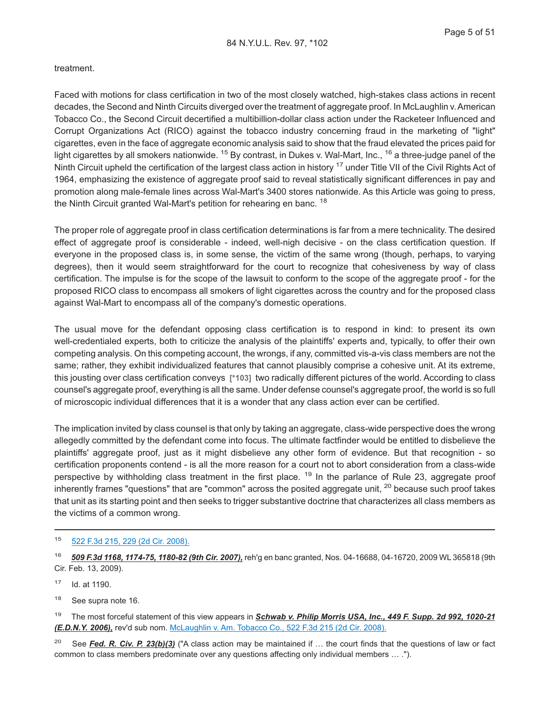#### treatment.

Faced with motions for class certification in two of the most closely watched, high-stakes class actions in recent decades, the Second and Ninth Circuits diverged over the treatment of aggregate proof. In McLaughlin v.American Tobacco Co., the Second Circuit decertified a multibillion-dollar class action under the Racketeer Influenced and Corrupt Organizations Act (RICO) against the tobacco industry concerning fraud in the marketing of "light" cigarettes, even in the face of aggregate economic analysis said to show that the fraud elevated the prices paid for light cigarettes by all smokers nationwide. <sup>15</sup> By contrast, in Dukes v. Wal-Mart, Inc., <sup>16</sup> a three-judge panel of the Ninth Circuit upheld the certification of the largest class action in history  $17$  under Title VII of the Civil Rights Act of 1964, emphasizing the existence of aggregate proof said to reveal statistically significant differences in pay and promotion along male-female lines across Wal-Mart's 3400 stores nationwide. As this Article was going to press, the Ninth Circuit granted Wal-Mart's petition for rehearing en banc.<sup>18</sup>

The proper role of aggregate proof in class certification determinations is far from a mere technicality. The desired effect of aggregate proof is considerable - indeed, well-nigh decisive - on the class certification question. If everyone in the proposed class is, in some sense, the victim of the same wrong (though, perhaps, to varying degrees), then it would seem straightforward for the court to recognize that cohesiveness by way of class certification. The impulse is for the scope of the lawsuit to conform to the scope of the aggregate proof - for the proposed RICO class to encompass all smokers of light cigarettes across the country and for the proposed class against Wal-Mart to encompass all of the company's domestic operations.

The usual move for the defendant opposing class certification is to respond in kind: to present its own well-credentialed experts, both to criticize the analysis of the plaintiffs' experts and, typically, to offer their own competing analysis. On this competing account, the wrongs, if any, committed vis-a-vis class members are not the same; rather, they exhibit individualized features that cannot plausibly comprise a cohesive unit. At its extreme, this jousting over class certification conveys **[\*103]** two radically different pictures of the world. According to class counsel's aggregate proof, everything is all the same. Under defense counsel's aggregate proof, the world is so full of microscopic individual differences that it is a wonder that any class action ever can be certified.

The implication invited by class counsel is that only by taking an aggregate, class-wide perspective does the wrong allegedly committed by the defendant come into focus. The ultimate factfinder would be entitled to disbelieve the plaintiffs' aggregate proof, just as it might disbelieve any other form of evidence. But that recognition - so certification proponents contend - is all the more reason for a court not to abort consideration from a class-wide perspective by withholding class treatment in the first place. <sup>19</sup> In the parlance of Rule 23, aggregate proof inherently frames "questions" that are "common" across the posited aggregate unit, <sup>20</sup> because such proof takes that unit as its starting point and then seeks to trigger substantive doctrine that characterizes all class members as the victims of a common wrong.

#### <sup>15</sup> [522 F.3d 215, 229 \(2d Cir. 2008\).](http://advance.lexis.com/api/document?collection=cases&id=urn:contentItem:4S6M-SC10-TXFX-41XK-00000-00&context=1000516)

<sup>17</sup> Id. at 1190.

<sup>18</sup> See supra note 16.

<sup>19</sup> The most forceful statement of this view appears in *Schwab v. Philip Morris USA, Inc., 449 F. Supp. 2d 992, 1020-21 (E.D.N.Y. 2006),* rev'd sub nom. [McLaughlin v. Am. Tobacco Co., 522 F.3d 215 \(2d Cir. 2008\).](http://advance.lexis.com/api/document?collection=cases&id=urn:contentItem:4S6M-SC10-TXFX-41XK-00000-00&context=1000516)

<sup>20</sup> See *Fed. R. Civ. P. 23(b)(3)* ("A class action may be maintained if … the court finds that the questions of law or fact common to class members predominate over any questions affecting only individual members … .").

<sup>16</sup> *509 F.3d 1168, 1174-75, 1180-82 (9th Cir. 2007),* reh'g en banc granted, Nos. 04-16688, 04-16720, 2009 WL 365818 (9th Cir. Feb. 13, 2009).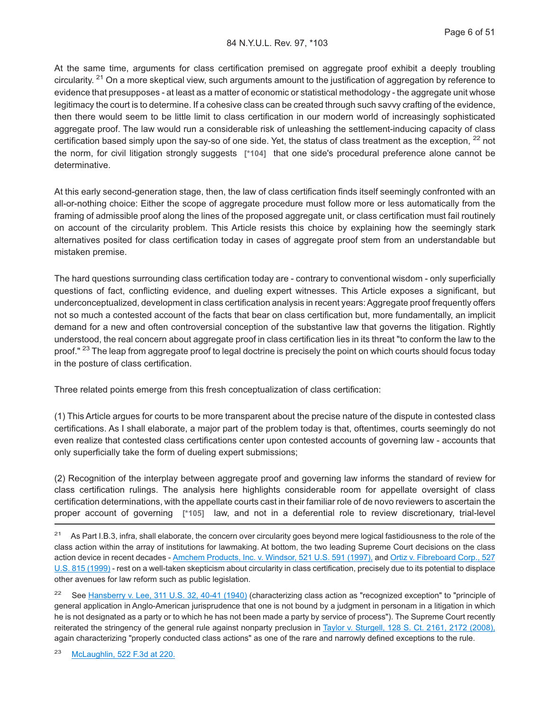At the same time, arguments for class certification premised on aggregate proof exhibit a deeply troubling circularity.  $21$  On a more skeptical view, such arguments amount to the justification of aggregation by reference to evidence that presupposes - at least as a matter of economic or statistical methodology - the aggregate unit whose legitimacy the court is to determine. If a cohesive class can be created through such savvy crafting of the evidence, then there would seem to be little limit to class certification in our modern world of increasingly sophisticated aggregate proof. The law would run a considerable risk of unleashing the settlement-inducing capacity of class certification based simply upon the say-so of one side. Yet, the status of class treatment as the exception, <sup>22</sup> not the norm, for civil litigation strongly suggests **[\*104]** that one side's procedural preference alone cannot be determinative.

At this early second-generation stage, then, the law of class certification finds itself seemingly confronted with an all-or-nothing choice: Either the scope of aggregate procedure must follow more or less automatically from the framing of admissible proof along the lines of the proposed aggregate unit, or class certification must fail routinely on account of the circularity problem. This Article resists this choice by explaining how the seemingly stark alternatives posited for class certification today in cases of aggregate proof stem from an understandable but mistaken premise.

The hard questions surrounding class certification today are - contrary to conventional wisdom - only superficially questions of fact, conflicting evidence, and dueling expert witnesses. This Article exposes a significant, but underconceptualized, development in class certification analysis in recent years: Aggregate proof frequently offers not so much a contested account of the facts that bear on class certification but, more fundamentally, an implicit demand for a new and often controversial conception of the substantive law that governs the litigation. Rightly understood, the real concern about aggregate proof in class certification lies in its threat "to conform the law to the proof." <sup>23</sup> The leap from aggregate proof to legal doctrine is precisely the point on which courts should focus today in the posture of class certification.

Three related points emerge from this fresh conceptualization of class certification:

(1) This Article argues for courts to be more transparent about the precise nature of the dispute in contested class certifications. As I shall elaborate, a major part of the problem today is that, oftentimes, courts seemingly do not even realize that contested class certifications center upon contested accounts of governing law - accounts that only superficially take the form of dueling expert submissions;

(2) Recognition of the interplay between aggregate proof and governing law informs the standard of review for class certification rulings. The analysis here highlights considerable room for appellate oversight of class certification determinations, with the appellate courts cast in their familiar role of de novo reviewers to ascertain the proper account of governing **[\*105]** law, and not in a deferential role to review discretionary, trial-level

<sup>21</sup> As Part I.B.3, infra, shall elaborate, the concern over circularity goes beyond mere logical fastidiousness to the role of the class action within the array of institutions for lawmaking. At bottom, the two leading Supreme Court decisions on the class action device in recent decades - [Amchem Products, Inc. v. Windsor, 521 U.S. 591 \(1997\),](http://advance.lexis.com/api/document?collection=cases&id=urn:contentItem:3RV9-HGW0-003B-R17N-00000-00&context=1000516) and [Ortiz v. Fibreboard Corp., 527](http://advance.lexis.com/api/document?collection=cases&id=urn:contentItem:3WSK-9JC0-004B-Y01T-00000-00&context=1000516) [U.S. 815 \(1999\)](http://advance.lexis.com/api/document?collection=cases&id=urn:contentItem:3WSK-9JC0-004B-Y01T-00000-00&context=1000516) - rest on a well-taken skepticism about circularity in class certification, precisely due to its potential to displace other avenues for law reform such as public legislation.

<sup>22</sup> See [Hansberry v. Lee, 311 U.S. 32, 40-41 \(1940\)](http://advance.lexis.com/api/document?collection=cases&id=urn:contentItem:3S4X-6M40-003B-71M5-00000-00&context=1000516) (characterizing class action as "recognized exception" to "principle of general application in Anglo-American jurisprudence that one is not bound by a judgment in personam in a litigation in which he is not designated as a party or to which he has not been made a party by service of process"). The Supreme Court recently reiterated the stringency of the general rule against nonparty preclusion in [Taylor v. Sturgell, 128 S. Ct. 2161, 2172 \(2008\),](http://advance.lexis.com/api/document?collection=cases&id=urn:contentItem:4SRD-KTP0-TXFX-13DK-00000-00&context=1000516) again characterizing "properly conducted class actions" as one of the rare and narrowly defined exceptions to the rule.

<sup>23</sup> [McLaughlin, 522 F.3d at 220.](http://advance.lexis.com/api/document?collection=cases&id=urn:contentItem:4S6M-SC10-TXFX-41XK-00000-00&context=1000516)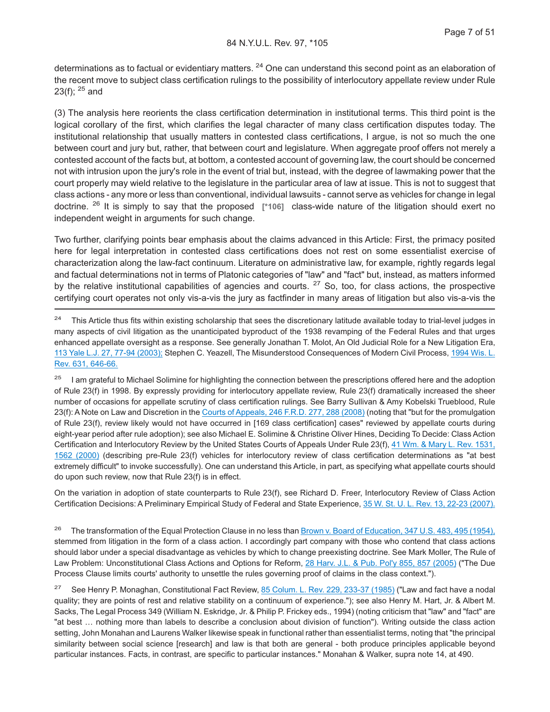determinations as to factual or evidentiary matters. <sup>24</sup> One can understand this second point as an elaboration of the recent move to subject class certification rulings to the possibility of interlocutory appellate review under Rule 23(f);  $25$  and

(3) The analysis here reorients the class certification determination in institutional terms. This third point is the logical corollary of the first, which clarifies the legal character of many class certification disputes today. The institutional relationship that usually matters in contested class certifications, I argue, is not so much the one between court and jury but, rather, that between court and legislature. When aggregate proof offers not merely a contested account of the facts but, at bottom, a contested account of governing law, the court should be concerned not with intrusion upon the jury's role in the event of trial but, instead, with the degree of lawmaking power that the court properly may wield relative to the legislature in the particular area of law at issue. This is not to suggest that class actions - any more or less than conventional, individual lawsuits - cannot serve as vehicles for change in legal doctrine. <sup>26</sup> It is simply to say that the proposed **[\*106]** class-wide nature of the litigation should exert no independent weight in arguments for such change.

Two further, clarifying points bear emphasis about the claims advanced in this Article: First, the primacy posited here for legal interpretation in contested class certifications does not rest on some essentialist exercise of characterization along the law-fact continuum. Literature on administrative law, for example, rightly regards legal and factual determinations not in terms of Platonic categories of "law" and "fact" but, instead, as matters informed by the relative institutional capabilities of agencies and courts.  $27$  So, too, for class actions, the prospective certifying court operates not only vis-a-vis the jury as factfinder in many areas of litigation but also vis-a-vis the

<sup>25</sup> I am grateful to Michael Solimine for highlighting the connection between the prescriptions offered here and the adoption of Rule 23(f) in 1998. By expressly providing for interlocutory appellate review, Rule 23(f) dramatically increased the sheer number of occasions for appellate scrutiny of class certification rulings. See Barry Sullivan & Amy Kobelski Trueblood, Rule 23(f): A Note on Law and Discretion in the [Courts of Appeals, 246 F.R.D. 277, 288 \(2008\)](http://advance.lexis.com/api/document?collection=cases&id=urn:contentItem:4PRK-28N0-TXFS-62C5-00000-00&context=1000516) (noting that "but for the promulgation of Rule 23(f), review likely would not have occurred in [169 class certification] cases" reviewed by appellate courts during eight-year period after rule adoption); see also Michael E. Solimine & Christine Oliver Hines, Deciding To Decide: Class Action Certification and Interlocutory Review by the United States Courts of Appeals Under Rule 23(f), [41 Wm. & Mary L. Rev. 1531,](http://advance.lexis.com/api/document?collection=analytical-materials&id=urn:contentItem:40MT-0R90-00CW-G0GD-00000-00&context=1000516) [1562 \(2000\)](http://advance.lexis.com/api/document?collection=analytical-materials&id=urn:contentItem:40MT-0R90-00CW-G0GD-00000-00&context=1000516) (describing pre-Rule 23(f) vehicles for interlocutory review of class certification determinations as "at best extremely difficult" to invoke successfully). One can understand this Article, in part, as specifying what appellate courts should do upon such review, now that Rule 23(f) is in effect.

On the variation in adoption of state counterparts to Rule 23(f), see Richard D. Freer, Interlocutory Review of Class Action Certification Decisions: A Preliminary Empirical Study of Federal and State Experience, [35 W. St. U. L. Rev. 13, 22-23 \(2007\).](http://advance.lexis.com/api/document?collection=analytical-materials&id=urn:contentItem:4SJY-C9C0-00CV-C0FN-00000-00&context=1000516)

<sup>26</sup> The transformation of the Equal Protection Clause in no less than [Brown v. Board of Education, 347 U.S. 483, 495 \(1954\),](http://advance.lexis.com/api/document?collection=cases&id=urn:contentItem:3S4X-JD90-003B-S3RR-00000-00&context=1000516) stemmed from litigation in the form of a class action. I accordingly part company with those who contend that class actions should labor under a special disadvantage as vehicles by which to change preexisting doctrine. See Mark Moller, The Rule of Law Problem: Unconstitutional Class Actions and Options for Reform, [28 Harv. J.L. & Pub. Pol'y 855, 857 \(2005\)](http://advance.lexis.com/api/document?collection=analytical-materials&id=urn:contentItem:4GWH-HFG0-00CW-H0D4-00000-00&context=1000516) ("The Due Process Clause limits courts' authority to unsettle the rules governing proof of claims in the class context.").

<sup>27</sup> See Henry P. Monaghan, Constitutional Fact Review, [85 Colum. L. Rev. 229, 233-37 \(1985\)](http://advance.lexis.com/api/document?collection=analytical-materials&id=urn:contentItem:3S0M-9T90-00CW-72WV-00000-00&context=1000516) ("Law and fact have a nodal quality; they are points of rest and relative stability on a continuum of experience."); see also Henry M. Hart, Jr. & Albert M. Sacks, The Legal Process 349 (William N. Eskridge, Jr. & Philip P. Frickey eds., 1994) (noting criticism that "law" and "fact" are "at best … nothing more than labels to describe a conclusion about division of function"). Writing outside the class action setting, John Monahan and Laurens Walker likewise speak in functional rather than essentialist terms, noting that "the principal similarity between social science [research] and law is that both are general - both produce principles applicable beyond particular instances. Facts, in contrast, are specific to particular instances." Monahan & Walker, supra note 14, at 490.

<sup>&</sup>lt;sup>24</sup> This Article thus fits within existing scholarship that sees the discretionary latitude available today to trial-level judges in many aspects of civil litigation as the unanticipated byproduct of the 1938 revamping of the Federal Rules and that urges enhanced appellate oversight as a response. See generally Jonathan T. Molot, An Old Judicial Role for a New Litigation Era, [113 Yale L.J. 27, 77-94 \(2003\);](http://advance.lexis.com/api/document?collection=analytical-materials&id=urn:contentItem:49WN-XD30-00CW-70J8-00000-00&context=1000516) Stephen C. Yeazell, The Misunderstood Consequences of Modern Civil Process, [1994 Wis. L.](http://advance.lexis.com/api/document?collection=analytical-materials&id=urn:contentItem:3S41-1860-00CW-H045-00000-00&context=1000516) [Rev. 631, 646-66.](http://advance.lexis.com/api/document?collection=analytical-materials&id=urn:contentItem:3S41-1860-00CW-H045-00000-00&context=1000516)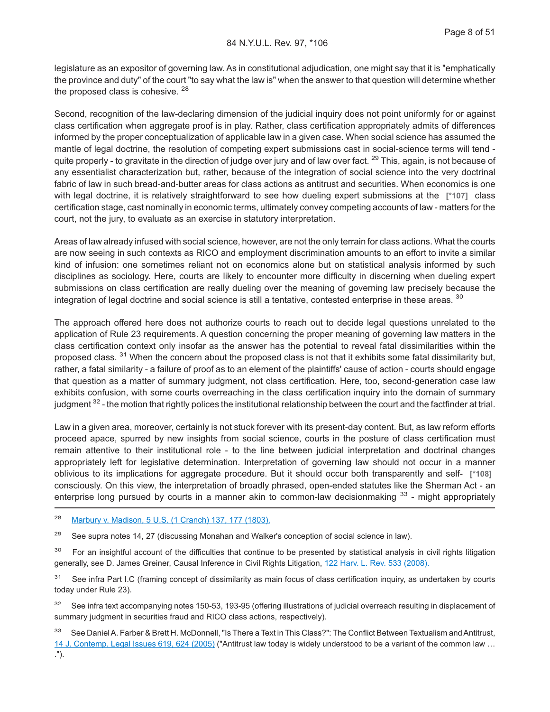legislature as an expositor of governing law. As in constitutional adjudication, one might say that it is "emphatically the province and duty" of the court "to say what the law is" when the answer to that question will determine whether the proposed class is cohesive. <sup>28</sup>

Second, recognition of the law-declaring dimension of the judicial inquiry does not point uniformly for or against class certification when aggregate proof is in play. Rather, class certification appropriately admits of differences informed by the proper conceptualization of applicable law in a given case. When social science has assumed the mantle of legal doctrine, the resolution of competing expert submissions cast in social-science terms will tend quite properly - to gravitate in the direction of judge over jury and of law over fact.  $^{29}$  This, again, is not because of any essentialist characterization but, rather, because of the integration of social science into the very doctrinal fabric of law in such bread-and-butter areas for class actions as antitrust and securities. When economics is one with legal doctrine, it is relatively straightforward to see how dueling expert submissions at the **[\*107]** class certification stage, cast nominally in economic terms, ultimately convey competing accounts of law - matters for the court, not the jury, to evaluate as an exercise in statutory interpretation.

Areas of law already infused with social science, however, are not the only terrain for class actions. What the courts are now seeing in such contexts as RICO and employment discrimination amounts to an effort to invite a similar kind of infusion: one sometimes reliant not on economics alone but on statistical analysis informed by such disciplines as sociology. Here, courts are likely to encounter more difficulty in discerning when dueling expert submissions on class certification are really dueling over the meaning of governing law precisely because the integration of legal doctrine and social science is still a tentative, contested enterprise in these areas. 30

The approach offered here does not authorize courts to reach out to decide legal questions unrelated to the application of Rule 23 requirements. A question concerning the proper meaning of governing law matters in the class certification context only insofar as the answer has the potential to reveal fatal dissimilarities within the proposed class. <sup>31</sup> When the concern about the proposed class is not that it exhibits some fatal dissimilarity but, rather, a fatal similarity - a failure of proof as to an element of the plaintiffs' cause of action - courts should engage that question as a matter of summary judgment, not class certification. Here, too, second-generation case law exhibits confusion, with some courts overreaching in the class certification inquiry into the domain of summary judgment <sup>32</sup> - the motion that rightly polices the institutional relationship between the court and the factfinder at trial.

Law in a given area, moreover, certainly is not stuck forever with its present-day content. But, as law reform efforts proceed apace, spurred by new insights from social science, courts in the posture of class certification must remain attentive to their institutional role - to the line between judicial interpretation and doctrinal changes appropriately left for legislative determination. Interpretation of governing law should not occur in a manner oblivious to its implications for aggregate procedure. But it should occur both transparently and self- **[\*108]** consciously. On this view, the interpretation of broadly phrased, open-ended statutes like the Sherman Act - an enterprise long pursued by courts in a manner akin to common-law decisionmaking  $33$  - might appropriately

<sup>28</sup> [Marbury v. Madison, 5 U.S. \(1 Cranch\) 137, 177 \(1803\).](http://advance.lexis.com/api/document?collection=cases&id=urn:contentItem:3S4X-KWW0-003B-H16C-00000-00&context=1000516)

<sup>29</sup> See supra notes 14, 27 (discussing Monahan and Walker's conception of social science in law).

<sup>30</sup> For an insightful account of the difficulties that continue to be presented by statistical analysis in civil rights litigation generally, see D. James Greiner, Causal Inference in Civil Rights Litigation, [122 Harv. L. Rev. 533 \(2008\).](http://advance.lexis.com/api/document?collection=analytical-materials&id=urn:contentItem:4V53-JT60-02BM-Y1D0-00000-00&context=1000516)

<sup>31</sup> See infra Part I.C (framing concept of dissimilarity as main focus of class certification inquiry, as undertaken by courts today under Rule 23).

<sup>32</sup> See infra text accompanying notes 150-53, 193-95 (offering illustrations of judicial overreach resulting in displacement of summary judgment in securities fraud and RICO class actions, respectively).

33 See Daniel A. Farber & Brett H. McDonnell, "Is There a Text in This Class?": The Conflict Between Textualism and Antitrust, [14 J. Contemp. Legal Issues 619, 624 \(2005\)](http://advance.lexis.com/api/document?collection=analytical-materials&id=urn:contentItem:4G59-KG60-00B1-80C5-00000-00&context=1000516) ("Antitrust law today is widely understood to be a variant of the common law …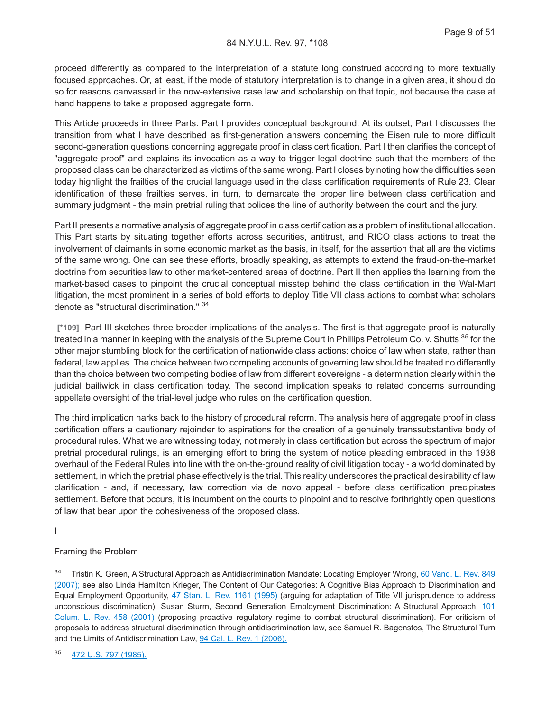proceed differently as compared to the interpretation of a statute long construed according to more textually focused approaches. Or, at least, if the mode of statutory interpretation is to change in a given area, it should do so for reasons canvassed in the now-extensive case law and scholarship on that topic, not because the case at hand happens to take a proposed aggregate form.

This Article proceeds in three Parts. Part I provides conceptual background. At its outset, Part I discusses the transition from what I have described as first-generation answers concerning the Eisen rule to more difficult second-generation questions concerning aggregate proof in class certification. Part I then clarifies the concept of "aggregate proof" and explains its invocation as a way to trigger legal doctrine such that the members of the proposed class can be characterized as victims of the same wrong. Part I closes by noting how the difficulties seen today highlight the frailties of the crucial language used in the class certification requirements of Rule 23. Clear identification of these frailties serves, in turn, to demarcate the proper line between class certification and summary judgment - the main pretrial ruling that polices the line of authority between the court and the jury.

Part II presents a normative analysis of aggregate proof in class certification as a problem of institutional allocation. This Part starts by situating together efforts across securities, antitrust, and RICO class actions to treat the involvement of claimants in some economic market as the basis, in itself, for the assertion that all are the victims of the same wrong. One can see these efforts, broadly speaking, as attempts to extend the fraud-on-the-market doctrine from securities law to other market-centered areas of doctrine. Part II then applies the learning from the market-based cases to pinpoint the crucial conceptual misstep behind the class certification in the Wal-Mart litigation, the most prominent in a series of bold efforts to deploy Title VII class actions to combat what scholars denote as "structural discrimination." <sup>34</sup>

**[\*109]** Part III sketches three broader implications of the analysis. The first is that aggregate proof is naturally treated in a manner in keeping with the analysis of the Supreme Court in Phillips Petroleum Co. v. Shutts <sup>35</sup> for the other major stumbling block for the certification of nationwide class actions: choice of law when state, rather than federal, law applies. The choice between two competing accounts of governing law should be treated no differently than the choice between two competing bodies of law from different sovereigns - a determination clearly within the judicial bailiwick in class certification today. The second implication speaks to related concerns surrounding appellate oversight of the trial-level judge who rules on the certification question.

The third implication harks back to the history of procedural reform. The analysis here of aggregate proof in class certification offers a cautionary rejoinder to aspirations for the creation of a genuinely transsubstantive body of procedural rules. What we are witnessing today, not merely in class certification but across the spectrum of major pretrial procedural rulings, is an emerging effort to bring the system of notice pleading embraced in the 1938 overhaul of the Federal Rules into line with the on-the-ground reality of civil litigation today - a world dominated by settlement, in which the pretrial phase effectively is the trial. This reality underscores the practical desirability of law clarification - and, if necessary, law correction via de novo appeal - before class certification precipitates settlement. Before that occurs, it is incumbent on the courts to pinpoint and to resolve forthrightly open questions of law that bear upon the cohesiveness of the proposed class.

I

#### Framing the Problem

<sup>&</sup>lt;sup>34</sup> Tristin K. Green, A Structural Approach as Antidiscrimination Mandate: Locating Employer Wrong, [60 Vand. L. Rev. 849](http://advance.lexis.com/api/document?collection=analytical-materials&id=urn:contentItem:4PYH-8XY0-02BN-10GT-00000-00&context=1000516) [\(2007\);](http://advance.lexis.com/api/document?collection=analytical-materials&id=urn:contentItem:4PYH-8XY0-02BN-10GT-00000-00&context=1000516) see also Linda Hamilton Krieger, The Content of Our Categories: A Cognitive Bias Approach to Discrimination and Equal Employment Opportunity, [47 Stan. L. Rev. 1161 \(1995\)](http://advance.lexis.com/api/document?collection=analytical-materials&id=urn:contentItem:3S3V-3340-00CW-82KT-00000-00&context=1000516) (arguing for adaptation of Title VII jurisprudence to address unconscious discrimination); Susan Sturm, Second Generation Employment Discrimination: A Structural Approach, [101](http://advance.lexis.com/api/document?collection=analytical-materials&id=urn:contentItem:433X-2WM0-00CW-7180-00000-00&context=1000516) [Colum. L. Rev. 458 \(2001\)](http://advance.lexis.com/api/document?collection=analytical-materials&id=urn:contentItem:433X-2WM0-00CW-7180-00000-00&context=1000516) (proposing proactive regulatory regime to combat structural discrimination). For criticism of proposals to address structural discrimination through antidiscrimination law, see Samuel R. Bagenstos, The Structural Turn and the Limits of Antidiscrimination Law, [94 Cal. L. Rev. 1 \(2006\).](http://advance.lexis.com/api/document?collection=analytical-materials&id=urn:contentItem:4JTH-4MX0-02BN-005P-00000-00&context=1000516)

<sup>35</sup> [472 U.S. 797 \(1985\).](http://advance.lexis.com/api/document?collection=cases&id=urn:contentItem:3S4X-B1X0-0039-N4D1-00000-00&context=1000516)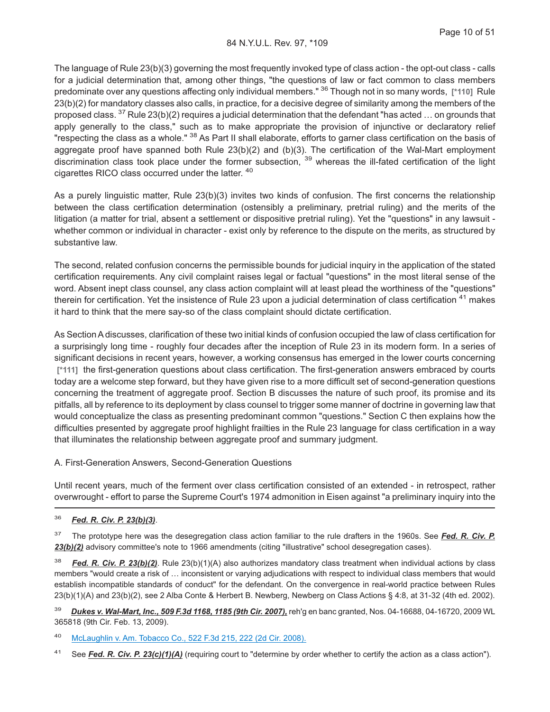The language of Rule 23(b)(3) governing the most frequently invoked type of class action - the opt-out class - calls for a judicial determination that, among other things, "the questions of law or fact common to class members predominate over any questions affecting only individual members." <sup>36</sup> Though not in so many words, **[\*110]** Rule 23(b)(2) for mandatory classes also calls, in practice, for a decisive degree of similarity among the members of the proposed class.  $37$  Rule 23(b)(2) requires a judicial determination that the defendant "has acted ... on grounds that apply generally to the class," such as to make appropriate the provision of injunctive or declaratory relief "respecting the class as a whole." <sup>38</sup> As Part II shall elaborate, efforts to garner class certification on the basis of aggregate proof have spanned both Rule 23(b)(2) and (b)(3). The certification of the Wal-Mart employment discrimination class took place under the former subsection, <sup>39</sup> whereas the ill-fated certification of the light cigarettes RICO class occurred under the latter. <sup>40</sup>

As a purely linguistic matter, Rule 23(b)(3) invites two kinds of confusion. The first concerns the relationship between the class certification determination (ostensibly a preliminary, pretrial ruling) and the merits of the litigation (a matter for trial, absent a settlement or dispositive pretrial ruling). Yet the "questions" in any lawsuit whether common or individual in character - exist only by reference to the dispute on the merits, as structured by substantive law.

The second, related confusion concerns the permissible bounds for judicial inquiry in the application of the stated certification requirements. Any civil complaint raises legal or factual "questions" in the most literal sense of the word. Absent inept class counsel, any class action complaint will at least plead the worthiness of the "questions" therein for certification. Yet the insistence of Rule 23 upon a judicial determination of class certification <sup>41</sup> makes it hard to think that the mere say-so of the class complaint should dictate certification.

As Section A discusses, clarification of these two initial kinds of confusion occupied the law of class certification for a surprisingly long time - roughly four decades after the inception of Rule 23 in its modern form. In a series of significant decisions in recent years, however, a working consensus has emerged in the lower courts concerning **[\*111]** the first-generation questions about class certification. The first-generation answers embraced by courts today are a welcome step forward, but they have given rise to a more difficult set of second-generation questions concerning the treatment of aggregate proof. Section B discusses the nature of such proof, its promise and its pitfalls, all by reference to its deployment by class counsel to trigger some manner of doctrine in governing law that would conceptualize the class as presenting predominant common "questions." Section C then explains how the difficulties presented by aggregate proof highlight frailties in the Rule 23 language for class certification in a way that illuminates the relationship between aggregate proof and summary judgment.

#### A. First-Generation Answers, Second-Generation Questions

Until recent years, much of the ferment over class certification consisted of an extended - in retrospect, rather overwrought - effort to parse the Supreme Court's 1974 admonition in Eisen against "a preliminary inquiry into the

### <sup>36</sup> *Fed. R. Civ. P. 23(b)(3)*.

<sup>37</sup> The prototype here was the desegregation class action familiar to the rule drafters in the 1960s. See *Fed. R. Civ. P.* 23(b)(2) advisory committee's note to 1966 amendments (citing "illustrative" school desegregation cases).

<sup>38</sup> *Fed. R. Civ. P. 23(b)(2)*. Rule 23(b)(1)(A) also authorizes mandatory class treatment when individual actions by class members "would create a risk of … inconsistent or varying adjudications with respect to individual class members that would establish incompatible standards of conduct" for the defendant. On the convergence in real-world practice between Rules 23(b)(1)(A) and 23(b)(2), see 2 Alba Conte & Herbert B. Newberg, Newberg on Class Actions § 4:8, at 31-32 (4th ed. 2002).

<sup>39</sup> *Dukes v. Wal-Mart, Inc., 509 F.3d 1168, 1185 (9th Cir. 2007),* reh'g en banc granted, Nos. 04-16688, 04-16720, 2009 WL 365818 (9th Cir. Feb. 13, 2009).

<sup>40</sup> [McLaughlin v. Am. Tobacco Co., 522 F.3d 215, 222 \(2d Cir. 2008\).](http://advance.lexis.com/api/document?collection=cases&id=urn:contentItem:4S6M-SC10-TXFX-41XK-00000-00&context=1000516)

<sup>41</sup> See *Fed. R. Civ. P. 23(c)(1)(A)* (requiring court to "determine by order whether to certify the action as a class action").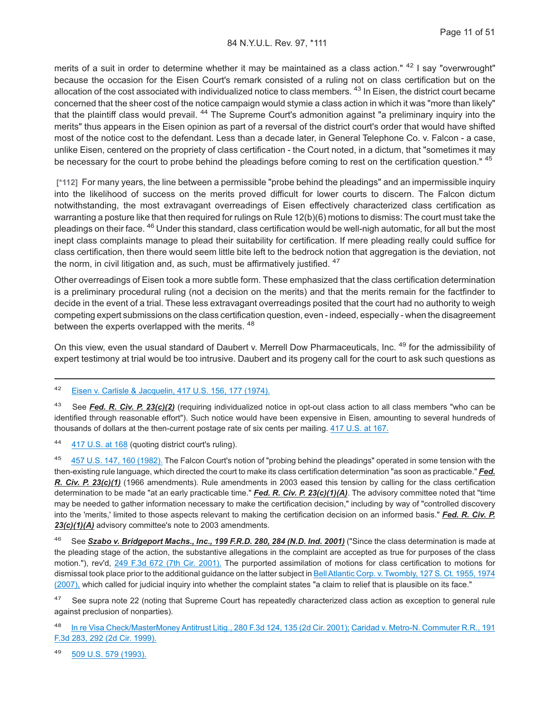merits of a suit in order to determine whether it may be maintained as a class action." <sup>42</sup> I say "overwrought" because the occasion for the Eisen Court's remark consisted of a ruling not on class certification but on the allocation of the cost associated with individualized notice to class members. <sup>43</sup> In Eisen, the district court became concerned that the sheer cost of the notice campaign would stymie a class action in which it was "more than likely" that the plaintiff class would prevail. <sup>44</sup> The Supreme Court's admonition against "a preliminary inquiry into the merits" thus appears in the Eisen opinion as part of a reversal of the district court's order that would have shifted most of the notice cost to the defendant. Less than a decade later, in General Telephone Co. v. Falcon - a case, unlike Eisen, centered on the propriety of class certification - the Court noted, in a dictum, that "sometimes it may be necessary for the court to probe behind the pleadings before coming to rest on the certification question." <sup>45</sup>

**[\*112]** For many years, the line between a permissible "probe behind the pleadings" and an impermissible inquiry into the likelihood of success on the merits proved difficult for lower courts to discern. The Falcon dictum notwithstanding, the most extravagant overreadings of Eisen effectively characterized class certification as warranting a posture like that then required for rulings on Rule 12(b)(6) motions to dismiss: The court must take the pleadings on their face. <sup>46</sup> Under this standard, class certification would be well-nigh automatic, for all but the most inept class complaints manage to plead their suitability for certification. If mere pleading really could suffice for class certification, then there would seem little bite left to the bedrock notion that aggregation is the deviation, not the norm, in civil litigation and, as such, must be affirmatively justified. <sup>47</sup>

Other overreadings of Eisen took a more subtle form. These emphasized that the class certification determination is a preliminary procedural ruling (not a decision on the merits) and that the merits remain for the factfinder to decide in the event of a trial. These less extravagant overreadings posited that the court had no authority to weigh competing expert submissions on the class certification question, even - indeed, especially - when the disagreement between the experts overlapped with the merits. <sup>48</sup>

On this view, even the usual standard of Daubert v. Merrell Dow Pharmaceuticals, Inc. 49 for the admissibility of expert testimony at trial would be too intrusive. Daubert and its progeny call for the court to ask such questions as

<sup>42</sup> [Eisen v. Carlisle & Jacquelin, 417 U.S. 156, 177 \(1974\).](http://advance.lexis.com/api/document?collection=cases&id=urn:contentItem:3RJ6-FCY0-003B-S001-00000-00&context=1000516)

<sup>43</sup> See *Fed. R. Civ. P. 23(c)(2)* (requiring individualized notice in opt-out class action to all class members "who can be identified through reasonable effort"). Such notice would have been expensive in Eisen, amounting to several hundreds of thousands of dollars at the then-current postage rate of six cents per mailing. [417 U.S. at 167.](http://advance.lexis.com/api/document?collection=cases&id=urn:contentItem:3RJ6-FCY0-003B-S001-00000-00&context=1000516)

<sup>44</sup> [417 U.S. at 168](http://advance.lexis.com/api/document?collection=cases&id=urn:contentItem:3RJ6-FCY0-003B-S001-00000-00&context=1000516) (quoting district court's ruling).

[457 U.S. 147, 160 \(1982\).](http://advance.lexis.com/api/document?collection=cases&id=urn:contentItem:3S4X-5GV0-003B-S4SR-00000-00&context=1000516) The Falcon Court's notion of "probing behind the pleadings" operated in some tension with the then-existing rule language, which directed the court to make its class certification determination "as soon as practicable." *Fed. R. Civ. P. 23(c)(1)* (1966 amendments). Rule amendments in 2003 eased this tension by calling for the class certification determination to be made "at an early practicable time." *Fed. R. Civ. P. 23(c)(1)(A)*. The advisory committee noted that "time may be needed to gather information necessary to make the certification decision," including by way of "controlled discovery into the 'merits,' limited to those aspects relevant to making the certification decision on an informed basis." *Fed. R. Civ. P. 23(c)(1)(A)* advisory committee's note to 2003 amendments.

<sup>46</sup> See *Szabo v. Bridgeport Machs., Inc., 199 F.R.D. 280, 284 (N.D. Ind. 2001)* ("Since the class determination is made at the pleading stage of the action, the substantive allegations in the complaint are accepted as true for purposes of the class motion."), rev'd, [249 F.3d 672 \(7th Cir. 2001\).](http://advance.lexis.com/api/document?collection=cases&id=urn:contentItem:430G-H570-0038-X2F5-00000-00&context=1000516) The purported assimilation of motions for class certification to motions for dismissal took place prior to the additional guidance on the latter subject in [Bell Atlantic Corp. v. Twombly, 127 S. Ct. 1955, 1974](http://advance.lexis.com/api/document?collection=cases&id=urn:contentItem:4NSN-8840-004C-002M-00000-00&context=1000516) [\(2007\),](http://advance.lexis.com/api/document?collection=cases&id=urn:contentItem:4NSN-8840-004C-002M-00000-00&context=1000516) which called for judicial inquiry into whether the complaint states "a claim to relief that is plausible on its face."

<sup>47</sup> See supra note 22 (noting that Supreme Court has repeatedly characterized class action as exception to general rule against preclusion of nonparties).

[In re Visa Check/MasterMoney Antitrust Litig., 280 F.3d 124, 135 \(2d Cir. 2001\);](http://advance.lexis.com/api/document?collection=cases&id=urn:contentItem:447M-W680-0038-X489-00000-00&context=1000516) [Caridad v. Metro-N. Commuter R.R., 191](http://advance.lexis.com/api/document?collection=cases&id=urn:contentItem:3X2G-N9H0-0038-X2X1-00000-00&context=1000516) [F.3d 283, 292 \(2d Cir. 1999\).](http://advance.lexis.com/api/document?collection=cases&id=urn:contentItem:3X2G-N9H0-0038-X2X1-00000-00&context=1000516)

<sup>49</sup> [509 U.S. 579 \(1993\).](http://advance.lexis.com/api/document?collection=cases&id=urn:contentItem:3S4W-XDR0-003B-R3R6-00000-00&context=1000516)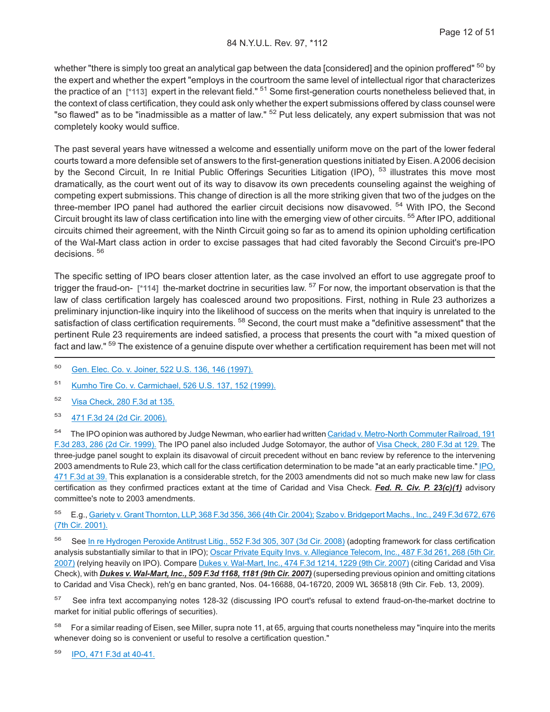whether "there is simply too great an analytical gap between the data [considered] and the opinion proffered" <sup>50</sup> by the expert and whether the expert "employs in the courtroom the same level of intellectual rigor that characterizes the practice of an **[\*113]** expert in the relevant field." <sup>51</sup> Some first-generation courts nonetheless believed that, in the context of class certification, they could ask only whether the expert submissions offered by class counsel were "so flawed" as to be "inadmissible as a matter of law." <sup>52</sup> Put less delicately, any expert submission that was not completely kooky would suffice.

The past several years have witnessed a welcome and essentially uniform move on the part of the lower federal courts toward a more defensible set of answers to the first-generation questions initiated by Eisen. A 2006 decision by the Second Circuit, In re Initial Public Offerings Securities Litigation (IPO), <sup>53</sup> illustrates this move most dramatically, as the court went out of its way to disavow its own precedents counseling against the weighing of competing expert submissions. This change of direction is all the more striking given that two of the judges on the three-member IPO panel had authored the earlier circuit decisions now disavowed. <sup>54</sup> With IPO, the Second Circuit brought its law of class certification into line with the emerging view of other circuits. <sup>55</sup>After IPO, additional circuits chimed their agreement, with the Ninth Circuit going so far as to amend its opinion upholding certification of the Wal-Mart class action in order to excise passages that had cited favorably the Second Circuit's pre-IPO decisions. <sup>56</sup>

The specific setting of IPO bears closer attention later, as the case involved an effort to use aggregate proof to trigger the fraud-on- **[\*114]** the-market doctrine in securities law. <sup>57</sup> For now, the important observation is that the law of class certification largely has coalesced around two propositions. First, nothing in Rule 23 authorizes a preliminary injunction-like inquiry into the likelihood of success on the merits when that inquiry is unrelated to the satisfaction of class certification requirements. <sup>58</sup> Second, the court must make a "definitive assessment" that the pertinent Rule 23 requirements are indeed satisfied, a process that presents the court with "a mixed question of fact and law." <sup>59</sup> The existence of a genuine dispute over whether a certification requirement has been met will not

- <sup>50</sup> [Gen. Elec. Co. v. Joiner, 522 U.S. 136, 146 \(1997\).](http://advance.lexis.com/api/document?collection=cases&id=urn:contentItem:3RR5-5J20-004C-300R-00000-00&context=1000516)
- <sup>51</sup> [Kumho Tire Co. v. Carmichael, 526 U.S. 137, 152 \(1999\).](http://advance.lexis.com/api/document?collection=cases&id=urn:contentItem:3W30-2X60-004C-000J-00000-00&context=1000516)
- <sup>52</sup> [Visa Check, 280 F.3d at 135.](http://advance.lexis.com/api/document?collection=cases&id=urn:contentItem:447M-W680-0038-X489-00000-00&context=1000516)
- <sup>53</sup> [471 F.3d 24 \(2d Cir. 2006\).](http://advance.lexis.com/api/document?collection=cases&id=urn:contentItem:4MHB-1K20-0038-X0JC-00000-00&context=1000516)

<sup>54</sup> The IPO opinion was authored by Judge Newman, who earlier had written [Caridad v. Metro-North Commuter Railroad, 191](http://advance.lexis.com/api/document?collection=cases&id=urn:contentItem:3X2G-N9H0-0038-X2X1-00000-00&context=1000516) [F.3d 283, 286 \(2d Cir. 1999\).](http://advance.lexis.com/api/document?collection=cases&id=urn:contentItem:3X2G-N9H0-0038-X2X1-00000-00&context=1000516) The IPO panel also included Judge Sotomayor, the author of [Visa Check, 280 F.3d at 129.](http://advance.lexis.com/api/document?collection=cases&id=urn:contentItem:447M-W680-0038-X489-00000-00&context=1000516) The three-judge panel sought to explain its disavowal of circuit precedent without en banc review by reference to the intervening 2003 amendments to Rule 23, which call for the class certification determination to be made "at an early practicable time." [IPO,](http://advance.lexis.com/api/document?collection=cases&id=urn:contentItem:4MHB-1K20-0038-X0JC-00000-00&context=1000516) [471 F.3d at 39.](http://advance.lexis.com/api/document?collection=cases&id=urn:contentItem:4MHB-1K20-0038-X0JC-00000-00&context=1000516) This explanation is a considerable stretch, for the 2003 amendments did not so much make new law for class certification as they confirmed practices extant at the time of Caridad and Visa Check. *Fed. R. Civ. P. 23(c)(1)* advisory committee's note to 2003 amendments.

<sup>55</sup> E.g., [Gariety v. Grant Thornton, LLP, 368 F.3d 356, 366 \(4th Cir. 2004\);](http://advance.lexis.com/api/document?collection=cases&id=urn:contentItem:4CC9-C260-0038-X057-00000-00&context=1000516) [Szabo v. Bridgeport Machs., Inc., 249 F.3d 672, 676](http://advance.lexis.com/api/document?collection=cases&id=urn:contentItem:430G-H570-0038-X2F5-00000-00&context=1000516) [\(7th Cir. 2001\).](http://advance.lexis.com/api/document?collection=cases&id=urn:contentItem:430G-H570-0038-X2F5-00000-00&context=1000516)

<sup>56</sup> See [In re Hydrogen Peroxide Antitrust Litig., 552 F.3d 305, 307 \(3d Cir. 2008\)](http://advance.lexis.com/api/document?collection=cases&id=urn:contentItem:4V8Y-WGY0-TXFX-527F-00000-00&context=1000516) (adopting framework for class certification analysis substantially similar to that in IPO); [Oscar Private Equity Invs. v. Allegiance Telecom, Inc., 487 F.3d 261, 268 \(5th Cir.](http://advance.lexis.com/api/document?collection=cases&id=urn:contentItem:4NRV-99D0-0038-X1BG-00000-00&context=1000516) [2007\)](http://advance.lexis.com/api/document?collection=cases&id=urn:contentItem:4NRV-99D0-0038-X1BG-00000-00&context=1000516) (relying heavily on IPO). Compare [Dukes v. Wal-Mart, Inc., 474 F.3d 1214, 1229 \(9th Cir. 2007\)](http://advance.lexis.com/api/document?collection=cases&id=urn:contentItem:4N0P-NXS0-TVRV-K22P-00000-00&context=1000516) (citing Caridad and Visa Check), with *Dukes v. Wal-Mart, Inc., 509 F.3d 1168, 1181 (9th Cir. 2007)* (superseding previous opinion and omitting citations to Caridad and Visa Check), reh'g en banc granted, Nos. 04-16688, 04-16720, 2009 WL 365818 (9th Cir. Feb. 13, 2009).

<sup>57</sup> See infra text accompanying notes 128-32 (discussing IPO court's refusal to extend fraud-on-the-market doctrine to market for initial public offerings of securities).

<sup>58</sup> For a similar reading of Eisen, see Miller, supra note 11, at 65, arguing that courts nonetheless may "inquire into the merits whenever doing so is convenient or useful to resolve a certification question."

<sup>59</sup> [IPO, 471 F.3d at 40-41.](http://advance.lexis.com/api/document?collection=cases&id=urn:contentItem:4MHB-1K20-0038-X0JC-00000-00&context=1000516)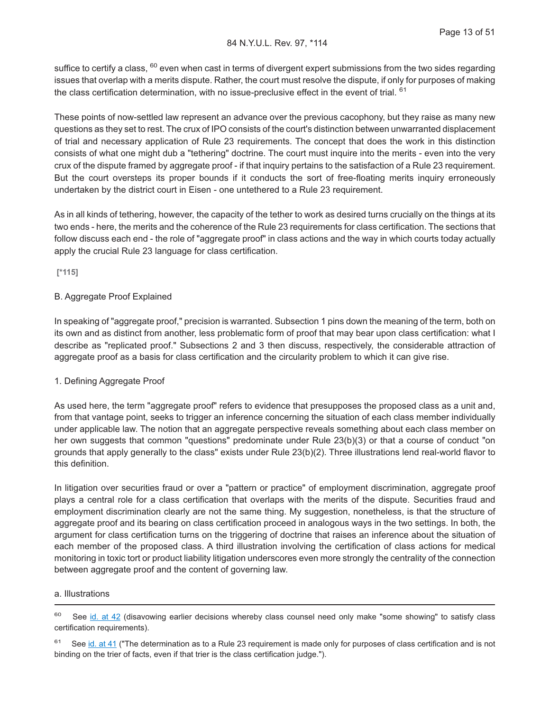suffice to certify a class, <sup>60</sup> even when cast in terms of divergent expert submissions from the two sides regarding issues that overlap with a merits dispute. Rather, the court must resolve the dispute, if only for purposes of making the class certification determination, with no issue-preclusive effect in the event of trial. <sup>61</sup>

These points of now-settled law represent an advance over the previous cacophony, but they raise as many new questions as they set to rest. The crux of IPO consists of the court's distinction between unwarranted displacement of trial and necessary application of Rule 23 requirements. The concept that does the work in this distinction consists of what one might dub a "tethering" doctrine. The court must inquire into the merits - even into the very crux of the dispute framed by aggregate proof - if that inquiry pertains to the satisfaction of a Rule 23 requirement. But the court oversteps its proper bounds if it conducts the sort of free-floating merits inquiry erroneously undertaken by the district court in Eisen - one untethered to a Rule 23 requirement.

As in all kinds of tethering, however, the capacity of the tether to work as desired turns crucially on the things at its two ends - here, the merits and the coherence of the Rule 23 requirements for class certification. The sections that follow discuss each end - the role of "aggregate proof" in class actions and the way in which courts today actually apply the crucial Rule 23 language for class certification.

**[\*115]**

#### B. Aggregate Proof Explained

In speaking of "aggregate proof," precision is warranted. Subsection 1 pins down the meaning of the term, both on its own and as distinct from another, less problematic form of proof that may bear upon class certification: what I describe as "replicated proof." Subsections 2 and 3 then discuss, respectively, the considerable attraction of aggregate proof as a basis for class certification and the circularity problem to which it can give rise.

#### 1. Defining Aggregate Proof

As used here, the term "aggregate proof" refers to evidence that presupposes the proposed class as a unit and, from that vantage point, seeks to trigger an inference concerning the situation of each class member individually under applicable law. The notion that an aggregate perspective reveals something about each class member on her own suggests that common "questions" predominate under Rule 23(b)(3) or that a course of conduct "on grounds that apply generally to the class" exists under Rule 23(b)(2). Three illustrations lend real-world flavor to this definition.

In litigation over securities fraud or over a "pattern or practice" of employment discrimination, aggregate proof plays a central role for a class certification that overlaps with the merits of the dispute. Securities fraud and employment discrimination clearly are not the same thing. My suggestion, nonetheless, is that the structure of aggregate proof and its bearing on class certification proceed in analogous ways in the two settings. In both, the argument for class certification turns on the triggering of doctrine that raises an inference about the situation of each member of the proposed class. A third illustration involving the certification of class actions for medical monitoring in toxic tort or product liability litigation underscores even more strongly the centrality of the connection between aggregate proof and the content of governing law.

#### a. Illustrations

<sup>&</sup>lt;sup>60</sup> See [id. at 42](http://advance.lexis.com/api/document?collection=cases&id=urn:contentItem:4MHB-1K20-0038-X0JC-00000-00&context=1000516) (disavowing earlier decisions whereby class counsel need only make "some showing" to satisfy class certification requirements).

 $61$  See [id. at 41](http://advance.lexis.com/api/document?collection=cases&id=urn:contentItem:4MHB-1K20-0038-X0JC-00000-00&context=1000516) ("The determination as to a Rule 23 requirement is made only for purposes of class certification and is not binding on the trier of facts, even if that trier is the class certification judge.").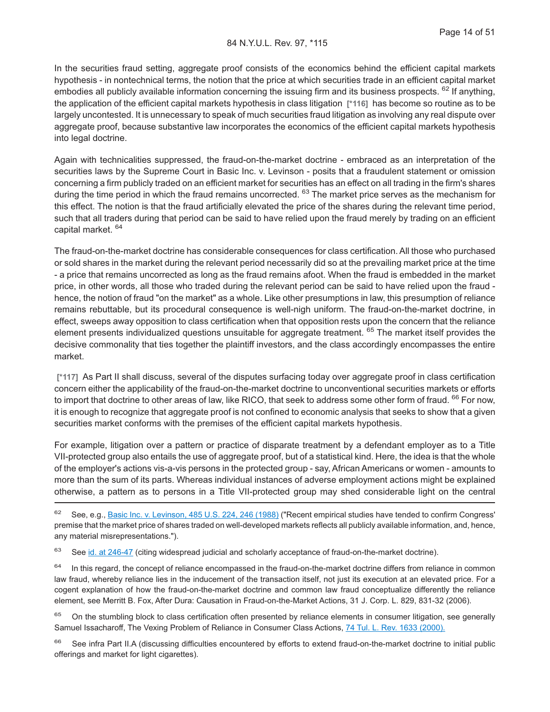In the securities fraud setting, aggregate proof consists of the economics behind the efficient capital markets hypothesis - in nontechnical terms, the notion that the price at which securities trade in an efficient capital market embodies all publicly available information concerning the issuing firm and its business prospects. <sup>62</sup> If anything, the application of the efficient capital markets hypothesis in class litigation **[\*116]** has become so routine as to be largely uncontested. It is unnecessary to speak of much securities fraud litigation as involving any real dispute over aggregate proof, because substantive law incorporates the economics of the efficient capital markets hypothesis into legal doctrine.

Again with technicalities suppressed, the fraud-on-the-market doctrine - embraced as an interpretation of the securities laws by the Supreme Court in Basic Inc. v. Levinson - posits that a fraudulent statement or omission concerning a firm publicly traded on an efficient market for securities has an effect on all trading in the firm's shares during the time period in which the fraud remains uncorrected. <sup>63</sup> The market price serves as the mechanism for this effect. The notion is that the fraud artificially elevated the price of the shares during the relevant time period, such that all traders during that period can be said to have relied upon the fraud merely by trading on an efficient capital market. <sup>64</sup>

The fraud-on-the-market doctrine has considerable consequences for class certification. All those who purchased or sold shares in the market during the relevant period necessarily did so at the prevailing market price at the time - a price that remains uncorrected as long as the fraud remains afoot. When the fraud is embedded in the market price, in other words, all those who traded during the relevant period can be said to have relied upon the fraud hence, the notion of fraud "on the market" as a whole. Like other presumptions in law, this presumption of reliance remains rebuttable, but its procedural consequence is well-nigh uniform. The fraud-on-the-market doctrine, in effect, sweeps away opposition to class certification when that opposition rests upon the concern that the reliance element presents individualized questions unsuitable for aggregate treatment. <sup>65</sup> The market itself provides the decisive commonality that ties together the plaintiff investors, and the class accordingly encompasses the entire market.

**[\*117]** As Part II shall discuss, several of the disputes surfacing today over aggregate proof in class certification concern either the applicability of the fraud-on-the-market doctrine to unconventional securities markets or efforts to import that doctrine to other areas of law, like RICO, that seek to address some other form of fraud. <sup>66</sup> For now, it is enough to recognize that aggregate proof is not confined to economic analysis that seeks to show that a given securities market conforms with the premises of the efficient capital markets hypothesis.

For example, litigation over a pattern or practice of disparate treatment by a defendant employer as to a Title VII-protected group also entails the use of aggregate proof, but of a statistical kind. Here, the idea is that the whole of the employer's actions vis-a-vis persons in the protected group - say, African Americans or women - amounts to more than the sum of its parts. Whereas individual instances of adverse employment actions might be explained otherwise, a pattern as to persons in a Title VII-protected group may shed considerable light on the central

62 See, e.g., [Basic Inc. v. Levinson, 485 U.S. 224, 246 \(1988\)](http://advance.lexis.com/api/document?collection=cases&id=urn:contentItem:3S4X-FKK0-003B-409H-00000-00&context=1000516) ("Recent empirical studies have tended to confirm Congress' premise that the market price of shares traded on well-developed markets reflects all publicly available information, and, hence, any material misrepresentations.").

 $63$  See [id. at 246-47](http://advance.lexis.com/api/document?collection=cases&id=urn:contentItem:3S4X-FKK0-003B-409H-00000-00&context=1000516) (citing widespread judicial and scholarly acceptance of fraud-on-the-market doctrine).

 $64$  In this regard, the concept of reliance encompassed in the fraud-on-the-market doctrine differs from reliance in common law fraud, whereby reliance lies in the inducement of the transaction itself, not just its execution at an elevated price. For a cogent explanation of how the fraud-on-the-market doctrine and common law fraud conceptualize differently the reliance element, see Merritt B. Fox, After Dura: Causation in Fraud-on-the-Market Actions, 31 J. Corp. L. 829, 831-32 (2006).

<sup>65</sup> On the stumbling block to class certification often presented by reliance elements in consumer litigation, see generally Samuel Issacharoff, The Vexing Problem of Reliance in Consumer Class Actions, [74 Tul. L. Rev. 1633 \(2000\).](http://advance.lexis.com/api/document?collection=analytical-materials&id=urn:contentItem:4106-8360-00CW-70VT-00000-00&context=1000516)

66 See infra Part II.A (discussing difficulties encountered by efforts to extend fraud-on-the-market doctrine to initial public offerings and market for light cigarettes).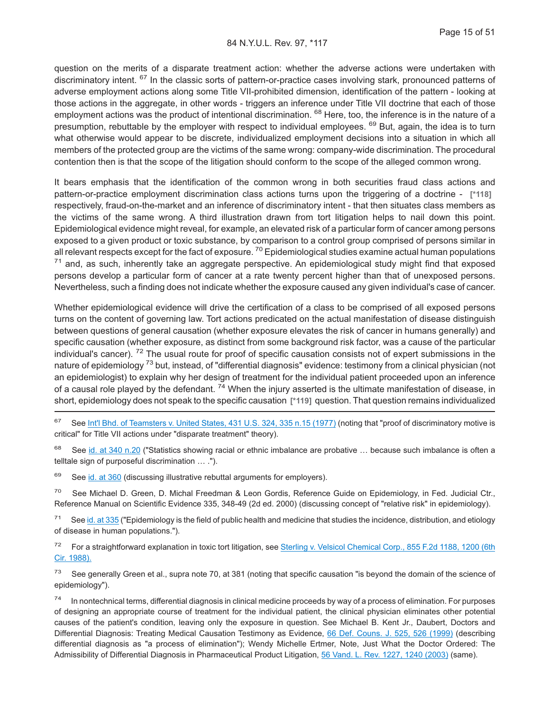question on the merits of a disparate treatment action: whether the adverse actions were undertaken with discriminatory intent. <sup>67</sup> In the classic sorts of pattern-or-practice cases involving stark, pronounced patterns of adverse employment actions along some Title VII-prohibited dimension, identification of the pattern - looking at those actions in the aggregate, in other words - triggers an inference under Title VII doctrine that each of those employment actions was the product of intentional discrimination. <sup>68</sup> Here, too, the inference is in the nature of a presumption, rebuttable by the employer with respect to individual employees. <sup>69</sup> But, again, the idea is to turn what otherwise would appear to be discrete, individualized employment decisions into a situation in which all members of the protected group are the victims of the same wrong: company-wide discrimination. The procedural contention then is that the scope of the litigation should conform to the scope of the alleged common wrong.

It bears emphasis that the identification of the common wrong in both securities fraud class actions and pattern-or-practice employment discrimination class actions turns upon the triggering of a doctrine - **[\*118]** respectively, fraud-on-the-market and an inference of discriminatory intent - that then situates class members as the victims of the same wrong. A third illustration drawn from tort litigation helps to nail down this point. Epidemiological evidence might reveal, for example, an elevated risk of a particular form of cancer among persons exposed to a given product or toxic substance, by comparison to a control group comprised of persons similar in all relevant respects except for the fact of exposure. <sup>70</sup> Epidemiological studies examine actual human populations  $71$  and, as such, inherently take an aggregate perspective. An epidemiological study might find that exposed persons develop a particular form of cancer at a rate twenty percent higher than that of unexposed persons. Nevertheless, such a finding does not indicate whether the exposure caused any given individual's case of cancer.

Whether epidemiological evidence will drive the certification of a class to be comprised of all exposed persons turns on the content of governing law. Tort actions predicated on the actual manifestation of disease distinguish between questions of general causation (whether exposure elevates the risk of cancer in humans generally) and specific causation (whether exposure, as distinct from some background risk factor, was a cause of the particular individual's cancer). <sup>72</sup> The usual route for proof of specific causation consists not of expert submissions in the nature of epidemiology<sup>73</sup> but, instead, of "differential diagnosis" evidence: testimony from a clinical physician (not an epidemiologist) to explain why her design of treatment for the individual patient proceeded upon an inference of a causal role played by the defendant. <sup>74</sup> When the injury asserted is the ultimate manifestation of disease, in short, epidemiology does not speak to the specific causation **[\*119]** question. That question remains individualized

<sup>67</sup> See [Int'l Bhd. of Teamsters v. United States, 431 U.S. 324, 335 n.15 \(1977\)](http://advance.lexis.com/api/document?collection=cases&id=urn:contentItem:3S4X-9G50-003B-S24S-00000-00&context=1000516) (noting that "proof of discriminatory motive is critical" for Title VII actions under "disparate treatment" theory).

<sup>68</sup> See [id. at 340 n.20](http://advance.lexis.com/api/document?collection=cases&id=urn:contentItem:3S4X-9G50-003B-S24S-00000-00&context=1000516) ("Statistics showing racial or ethnic imbalance are probative ... because such imbalance is often a telltale sign of purposeful discrimination … .").

 $69$  See [id. at 360](http://advance.lexis.com/api/document?collection=cases&id=urn:contentItem:3S4X-9G50-003B-S24S-00000-00&context=1000516) (discussing illustrative rebuttal arguments for employers).

<sup>70</sup> See Michael D. Green, D. Michal Freedman & Leon Gordis, Reference Guide on Epidemiology, in Fed. Judicial Ctr., Reference Manual on Scientific Evidence 335, 348-49 (2d ed. 2000) (discussing concept of "relative risk" in epidemiology).

 $71$  See [id. at 335](http://advance.lexis.com/api/document?collection=cases&id=urn:contentItem:3S4X-9G50-003B-S24S-00000-00&context=1000516) ("Epidemiology is the field of public health and medicine that studies the incidence, distribution, and etiology of disease in human populations.").

<sup>72</sup> For a straightforward explanation in toxic tort litigation, see [Sterling v. Velsicol Chemical Corp., 855 F.2d 1188, 1200 \(6th](http://advance.lexis.com/api/document?collection=cases&id=urn:contentItem:3S4W-YG40-001B-K2R6-00000-00&context=1000516) [Cir. 1988\).](http://advance.lexis.com/api/document?collection=cases&id=urn:contentItem:3S4W-YG40-001B-K2R6-00000-00&context=1000516)

<sup>73</sup> See generally Green et al., supra note 70, at 381 (noting that specific causation "is beyond the domain of the science of epidemiology").

In nontechnical terms, differential diagnosis in clinical medicine proceeds by way of a process of elimination. For purposes of designing an appropriate course of treatment for the individual patient, the clinical physician eliminates other potential causes of the patient's condition, leaving only the exposure in question. See Michael B. Kent Jr., Daubert, Doctors and Differential Diagnosis: Treating Medical Causation Testimony as Evidence, [66 Def. Couns. J. 525, 526 \(1999\)](http://advance.lexis.com/api/document?collection=legalnews&id=urn:contentItem:4521-F8T0-00D7-X0BS-00000-00&context=1000516) (describing differential diagnosis as "a process of elimination"); Wendy Michelle Ertmer, Note, Just What the Doctor Ordered: The Admissibility of Differential Diagnosis in Pharmaceutical Product Litigation, [56 Vand. L. Rev. 1227, 1240 \(2003\)](http://advance.lexis.com/api/document?collection=analytical-materials&id=urn:contentItem:49NP-TT80-00CW-70H1-00000-00&context=1000516) (same).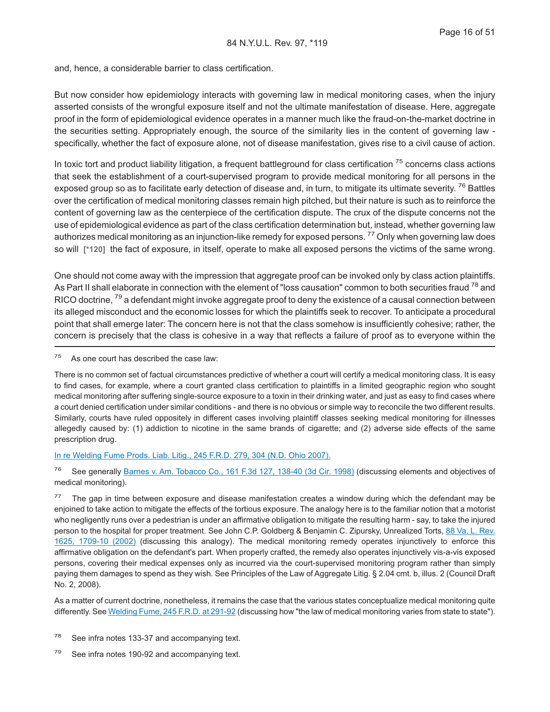and, hence, a considerable barrier to class certification.

But now consider how epidemiology interacts with governing law in medical monitoring cases, when the injury asserted consists of the wrongful exposure itself and not the ultimate manifestation of disease. Here, aggregate proof in the form of epidemiological evidence operates in a manner much like the fraud-on-the-market doctrine in the securities setting. Appropriately enough, the source of the similarity lies in the content of governing law specifically, whether the fact of exposure alone, not of disease manifestation, gives rise to a civil cause of action.

In toxic tort and product liability litigation, a frequent battleground for class certification  $7<sup>5</sup>$  concerns class actions that seek the establishment of a court-supervised program to provide medical monitoring for all persons in the exposed group so as to facilitate early detection of disease and, in turn, to mitigate its ultimate severity.<sup>76</sup> Battles over the certification of medical monitoring classes remain high pitched, but their nature is such as to reinforce the content of governing law as the centerpiece of the certification dispute. The crux of the dispute concerns not the use of epidemiological evidence as part of the class certification determination but, instead, whether governing law authorizes medical monitoring as an injunction-like remedy for exposed persons.<sup>77</sup> Only when governing law does so will **[\*120]** the fact of exposure, in itself, operate to make all exposed persons the victims of the same wrong.

One should not come away with the impression that aggregate proof can be invoked only by class action plaintiffs. As Part II shall elaborate in connection with the element of "loss causation" common to both securities fraud <sup>78</sup> and RICO doctrine,  $^{79}$  a defendant might invoke aggregate proof to deny the existence of a causal connection between its alleged misconduct and the economic losses for which the plaintiffs seek to recover. To anticipate a procedural point that shall emerge later: The concern here is not that the class somehow is insufficiently cohesive; rather, the concern is precisely that the class is cohesive in a way that reflects a failure of proof as to everyone within the

 $75$  As one court has described the case law:

There is no common set of factual circumstances predictive of whether a court will certify a medical monitoring class. It is easy to find cases, for example, where a court granted class certification to plaintiffs in a limited geographic region who sought medical monitoring after suffering single-source exposure to a toxin in their drinking water, and just as easy to find cases where a court denied certification under similar conditions - and there is no obvious or simple way to reconcile the two different results. Similarly, courts have ruled oppositely in different cases involving plaintiff classes seeking medical monitoring for illnesses allegedly caused by: (1) addiction to nicotine in the same brands of cigarette; and (2) adverse side effects of the same prescription drug.

[In re Welding Fume Prods. Liab. Litig., 245 F.R.D. 279, 304 \(N.D. Ohio 2007\).](http://advance.lexis.com/api/document?collection=cases&id=urn:contentItem:4PPX-XX90-TXFR-K38V-00000-00&context=1000516)

<sup>76</sup> See generally [Barnes v. Am. Tobacco Co., 161 F.3d 127, 138-40 \(3d Cir. 1998\)](http://advance.lexis.com/api/document?collection=cases&id=urn:contentItem:3V49-S7N0-0038-X05T-00000-00&context=1000516) (discussing elements and objectives of medical monitoring).

 $77$  The gap in time between exposure and disease manifestation creates a window during which the defendant may be enjoined to take action to mitigate the effects of the tortious exposure. The analogy here is to the familiar notion that a motorist who negligently runs over a pedestrian is under an affirmative obligation to mitigate the resulting harm - say, to take the injured person to the hospital for proper treatment. See John C.P. Goldberg & Benjamin C. Zipursky, Unrealized Torts, [88 Va. L. Rev.](http://advance.lexis.com/api/document?collection=analytical-materials&id=urn:contentItem:47JV-SDC0-00CV-507Y-00000-00&context=1000516) [1625, 1709-10 \(2002\)](http://advance.lexis.com/api/document?collection=analytical-materials&id=urn:contentItem:47JV-SDC0-00CV-507Y-00000-00&context=1000516) (discussing this analogy). The medical monitoring remedy operates injunctively to enforce this affirmative obligation on the defendant's part. When properly crafted, the remedy also operates injunctively vis-a-vis exposed persons, covering their medical expenses only as incurred via the court-supervised monitoring program rather than simply paying them damages to spend as they wish. See Principles of the Law of Aggregate Litig. § 2.04 cmt. b, illus. 2 (Council Draft No. 2, 2008).

As a matter of current doctrine, nonetheless, it remains the case that the various states conceptualize medical monitoring quite differently. See [Welding Fume, 245 F.R.D. at 291-92](http://advance.lexis.com/api/document?collection=cases&id=urn:contentItem:4PPX-XX90-TXFR-K38V-00000-00&context=1000516) (discussing how "the law of medical monitoring varies from state to state").

- <sup>78</sup> See infra notes 133-37 and accompanying text.
- $79$  See infra notes 190-92 and accompanying text.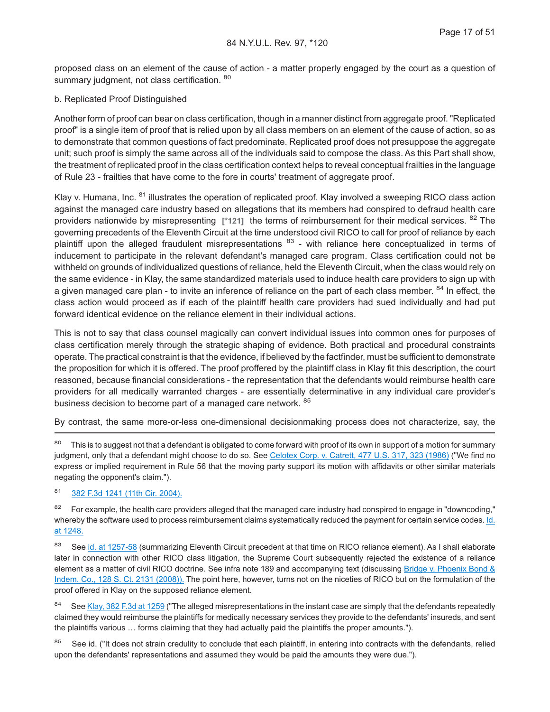proposed class on an element of the cause of action - a matter properly engaged by the court as a question of summary judgment, not class certification. <sup>80</sup>

#### b. Replicated Proof Distinguished

Another form of proof can bear on class certification, though in a manner distinct from aggregate proof. "Replicated proof" is a single item of proof that is relied upon by all class members on an element of the cause of action, so as to demonstrate that common questions of fact predominate. Replicated proof does not presuppose the aggregate unit; such proof is simply the same across all of the individuals said to compose the class. As this Part shall show, the treatment of replicated proof in the class certification context helps to reveal conceptual frailties in the language of Rule 23 - frailties that have come to the fore in courts' treatment of aggregate proof.

Klay v. Humana, Inc. <sup>81</sup> illustrates the operation of replicated proof. Klay involved a sweeping RICO class action against the managed care industry based on allegations that its members had conspired to defraud health care providers nationwide by misrepresenting **[\*121]** the terms of reimbursement for their medical services. <sup>82</sup> The governing precedents of the Eleventh Circuit at the time understood civil RICO to call for proof of reliance by each plaintiff upon the alleged fraudulent misrepresentations <sup>83</sup> - with reliance here conceptualized in terms of inducement to participate in the relevant defendant's managed care program. Class certification could not be withheld on grounds of individualized questions of reliance, held the Eleventh Circuit, when the class would rely on the same evidence - in Klay, the same standardized materials used to induce health care providers to sign up with a given managed care plan - to invite an inference of reliance on the part of each class member. <sup>84</sup> In effect, the class action would proceed as if each of the plaintiff health care providers had sued individually and had put forward identical evidence on the reliance element in their individual actions.

This is not to say that class counsel magically can convert individual issues into common ones for purposes of class certification merely through the strategic shaping of evidence. Both practical and procedural constraints operate. The practical constraint is that the evidence, if believed by the factfinder, must be sufficient to demonstrate the proposition for which it is offered. The proof proffered by the plaintiff class in Klay fit this description, the court reasoned, because financial considerations - the representation that the defendants would reimburse health care providers for all medically warranted charges - are essentially determinative in any individual care provider's business decision to become part of a managed care network. <sup>85</sup>

By contrast, the same more-or-less one-dimensional decisionmaking process does not characterize, say, the

<sup>80</sup> This is to suggest not that a defendant is obligated to come forward with proof of its own in support of a motion for summary judgment, only that a defendant might choose to do so. See [Celotex Corp. v. Catrett, 477 U.S. 317, 323 \(1986\)](http://advance.lexis.com/api/document?collection=cases&id=urn:contentItem:3S4X-6HC0-0039-N37R-00000-00&context=1000516) ("We find no express or implied requirement in Rule 56 that the moving party support its motion with affidavits or other similar materials negating the opponent's claim.").

### <sup>81</sup> [382 F.3d 1241 \(11th Cir. 2004\).](http://advance.lexis.com/api/document?collection=cases&id=urn:contentItem:4D76-3YS0-0038-X0B6-00000-00&context=1000516)

<sup>82</sup> For example, the health care providers alleged that the managed care industry had conspired to engage in "downcoding," whereby the software used to process reimbursement claims systematically reduced the payment for certain service codes. [Id.](http://advance.lexis.com/api/document?collection=cases&id=urn:contentItem:4D76-3YS0-0038-X0B6-00000-00&context=1000516) [at 1248.](http://advance.lexis.com/api/document?collection=cases&id=urn:contentItem:4D76-3YS0-0038-X0B6-00000-00&context=1000516)

83 See [id. at 1257-58](http://advance.lexis.com/api/document?collection=cases&id=urn:contentItem:4D76-3YS0-0038-X0B6-00000-00&context=1000516) (summarizing Eleventh Circuit precedent at that time on RICO reliance element). As I shall elaborate later in connection with other RICO class litigation, the Supreme Court subsequently rejected the existence of a reliance element as a matter of civil RICO doctrine. See infra note 189 and accompanying text (discussing [Bridge v. Phoenix Bond &](http://advance.lexis.com/api/document?collection=cases&id=urn:contentItem:4SPS-PSH0-TXFX-12X7-00000-00&context=1000516) [Indem. Co., 128 S. Ct. 2131 \(2008\)\).](http://advance.lexis.com/api/document?collection=cases&id=urn:contentItem:4SPS-PSH0-TXFX-12X7-00000-00&context=1000516) The point here, however, turns not on the niceties of RICO but on the formulation of the proof offered in Klay on the supposed reliance element.

84 See [Klay, 382 F.3d at 1259](http://advance.lexis.com/api/document?collection=cases&id=urn:contentItem:4D76-3YS0-0038-X0B6-00000-00&context=1000516) ("The alleged misrepresentations in the instant case are simply that the defendants repeatedly claimed they would reimburse the plaintiffs for medically necessary services they provide to the defendants' insureds, and sent the plaintiffs various … forms claiming that they had actually paid the plaintiffs the proper amounts.").

See id. ("It does not strain credulity to conclude that each plaintiff, in entering into contracts with the defendants, relied upon the defendants' representations and assumed they would be paid the amounts they were due.").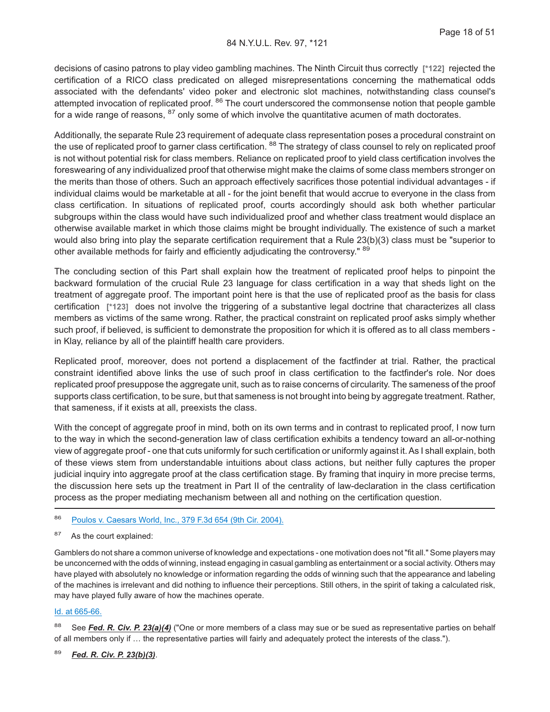decisions of casino patrons to play video gambling machines. The Ninth Circuit thus correctly **[\*122]** rejected the certification of a RICO class predicated on alleged misrepresentations concerning the mathematical odds associated with the defendants' video poker and electronic slot machines, notwithstanding class counsel's attempted invocation of replicated proof. <sup>86</sup> The court underscored the commonsense notion that people gamble for a wide range of reasons, <sup>87</sup> only some of which involve the quantitative acumen of math doctorates.

Additionally, the separate Rule 23 requirement of adequate class representation poses a procedural constraint on the use of replicated proof to garner class certification. <sup>88</sup> The strategy of class counsel to rely on replicated proof is not without potential risk for class members. Reliance on replicated proof to yield class certification involves the foreswearing of any individualized proof that otherwise might make the claims of some class members stronger on the merits than those of others. Such an approach effectively sacrifices those potential individual advantages - if individual claims would be marketable at all - for the joint benefit that would accrue to everyone in the class from class certification. In situations of replicated proof, courts accordingly should ask both whether particular subgroups within the class would have such individualized proof and whether class treatment would displace an otherwise available market in which those claims might be brought individually. The existence of such a market would also bring into play the separate certification requirement that a Rule 23(b)(3) class must be "superior to other available methods for fairly and efficiently adjudicating the controversy." <sup>89</sup>

The concluding section of this Part shall explain how the treatment of replicated proof helps to pinpoint the backward formulation of the crucial Rule 23 language for class certification in a way that sheds light on the treatment of aggregate proof. The important point here is that the use of replicated proof as the basis for class certification **[\*123]** does not involve the triggering of a substantive legal doctrine that characterizes all class members as victims of the same wrong. Rather, the practical constraint on replicated proof asks simply whether such proof, if believed, is sufficient to demonstrate the proposition for which it is offered as to all class members in Klay, reliance by all of the plaintiff health care providers.

Replicated proof, moreover, does not portend a displacement of the factfinder at trial. Rather, the practical constraint identified above links the use of such proof in class certification to the factfinder's role. Nor does replicated proof presuppose the aggregate unit, such as to raise concerns of circularity. The sameness of the proof supports class certification, to be sure, but that sameness is not brought into being by aggregate treatment. Rather, that sameness, if it exists at all, preexists the class.

With the concept of aggregate proof in mind, both on its own terms and in contrast to replicated proof, I now turn to the way in which the second-generation law of class certification exhibits a tendency toward an all-or-nothing view of aggregate proof - one that cuts uniformly for such certification or uniformly against it. As I shall explain, both of these views stem from understandable intuitions about class actions, but neither fully captures the proper judicial inquiry into aggregate proof at the class certification stage. By framing that inquiry in more precise terms, the discussion here sets up the treatment in Part II of the centrality of law-declaration in the class certification process as the proper mediating mechanism between all and nothing on the certification question.

- <sup>86</sup> [Poulos v. Caesars World, Inc., 379 F.3d 654 \(9th Cir. 2004\).](http://advance.lexis.com/api/document?collection=cases&id=urn:contentItem:4D2G-RDH0-0038-X37W-00000-00&context=1000516)
- 87 As the court explained:

Gamblers do not share a common universe of knowledge and expectations - one motivation does not "fit all." Some players may be unconcerned with the odds of winning, instead engaging in casual gambling as entertainment or a social activity. Others may have played with absolutely no knowledge or information regarding the odds of winning such that the appearance and labeling of the machines is irrelevant and did nothing to influence their perceptions. Still others, in the spirit of taking a calculated risk, may have played fully aware of how the machines operate.

#### [Id. at 665-66.](http://advance.lexis.com/api/document?collection=cases&id=urn:contentItem:4D2G-RDH0-0038-X37W-00000-00&context=1000516)

88 See *Fed. R. Civ. P. 23(a)(4)* ("One or more members of a class may sue or be sued as representative parties on behalf of all members only if … the representative parties will fairly and adequately protect the interests of the class.").

<sup>89</sup> *Fed. R. Civ. P. 23(b)(3)*.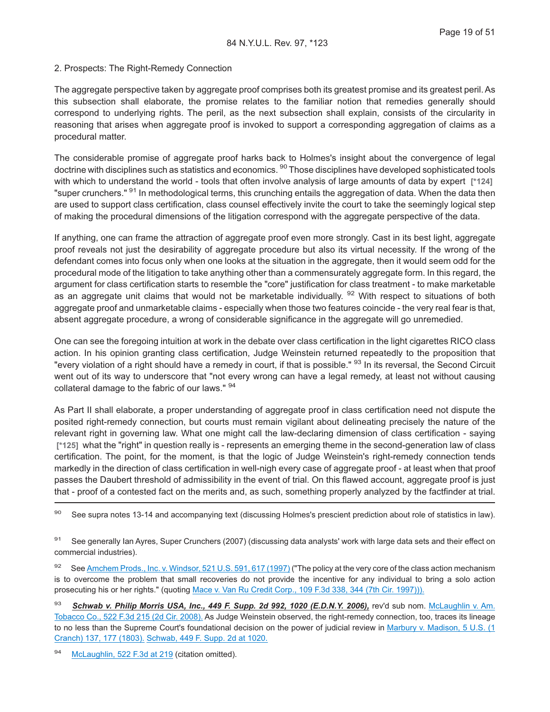#### 2. Prospects: The Right-Remedy Connection

The aggregate perspective taken by aggregate proof comprises both its greatest promise and its greatest peril. As this subsection shall elaborate, the promise relates to the familiar notion that remedies generally should correspond to underlying rights. The peril, as the next subsection shall explain, consists of the circularity in reasoning that arises when aggregate proof is invoked to support a corresponding aggregation of claims as a procedural matter.

The considerable promise of aggregate proof harks back to Holmes's insight about the convergence of legal doctrine with disciplines such as statistics and economics. <sup>90</sup> Those disciplines have developed sophisticated tools with which to understand the world - tools that often involve analysis of large amounts of data by expert **[\*124]** "super crunchers." <sup>91</sup> In methodological terms, this crunching entails the aggregation of data. When the data then are used to support class certification, class counsel effectively invite the court to take the seemingly logical step of making the procedural dimensions of the litigation correspond with the aggregate perspective of the data.

If anything, one can frame the attraction of aggregate proof even more strongly. Cast in its best light, aggregate proof reveals not just the desirability of aggregate procedure but also its virtual necessity. If the wrong of the defendant comes into focus only when one looks at the situation in the aggregate, then it would seem odd for the procedural mode of the litigation to take anything other than a commensurately aggregate form. In this regard, the argument for class certification starts to resemble the "core" justification for class treatment - to make marketable as an aggregate unit claims that would not be marketable individually. <sup>92</sup> With respect to situations of both aggregate proof and unmarketable claims - especially when those two features coincide - the very real fear is that, absent aggregate procedure, a wrong of considerable significance in the aggregate will go unremedied.

One can see the foregoing intuition at work in the debate over class certification in the light cigarettes RICO class action. In his opinion granting class certification, Judge Weinstein returned repeatedly to the proposition that "every violation of a right should have a remedy in court, if that is possible." <sup>93</sup> In its reversal, the Second Circuit went out of its way to underscore that "not every wrong can have a legal remedy, at least not without causing collateral damage to the fabric of our laws." <sup>94</sup>

As Part II shall elaborate, a proper understanding of aggregate proof in class certification need not dispute the posited right-remedy connection, but courts must remain vigilant about delineating precisely the nature of the relevant right in governing law. What one might call the law-declaring dimension of class certification - saying **[\*125]** what the "right" in question really is - represents an emerging theme in the second-generation law of class certification. The point, for the moment, is that the logic of Judge Weinstein's right-remedy connection tends markedly in the direction of class certification in well-nigh every case of aggregate proof - at least when that proof passes the Daubert threshold of admissibility in the event of trial. On this flawed account, aggregate proof is just that - proof of a contested fact on the merits and, as such, something properly analyzed by the factfinder at trial.

90 See supra notes 13-14 and accompanying text (discussing Holmes's prescient prediction about role of statistics in law).

91 See generally Ian Ayres, Super Crunchers (2007) (discussing data analysts' work with large data sets and their effect on commercial industries).

92 See [Amchem Prods., Inc. v. Windsor, 521 U.S. 591, 617 \(1997\)](http://advance.lexis.com/api/document?collection=cases&id=urn:contentItem:3RV9-HGW0-003B-R17N-00000-00&context=1000516) ("The policy at the very core of the class action mechanism is to overcome the problem that small recoveries do not provide the incentive for any individual to bring a solo action prosecuting his or her rights." (quoting [Mace v. Van Ru Credit Corp., 109 F.3d 338, 344 \(7th Cir. 1997\)\)\).](http://advance.lexis.com/api/document?collection=cases&id=urn:contentItem:3S4X-HYP0-00B1-D4S0-00000-00&context=1000516)

93 *Schwab v. Philip Morris USA, Inc., 449 F. Supp. 2d 992, 1020 (E.D.N.Y. 2006)*, rev'd sub nom. [McLaughlin v. Am.](http://advance.lexis.com/api/document?collection=cases&id=urn:contentItem:4S6M-SC10-TXFX-41XK-00000-00&context=1000516) [Tobacco Co., 522 F.3d 215 \(2d Cir. 2008\).](http://advance.lexis.com/api/document?collection=cases&id=urn:contentItem:4S6M-SC10-TXFX-41XK-00000-00&context=1000516) As Judge Weinstein observed, the right-remedy connection, too, traces its lineage to no less than the Supreme Court's foundational decision on the power of judicial review in [Marbury v. Madison, 5 U.S. \(1](http://advance.lexis.com/api/document?collection=cases&id=urn:contentItem:3S4X-KWW0-003B-H16C-00000-00&context=1000516) [Cranch\) 137, 177 \(1803\).](http://advance.lexis.com/api/document?collection=cases&id=urn:contentItem:3S4X-KWW0-003B-H16C-00000-00&context=1000516) [Schwab, 449 F. Supp. 2d at 1020.](http://advance.lexis.com/api/document?collection=cases&id=urn:contentItem:4M34-CTT0-0038-Y51H-00000-02&context=1000516)

94 [McLaughlin, 522 F.3d at 219](http://advance.lexis.com/api/document?collection=cases&id=urn:contentItem:4S6M-SC10-TXFX-41XK-00000-00&context=1000516) (citation omitted).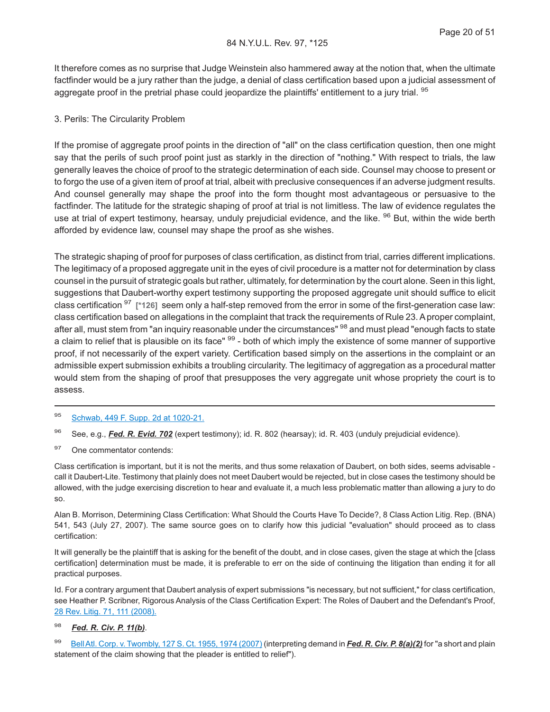It therefore comes as no surprise that Judge Weinstein also hammered away at the notion that, when the ultimate factfinder would be a jury rather than the judge, a denial of class certification based upon a judicial assessment of aggregate proof in the pretrial phase could jeopardize the plaintiffs' entitlement to a jury trial. <sup>95</sup>

#### 3. Perils: The Circularity Problem

If the promise of aggregate proof points in the direction of "all" on the class certification question, then one might say that the perils of such proof point just as starkly in the direction of "nothing." With respect to trials, the law generally leaves the choice of proof to the strategic determination of each side. Counsel may choose to present or to forgo the use of a given item of proof at trial, albeit with preclusive consequences if an adverse judgment results. And counsel generally may shape the proof into the form thought most advantageous or persuasive to the factfinder. The latitude for the strategic shaping of proof at trial is not limitless. The law of evidence regulates the use at trial of expert testimony, hearsay, unduly prejudicial evidence, and the like. <sup>96</sup> But, within the wide berth afforded by evidence law, counsel may shape the proof as she wishes.

The strategic shaping of proof for purposes of class certification, as distinct from trial, carries different implications. The legitimacy of a proposed aggregate unit in the eyes of civil procedure is a matter not for determination by class counsel in the pursuit of strategic goals but rather, ultimately, for determination by the court alone. Seen in this light, suggestions that Daubert-worthy expert testimony supporting the proposed aggregate unit should suffice to elicit class certification <sup>97</sup> **[\*126]** seem only a half-step removed from the error in some of the first-generation case law: class certification based on allegations in the complaint that track the requirements of Rule 23. A proper complaint, after all, must stem from "an inquiry reasonable under the circumstances" <sup>98</sup> and must plead "enough facts to state a claim to relief that is plausible on its face" <sup>99</sup> - both of which imply the existence of some manner of supportive proof, if not necessarily of the expert variety. Certification based simply on the assertions in the complaint or an admissible expert submission exhibits a troubling circularity. The legitimacy of aggregation as a procedural matter would stem from the shaping of proof that presupposes the very aggregate unit whose propriety the court is to assess.

#### <sup>95</sup> [Schwab, 449 F. Supp. 2d at 1020-21.](http://advance.lexis.com/api/document?collection=cases&id=urn:contentItem:4M34-CTT0-0038-Y51H-00000-02&context=1000516)

- <sup>96</sup> See, e.g., *Fed. R. Evid. 702* (expert testimony); id. R. 802 (hearsay); id. R. 403 (unduly prejudicial evidence).
- 97 One commentator contends:

Class certification is important, but it is not the merits, and thus some relaxation of Daubert, on both sides, seems advisable call it Daubert-Lite. Testimony that plainly does not meet Daubert would be rejected, but in close cases the testimony should be allowed, with the judge exercising discretion to hear and evaluate it, a much less problematic matter than allowing a jury to do so.

Alan B. Morrison, Determining Class Certification: What Should the Courts Have To Decide?, 8 Class Action Litig. Rep. (BNA) 541, 543 (July 27, 2007). The same source goes on to clarify how this judicial "evaluation" should proceed as to class certification:

It will generally be the plaintiff that is asking for the benefit of the doubt, and in close cases, given the stage at which the [class certification] determination must be made, it is preferable to err on the side of continuing the litigation than ending it for all practical purposes.

Id. For a contrary argument that Daubert analysis of expert submissions "is necessary, but not sufficient," for class certification, see Heather P. Scribner, Rigorous Analysis of the Class Certification Expert: The Roles of Daubert and the Defendant's Proof, [28 Rev. Litig. 71, 111 \(2008\).](http://advance.lexis.com/api/document?collection=analytical-materials&id=urn:contentItem:4VG8-P460-00CV-90WK-00000-00&context=1000516)

#### <sup>98</sup> *Fed. R. Civ. P. 11(b)*.

<sup>99</sup> [BellAtl. Corp. v. Twombly, 127 S. Ct. 1955, 1974 \(2007\)](http://advance.lexis.com/api/document?collection=cases&id=urn:contentItem:4NSN-8840-004C-002M-00000-00&context=1000516) (interpreting demand in *Fed. R. Civ. P. 8(a)(2)* for "a short and plain statement of the claim showing that the pleader is entitled to relief").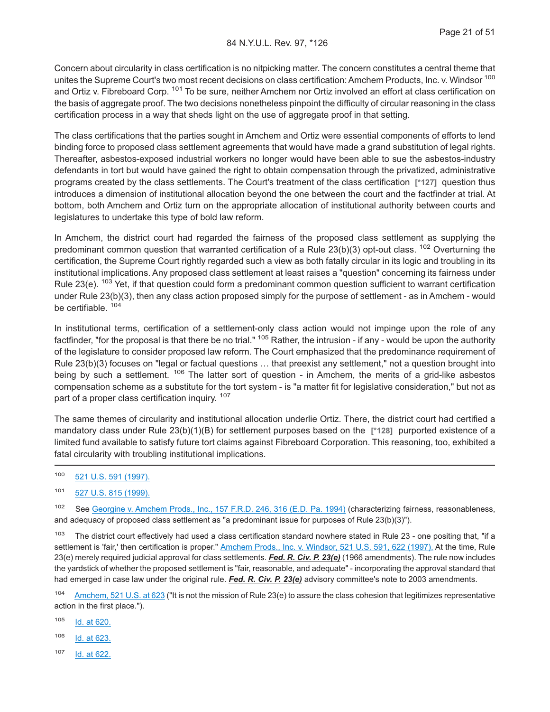Concern about circularity in class certification is no nitpicking matter. The concern constitutes a central theme that unites the Supreme Court's two most recent decisions on class certification: Amchem Products, Inc. v. Windsor 100 and Ortiz v. Fibreboard Corp. <sup>101</sup> To be sure, neither Amchem nor Ortiz involved an effort at class certification on the basis of aggregate proof. The two decisions nonetheless pinpoint the difficulty of circular reasoning in the class certification process in a way that sheds light on the use of aggregate proof in that setting.

The class certifications that the parties sought in Amchem and Ortiz were essential components of efforts to lend binding force to proposed class settlement agreements that would have made a grand substitution of legal rights. Thereafter, asbestos-exposed industrial workers no longer would have been able to sue the asbestos-industry defendants in tort but would have gained the right to obtain compensation through the privatized, administrative programs created by the class settlements. The Court's treatment of the class certification **[\*127]** question thus introduces a dimension of institutional allocation beyond the one between the court and the factfinder at trial. At bottom, both Amchem and Ortiz turn on the appropriate allocation of institutional authority between courts and legislatures to undertake this type of bold law reform.

In Amchem, the district court had regarded the fairness of the proposed class settlement as supplying the predominant common question that warranted certification of a Rule 23(b)(3) opt-out class. <sup>102</sup> Overturning the certification, the Supreme Court rightly regarded such a view as both fatally circular in its logic and troubling in its institutional implications. Any proposed class settlement at least raises a "question" concerning its fairness under Rule 23(e).  $103$  Yet, if that question could form a predominant common question sufficient to warrant certification under Rule 23(b)(3), then any class action proposed simply for the purpose of settlement - as in Amchem - would be certifiable.<sup>104</sup>

In institutional terms, certification of a settlement-only class action would not impinge upon the role of any factfinder, "for the proposal is that there be no trial." <sup>105</sup> Rather, the intrusion - if any - would be upon the authority of the legislature to consider proposed law reform. The Court emphasized that the predominance requirement of Rule 23(b)(3) focuses on "legal or factual questions … that preexist any settlement," not a question brought into being by such a settlement. <sup>106</sup> The latter sort of question - in Amchem, the merits of a grid-like asbestos compensation scheme as a substitute for the tort system - is "a matter fit for legislative consideration," but not as part of a proper class certification inquiry. <sup>107</sup>

The same themes of circularity and institutional allocation underlie Ortiz. There, the district court had certified a mandatory class under Rule 23(b)(1)(B) for settlement purposes based on the **[\*128]** purported existence of a limited fund available to satisfy future tort claims against Fibreboard Corporation. This reasoning, too, exhibited a fatal circularity with troubling institutional implications.

- <sup>100</sup> [521 U.S. 591 \(1997\).](http://advance.lexis.com/api/document?collection=cases&id=urn:contentItem:3RV9-HGW0-003B-R17N-00000-00&context=1000516)
- <sup>101</sup> [527 U.S. 815 \(1999\).](http://advance.lexis.com/api/document?collection=cases&id=urn:contentItem:3WSK-9JC0-004B-Y01T-00000-00&context=1000516)

102 See [Georgine v. Amchem Prods., Inc., 157 F.R.D. 246, 316 \(E.D. Pa. 1994\)](http://advance.lexis.com/api/document?collection=cases&id=urn:contentItem:3RRC-W3P0-003B-V02G-00000-00&context=1000516) (characterizing fairness, reasonableness, and adequacy of proposed class settlement as "a predominant issue for purposes of Rule 23(b)(3)").

 $103$  The district court effectively had used a class certification standard nowhere stated in Rule 23 - one positing that, "if a settlement is 'fair,' then certification is proper." [Amchem Prods., Inc. v. Windsor, 521 U.S. 591, 622 \(1997\).](http://advance.lexis.com/api/document?collection=cases&id=urn:contentItem:3RV9-HGW0-003B-R17N-00000-00&context=1000516) At the time, Rule 23(e) merely required judicial approval for class settlements. *Fed. R. Civ. P. 23(e)* (1966 amendments). The rule now includes the yardstick of whether the proposed settlement is "fair, reasonable, and adequate" - incorporating the approval standard that had emerged in case law under the original rule. *Fed. R. Civ. P. 23(e)* advisory committee's note to 2003 amendments.

104 [Amchem, 521 U.S. at 623](http://advance.lexis.com/api/document?collection=cases&id=urn:contentItem:3RV9-HGW0-003B-R17N-00000-00&context=1000516) ("It is not the mission of Rule 23(e) to assure the class cohesion that legitimizes representative action in the first place.").

- <sup>105</sup> [Id. at 620.](http://advance.lexis.com/api/document?collection=cases&id=urn:contentItem:3RV9-HGW0-003B-R17N-00000-00&context=1000516)
- <sup>106</sup> [Id. at 623.](http://advance.lexis.com/api/document?collection=cases&id=urn:contentItem:3RV9-HGW0-003B-R17N-00000-00&context=1000516)
- <sup>107</sup> [Id. at 622.](http://advance.lexis.com/api/document?collection=cases&id=urn:contentItem:3RV9-HGW0-003B-R17N-00000-00&context=1000516)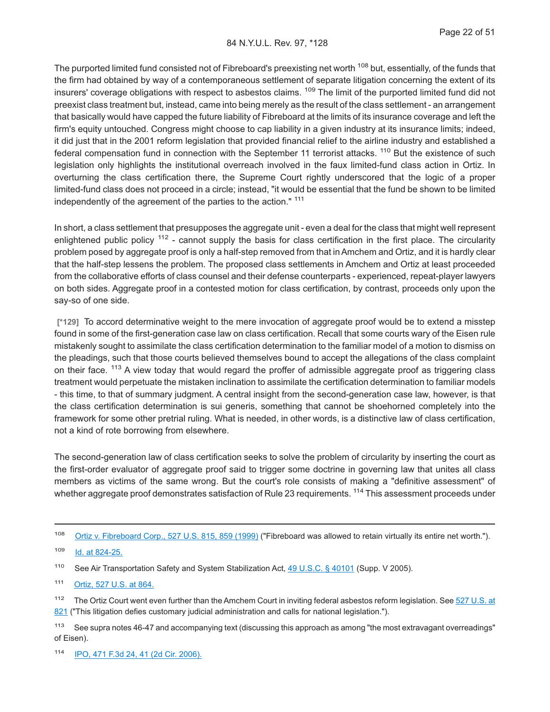The purported limited fund consisted not of Fibreboard's preexisting net worth <sup>108</sup> but, essentially, of the funds that the firm had obtained by way of a contemporaneous settlement of separate litigation concerning the extent of its insurers' coverage obligations with respect to asbestos claims. <sup>109</sup> The limit of the purported limited fund did not preexist class treatment but, instead, came into being merely as the result of the class settlement - an arrangement that basically would have capped the future liability of Fibreboard at the limits of its insurance coverage and left the firm's equity untouched. Congress might choose to cap liability in a given industry at its insurance limits; indeed, it did just that in the 2001 reform legislation that provided financial relief to the airline industry and established a federal compensation fund in connection with the September 11 terrorist attacks. <sup>110</sup> But the existence of such legislation only highlights the institutional overreach involved in the faux limited-fund class action in Ortiz. In overturning the class certification there, the Supreme Court rightly underscored that the logic of a proper limited-fund class does not proceed in a circle; instead, "it would be essential that the fund be shown to be limited independently of the agreement of the parties to the action." <sup>111</sup>

In short, a class settlement that presupposes the aggregate unit - even a deal for the class that might well represent enlightened public policy  $112$  - cannot supply the basis for class certification in the first place. The circularity problem posed by aggregate proof is only a half-step removed from that in Amchem and Ortiz, and it is hardly clear that the half-step lessens the problem. The proposed class settlements in Amchem and Ortiz at least proceeded from the collaborative efforts of class counsel and their defense counterparts - experienced, repeat-player lawyers on both sides. Aggregate proof in a contested motion for class certification, by contrast, proceeds only upon the say-so of one side.

**[\*129]** To accord determinative weight to the mere invocation of aggregate proof would be to extend a misstep found in some of the first-generation case law on class certification. Recall that some courts wary of the Eisen rule mistakenly sought to assimilate the class certification determination to the familiar model of a motion to dismiss on the pleadings, such that those courts believed themselves bound to accept the allegations of the class complaint on their face. <sup>113</sup> A view today that would regard the proffer of admissible aggregate proof as triggering class treatment would perpetuate the mistaken inclination to assimilate the certification determination to familiar models - this time, to that of summary judgment. A central insight from the second-generation case law, however, is that the class certification determination is sui generis, something that cannot be shoehorned completely into the framework for some other pretrial ruling. What is needed, in other words, is a distinctive law of class certification, not a kind of rote borrowing from elsewhere.

The second-generation law of class certification seeks to solve the problem of circularity by inserting the court as the first-order evaluator of aggregate proof said to trigger some doctrine in governing law that unites all class members as victims of the same wrong. But the court's role consists of making a "definitive assessment" of whether aggregate proof demonstrates satisfaction of Rule 23 requirements. <sup>114</sup> This assessment proceeds under

<sup>108</sup> [Ortiz v. Fibreboard Corp., 527 U.S. 815, 859 \(1999\)](http://advance.lexis.com/api/document?collection=cases&id=urn:contentItem:3WSK-9JC0-004B-Y01T-00000-00&context=1000516) ("Fibreboard was allowed to retain virtually its entire net worth.").

<sup>109</sup> [Id. at 824-25.](http://advance.lexis.com/api/document?collection=cases&id=urn:contentItem:3WSK-9JC0-004B-Y01T-00000-00&context=1000516)

<sup>110</sup> See Air Transportation Safety and System Stabilization Act, [49 U.S.C. § 40101](http://advance.lexis.com/api/document?collection=statutes-legislation&id=urn:contentItem:4YF7-GSD1-NRF4-422C-00000-00&context=1000516) (Supp. V 2005).

<sup>111</sup> [Ortiz, 527 U.S. at 864.](http://advance.lexis.com/api/document?collection=cases&id=urn:contentItem:3WSK-9JC0-004B-Y01T-00000-00&context=1000516)

<sup>112</sup> The Ortiz Court went even further than the Amchem Court in inviting federal asbestos reform legislation. See [527 U.S. at](http://advance.lexis.com/api/document?collection=cases&id=urn:contentItem:3WSK-9JC0-004B-Y01T-00000-00&context=1000516) [821](http://advance.lexis.com/api/document?collection=cases&id=urn:contentItem:3WSK-9JC0-004B-Y01T-00000-00&context=1000516) ("This litigation defies customary judicial administration and calls for national legislation.").

<sup>&</sup>lt;sup>113</sup> See supra notes 46-47 and accompanying text (discussing this approach as among "the most extravagant overreadings" of Eisen).

<sup>114</sup> [IPO, 471 F.3d 24, 41 \(2d Cir. 2006\).](http://advance.lexis.com/api/document?collection=cases&id=urn:contentItem:4MHB-1K20-0038-X0JC-00000-00&context=1000516)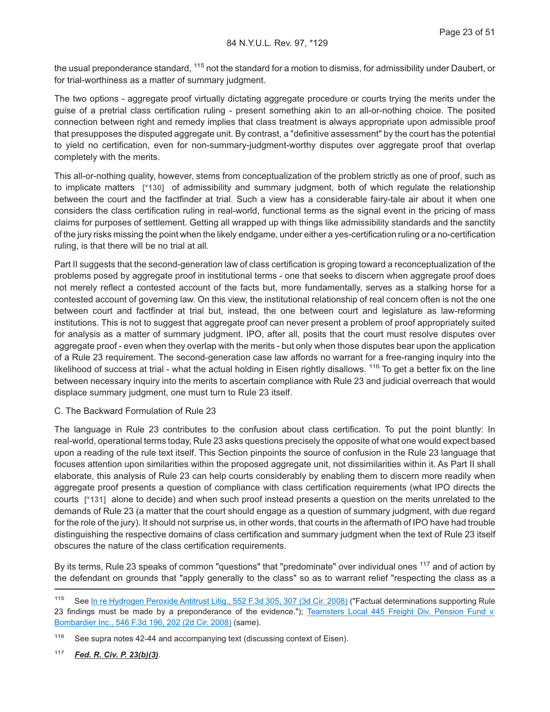the usual preponderance standard, <sup>115</sup> not the standard for a motion to dismiss, for admissibility under Daubert, or for trial-worthiness as a matter of summary judgment.

The two options - aggregate proof virtually dictating aggregate procedure or courts trying the merits under the guise of a pretrial class certification ruling - present something akin to an all-or-nothing choice. The posited connection between right and remedy implies that class treatment is always appropriate upon admissible proof that presupposes the disputed aggregate unit. By contrast, a "definitive assessment" by the court has the potential to yield no certification, even for non-summary-judgment-worthy disputes over aggregate proof that overlap completely with the merits.

This all-or-nothing quality, however, stems from conceptualization of the problem strictly as one of proof, such as to implicate matters **[\*130]** of admissibility and summary judgment, both of which regulate the relationship between the court and the factfinder at trial. Such a view has a considerable fairy-tale air about it when one considers the class certification ruling in real-world, functional terms as the signal event in the pricing of mass claims for purposes of settlement. Getting all wrapped up with things like admissibility standards and the sanctity of the jury risks missing the point when the likely endgame, under either a yes-certification ruling or a no-certification ruling, is that there will be no trial at all.

Part II suggests that the second-generation law of class certification is groping toward a reconceptualization of the problems posed by aggregate proof in institutional terms - one that seeks to discern when aggregate proof does not merely reflect a contested account of the facts but, more fundamentally, serves as a stalking horse for a contested account of governing law. On this view, the institutional relationship of real concern often is not the one between court and factfinder at trial but, instead, the one between court and legislature as law-reforming institutions. This is not to suggest that aggregate proof can never present a problem of proof appropriately suited for analysis as a matter of summary judgment. IPO, after all, posits that the court must resolve disputes over aggregate proof - even when they overlap with the merits - but only when those disputes bear upon the application of a Rule 23 requirement. The second-generation case law affords no warrant for a free-ranging inquiry into the likelihood of success at trial - what the actual holding in Eisen rightly disallows. <sup>116</sup> To get a better fix on the line between necessary inquiry into the merits to ascertain compliance with Rule 23 and judicial overreach that would displace summary judgment, one must turn to Rule 23 itself.

#### C. The Backward Formulation of Rule 23

The language in Rule 23 contributes to the confusion about class certification. To put the point bluntly: In real-world, operational terms today, Rule 23 asks questions precisely the opposite of what one would expect based upon a reading of the rule text itself. This Section pinpoints the source of confusion in the Rule 23 language that focuses attention upon similarities within the proposed aggregate unit, not dissimilarities within it. As Part II shall elaborate, this analysis of Rule 23 can help courts considerably by enabling them to discern more readily when aggregate proof presents a question of compliance with class certification requirements (what IPO directs the courts **[\*131]** alone to decide) and when such proof instead presents a question on the merits unrelated to the demands of Rule 23 (a matter that the court should engage as a question of summary judgment, with due regard for the role of the jury). It should not surprise us, in other words, that courts in the aftermath of IPO have had trouble distinguishing the respective domains of class certification and summary judgment when the text of Rule 23 itself obscures the nature of the class certification requirements.

By its terms, Rule 23 speaks of common "questions" that "predominate" over individual ones <sup>117</sup> and of action by the defendant on grounds that "apply generally to the class" so as to warrant relief "respecting the class as a

<sup>117</sup> *Fed. R. Civ. P. 23(b)(3)*.

<sup>115</sup> See [In re Hydrogen Peroxide Antitrust Litig., 552 F.3d 305, 307 \(3d Cir. 2008\)](http://advance.lexis.com/api/document?collection=cases&id=urn:contentItem:4V8Y-WGY0-TXFX-527F-00000-00&context=1000516) ("Factual determinations supporting Rule 23 findings must be made by a preponderance of the evidence."); [Teamsters Local 445 Freight Div. Pension Fund v.](http://advance.lexis.com/api/document?collection=cases&id=urn:contentItem:4TP3-PM00-TX4N-G14W-00000-00&context=1000516) [Bombardier Inc., 546 F.3d 196, 202 \(2d Cir. 2008\)](http://advance.lexis.com/api/document?collection=cases&id=urn:contentItem:4TP3-PM00-TX4N-G14W-00000-00&context=1000516) (same).

<sup>&</sup>lt;sup>116</sup> See supra notes 42-44 and accompanying text (discussing context of Eisen).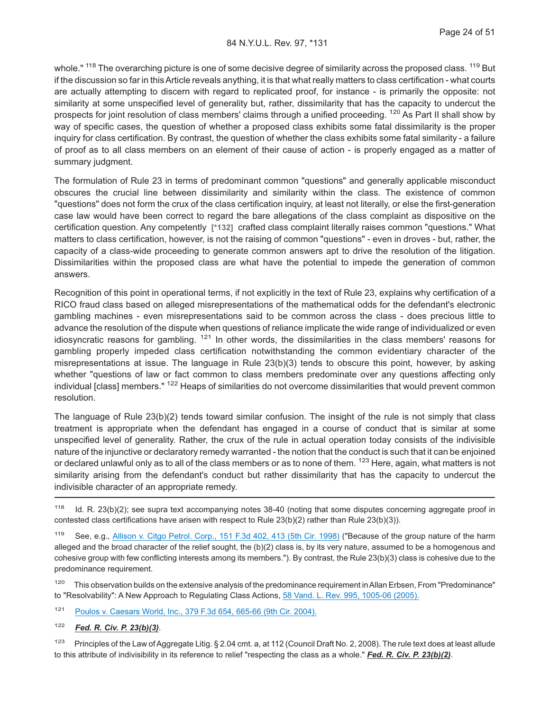whole." <sup>118</sup> The overarching picture is one of some decisive degree of similarity across the proposed class. <sup>119</sup> But if the discussion so far in this Article reveals anything, it is that what really matters to class certification - what courts are actually attempting to discern with regard to replicated proof, for instance - is primarily the opposite: not similarity at some unspecified level of generality but, rather, dissimilarity that has the capacity to undercut the prospects for joint resolution of class members' claims through a unified proceeding. <sup>120</sup> As Part II shall show by way of specific cases, the question of whether a proposed class exhibits some fatal dissimilarity is the proper inquiry for class certification. By contrast, the question of whether the class exhibits some fatal similarity - a failure of proof as to all class members on an element of their cause of action - is properly engaged as a matter of summary judgment.

The formulation of Rule 23 in terms of predominant common "questions" and generally applicable misconduct obscures the crucial line between dissimilarity and similarity within the class. The existence of common "questions" does not form the crux of the class certification inquiry, at least not literally, or else the first-generation case law would have been correct to regard the bare allegations of the class complaint as dispositive on the certification question. Any competently **[\*132]** crafted class complaint literally raises common "questions." What matters to class certification, however, is not the raising of common "questions" - even in droves - but, rather, the capacity of a class-wide proceeding to generate common answers apt to drive the resolution of the litigation. Dissimilarities within the proposed class are what have the potential to impede the generation of common answers.

Recognition of this point in operational terms, if not explicitly in the text of Rule 23, explains why certification of a RICO fraud class based on alleged misrepresentations of the mathematical odds for the defendant's electronic gambling machines - even misrepresentations said to be common across the class - does precious little to advance the resolution of the dispute when questions of reliance implicate the wide range of individualized or even idiosyncratic reasons for gambling.  $121$  In other words, the dissimilarities in the class members' reasons for gambling properly impeded class certification notwithstanding the common evidentiary character of the misrepresentations at issue. The language in Rule 23(b)(3) tends to obscure this point, however, by asking whether "questions of law or fact common to class members predominate over any questions affecting only individual [class] members." <sup>122</sup> Heaps of similarities do not overcome dissimilarities that would prevent common resolution.

The language of Rule 23(b)(2) tends toward similar confusion. The insight of the rule is not simply that class treatment is appropriate when the defendant has engaged in a course of conduct that is similar at some unspecified level of generality. Rather, the crux of the rule in actual operation today consists of the indivisible nature of the injunctive or declaratory remedy warranted - the notion that the conduct is such that it can be enjoined or declared unlawful only as to all of the class members or as to none of them. <sup>123</sup> Here, again, what matters is not similarity arising from the defendant's conduct but rather dissimilarity that has the capacity to undercut the indivisible character of an appropriate remedy.

<sup>119</sup> See, e.g., [Allison v. Citgo Petrol. Corp., 151 F.3d 402, 413 \(5th Cir. 1998\)](http://advance.lexis.com/api/document?collection=cases&id=urn:contentItem:3TF4-JV20-0038-X2D7-00000-00&context=1000516) ("Because of the group nature of the harm alleged and the broad character of the relief sought, the (b)(2) class is, by its very nature, assumed to be a homogenous and cohesive group with few conflicting interests among its members."). By contrast, the Rule 23(b)(3) class is cohesive due to the predominance requirement.

<sup>120</sup> This observation builds on the extensive analysis of the predominance requirement in Allan Erbsen, From "Predominance" to "Resolvability": A New Approach to Regulating Class Actions, [58 Vand. L. Rev. 995, 1005-06 \(2005\).](http://advance.lexis.com/api/document?collection=analytical-materials&id=urn:contentItem:4J0P-FKK0-02BN-1017-00000-00&context=1000516)

<sup>121</sup> [Poulos v. Caesars World, Inc., 379 F.3d 654, 665-66 \(9th Cir. 2004\).](http://advance.lexis.com/api/document?collection=cases&id=urn:contentItem:4D2G-RDH0-0038-X37W-00000-00&context=1000516)

<sup>122</sup> *Fed. R. Civ. P. 23(b)(3)*.

<sup>123</sup> Principles of the Law of Aggregate Litig. § 2.04 cmt. a, at 112 (Council Draft No. 2, 2008). The rule text does at least allude to this attribute of indivisibility in its reference to relief "respecting the class as a whole." *Fed. R. Civ. P. 23(b)(2)*.

<sup>&</sup>lt;sup>118</sup> Id. R. 23(b)(2); see supra text accompanying notes 38-40 (noting that some disputes concerning aggregate proof in contested class certifications have arisen with respect to Rule 23(b)(2) rather than Rule 23(b)(3)).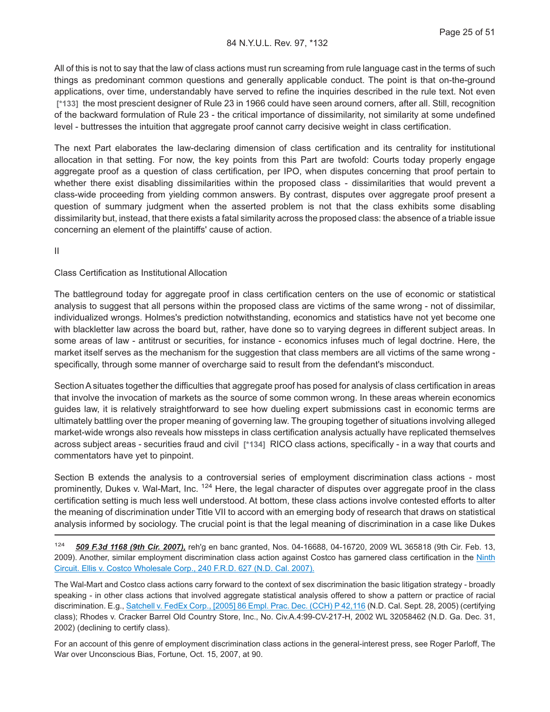All of this is not to say that the law of class actions must run screaming from rule language cast in the terms of such things as predominant common questions and generally applicable conduct. The point is that on-the-ground applications, over time, understandably have served to refine the inquiries described in the rule text. Not even **[\*133]** the most prescient designer of Rule 23 in 1966 could have seen around corners, after all. Still, recognition of the backward formulation of Rule 23 - the critical importance of dissimilarity, not similarity at some undefined level - buttresses the intuition that aggregate proof cannot carry decisive weight in class certification.

The next Part elaborates the law-declaring dimension of class certification and its centrality for institutional allocation in that setting. For now, the key points from this Part are twofold: Courts today properly engage aggregate proof as a question of class certification, per IPO, when disputes concerning that proof pertain to whether there exist disabling dissimilarities within the proposed class - dissimilarities that would prevent a class-wide proceeding from yielding common answers. By contrast, disputes over aggregate proof present a question of summary judgment when the asserted problem is not that the class exhibits some disabling dissimilarity but, instead, that there exists a fatal similarity across the proposed class: the absence of a triable issue concerning an element of the plaintiffs' cause of action.

II

#### Class Certification as Institutional Allocation

The battleground today for aggregate proof in class certification centers on the use of economic or statistical analysis to suggest that all persons within the proposed class are victims of the same wrong - not of dissimilar, individualized wrongs. Holmes's prediction notwithstanding, economics and statistics have not yet become one with blackletter law across the board but, rather, have done so to varying degrees in different subject areas. In some areas of law - antitrust or securities, for instance - economics infuses much of legal doctrine. Here, the market itself serves as the mechanism for the suggestion that class members are all victims of the same wrong specifically, through some manner of overcharge said to result from the defendant's misconduct.

Section A situates together the difficulties that aggregate proof has posed for analysis of class certification in areas that involve the invocation of markets as the source of some common wrong. In these areas wherein economics guides law, it is relatively straightforward to see how dueling expert submissions cast in economic terms are ultimately battling over the proper meaning of governing law. The grouping together of situations involving alleged market-wide wrongs also reveals how missteps in class certification analysis actually have replicated themselves across subject areas - securities fraud and civil **[\*134]** RICO class actions, specifically - in a way that courts and commentators have yet to pinpoint.

Section B extends the analysis to a controversial series of employment discrimination class actions - most prominently, Dukes v. Wal-Mart, Inc. <sup>124</sup> Here, the legal character of disputes over aggregate proof in the class certification setting is much less well understood. At bottom, these class actions involve contested efforts to alter the meaning of discrimination under Title VII to accord with an emerging body of research that draws on statistical analysis informed by sociology. The crucial point is that the legal meaning of discrimination in a case like Dukes

The Wal-Mart and Costco class actions carry forward to the context of sex discrimination the basic litigation strategy - broadly speaking - in other class actions that involved aggregate statistical analysis offered to show a pattern or practice of racial discrimination. E.g., [Satchell v. FedEx Corp., \[2005\] 86 Empl. Prac. Dec. \(CCH\) P 42,116](http://advance.lexis.com/api/document?collection=cases&id=urn:contentItem:4HXJ-NGF0-TVSH-32JY-00000-00&context=1000516) (N.D. Cal. Sept. 28, 2005) (certifying class); Rhodes v. Cracker Barrel Old Country Store, Inc., No. Civ.A.4:99-CV-217-H, 2002 WL 32058462 (N.D. Ga. Dec. 31, 2002) (declining to certify class).

For an account of this genre of employment discrimination class actions in the general-interest press, see Roger Parloff, The War over Unconscious Bias, Fortune, Oct. 15, 2007, at 90.

<sup>124</sup> *509 F.3d 1168 (9th Cir. 2007),* reh'g en banc granted, Nos. 04-16688, 04-16720, 2009 WL 365818 (9th Cir. Feb. 13, 2009). Another, similar employment discrimination class action against Costco has garnered class certification in the [Ninth](http://advance.lexis.com/api/document?collection=cases&id=urn:contentItem:4MT6-BB20-TVSH-31WF-00000-00&context=1000516) [Circuit. Ellis v. Costco Wholesale Corp., 240 F.R.D. 627 \(N.D. Cal. 2007\).](http://advance.lexis.com/api/document?collection=cases&id=urn:contentItem:4MT6-BB20-TVSH-31WF-00000-00&context=1000516)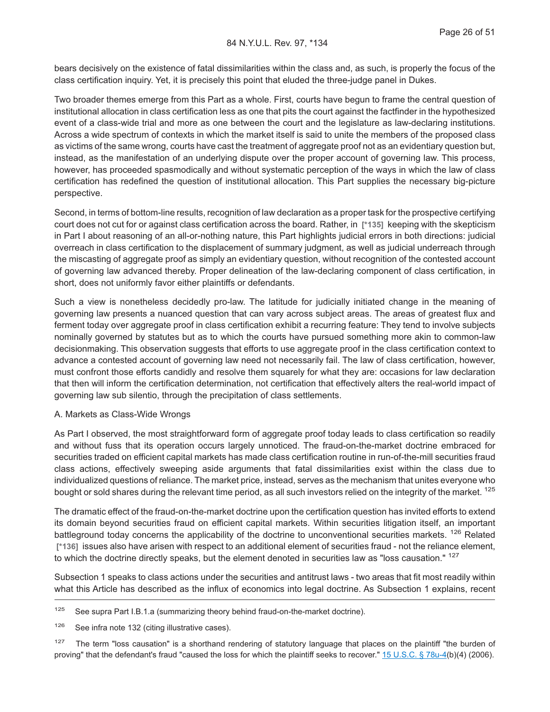bears decisively on the existence of fatal dissimilarities within the class and, as such, is properly the focus of the class certification inquiry. Yet, it is precisely this point that eluded the three-judge panel in Dukes.

Two broader themes emerge from this Part as a whole. First, courts have begun to frame the central question of institutional allocation in class certification less as one that pits the court against the factfinder in the hypothesized event of a class-wide trial and more as one between the court and the legislature as law-declaring institutions. Across a wide spectrum of contexts in which the market itself is said to unite the members of the proposed class as victims of the same wrong, courts have cast the treatment of aggregate proof not as an evidentiary question but, instead, as the manifestation of an underlying dispute over the proper account of governing law. This process, however, has proceeded spasmodically and without systematic perception of the ways in which the law of class certification has redefined the question of institutional allocation. This Part supplies the necessary big-picture perspective.

Second, in terms of bottom-line results, recognition of law declaration as a proper task for the prospective certifying court does not cut for or against class certification across the board. Rather, in **[\*135]** keeping with the skepticism in Part I about reasoning of an all-or-nothing nature, this Part highlights judicial errors in both directions: judicial overreach in class certification to the displacement of summary judgment, as well as judicial underreach through the miscasting of aggregate proof as simply an evidentiary question, without recognition of the contested account of governing law advanced thereby. Proper delineation of the law-declaring component of class certification, in short, does not uniformly favor either plaintiffs or defendants.

Such a view is nonetheless decidedly pro-law. The latitude for judicially initiated change in the meaning of governing law presents a nuanced question that can vary across subject areas. The areas of greatest flux and ferment today over aggregate proof in class certification exhibit a recurring feature: They tend to involve subjects nominally governed by statutes but as to which the courts have pursued something more akin to common-law decisionmaking. This observation suggests that efforts to use aggregate proof in the class certification context to advance a contested account of governing law need not necessarily fail. The law of class certification, however, must confront those efforts candidly and resolve them squarely for what they are: occasions for law declaration that then will inform the certification determination, not certification that effectively alters the real-world impact of governing law sub silentio, through the precipitation of class settlements.

#### A. Markets as Class-Wide Wrongs

As Part I observed, the most straightforward form of aggregate proof today leads to class certification so readily and without fuss that its operation occurs largely unnoticed. The fraud-on-the-market doctrine embraced for securities traded on efficient capital markets has made class certification routine in run-of-the-mill securities fraud class actions, effectively sweeping aside arguments that fatal dissimilarities exist within the class due to individualized questions of reliance. The market price, instead, serves as the mechanism that unites everyone who bought or sold shares during the relevant time period, as all such investors relied on the integrity of the market. <sup>125</sup>

The dramatic effect of the fraud-on-the-market doctrine upon the certification question has invited efforts to extend its domain beyond securities fraud on efficient capital markets. Within securities litigation itself, an important battleground today concerns the applicability of the doctrine to unconventional securities markets. <sup>126</sup> Related **[\*136]** issues also have arisen with respect to an additional element of securities fraud - not the reliance element, to which the doctrine directly speaks, but the element denoted in securities law as "loss causation." <sup>127</sup>

Subsection 1 speaks to class actions under the securities and antitrust laws - two areas that fit most readily within what this Article has described as the influx of economics into legal doctrine. As Subsection 1 explains, recent

<sup>&</sup>lt;sup>125</sup> See supra Part I.B.1.a (summarizing theory behind fraud-on-the-market doctrine).

<sup>&</sup>lt;sup>126</sup> See infra note 132 (citing illustrative cases).

 $127$  The term "loss causation" is a shorthand rendering of statutory language that places on the plaintiff "the burden of proving" that the defendant's fraud "caused the loss for which the plaintiff seeks to recover." [15 U.S.C. § 78u-4\(](http://advance.lexis.com/api/document?collection=statutes-legislation&id=urn:contentItem:4YF7-GJ41-NRF4-428J-00000-00&context=1000516)b)(4) (2006).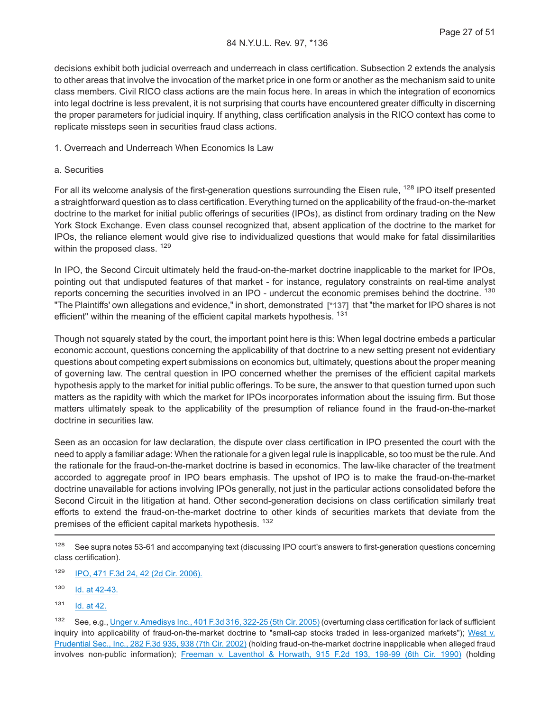decisions exhibit both judicial overreach and underreach in class certification. Subsection 2 extends the analysis to other areas that involve the invocation of the market price in one form or another as the mechanism said to unite class members. Civil RICO class actions are the main focus here. In areas in which the integration of economics into legal doctrine is less prevalent, it is not surprising that courts have encountered greater difficulty in discerning the proper parameters for judicial inquiry. If anything, class certification analysis in the RICO context has come to replicate missteps seen in securities fraud class actions.

#### 1. Overreach and Underreach When Economics Is Law

#### a. Securities

For all its welcome analysis of the first-generation questions surrounding the Eisen rule, <sup>128</sup> IPO itself presented a straightforward question as to class certification. Everything turned on the applicability of the fraud-on-the-market doctrine to the market for initial public offerings of securities (IPOs), as distinct from ordinary trading on the New York Stock Exchange. Even class counsel recognized that, absent application of the doctrine to the market for IPOs, the reliance element would give rise to individualized questions that would make for fatal dissimilarities within the proposed class. <sup>129</sup>

In IPO, the Second Circuit ultimately held the fraud-on-the-market doctrine inapplicable to the market for IPOs, pointing out that undisputed features of that market - for instance, regulatory constraints on real-time analyst reports concerning the securities involved in an IPO - undercut the economic premises behind the doctrine. <sup>130</sup> "The Plaintiffs' own allegations and evidence," in short, demonstrated **[\*137]** that "the market for IPO shares is not efficient" within the meaning of the efficient capital markets hypothesis. <sup>131</sup>

Though not squarely stated by the court, the important point here is this: When legal doctrine embeds a particular economic account, questions concerning the applicability of that doctrine to a new setting present not evidentiary questions about competing expert submissions on economics but, ultimately, questions about the proper meaning of governing law. The central question in IPO concerned whether the premises of the efficient capital markets hypothesis apply to the market for initial public offerings. To be sure, the answer to that question turned upon such matters as the rapidity with which the market for IPOs incorporates information about the issuing firm. But those matters ultimately speak to the applicability of the presumption of reliance found in the fraud-on-the-market doctrine in securities law.

Seen as an occasion for law declaration, the dispute over class certification in IPO presented the court with the need to apply a familiar adage: When the rationale for a given legal rule is inapplicable, so too must be the rule. And the rationale for the fraud-on-the-market doctrine is based in economics. The law-like character of the treatment accorded to aggregate proof in IPO bears emphasis. The upshot of IPO is to make the fraud-on-the-market doctrine unavailable for actions involving IPOs generally, not just in the particular actions consolidated before the Second Circuit in the litigation at hand. Other second-generation decisions on class certification similarly treat efforts to extend the fraud-on-the-market doctrine to other kinds of securities markets that deviate from the premises of the efficient capital markets hypothesis. <sup>132</sup>

 $128$  See supra notes 53-61 and accompanying text (discussing IPO court's answers to first-generation questions concerning class certification).

- <sup>129</sup> [IPO, 471 F.3d 24, 42 \(2d Cir. 2006\).](http://advance.lexis.com/api/document?collection=cases&id=urn:contentItem:4MHB-1K20-0038-X0JC-00000-00&context=1000516)
- 130 **[Id. at 42-43.](http://advance.lexis.com/api/document?collection=cases&id=urn:contentItem:4MHB-1K20-0038-X0JC-00000-00&context=1000516)**
- <sup>131</sup> [Id. at 42.](http://advance.lexis.com/api/document?collection=cases&id=urn:contentItem:4MHB-1K20-0038-X0JC-00000-00&context=1000516)

<sup>132</sup> See, e.g., [Unger v. Amedisys Inc., 401 F.3d 316, 322-25 \(5th Cir. 2005\)](http://advance.lexis.com/api/document?collection=cases&id=urn:contentItem:4FH7-5NP0-0038-X0GP-00000-00&context=1000516) (overturning class certification for lack of sufficient inquiry into applicability of fraud-on-the-market doctrine to "small-cap stocks traded in less-organized markets"); [West v.](http://advance.lexis.com/api/document?collection=cases&id=urn:contentItem:45C0-K150-0038-X17F-00000-00&context=1000516) [Prudential Sec., Inc., 282 F.3d 935, 938 \(7th Cir. 2002\)](http://advance.lexis.com/api/document?collection=cases&id=urn:contentItem:45C0-K150-0038-X17F-00000-00&context=1000516) (holding fraud-on-the-market doctrine inapplicable when alleged fraud involves non-public information); [Freeman v. Laventhol & Horwath, 915 F.2d 193, 198-99 \(6th Cir. 1990\)](http://advance.lexis.com/api/document?collection=cases&id=urn:contentItem:3S4X-2G40-003B-50JP-00000-00&context=1000516) (holding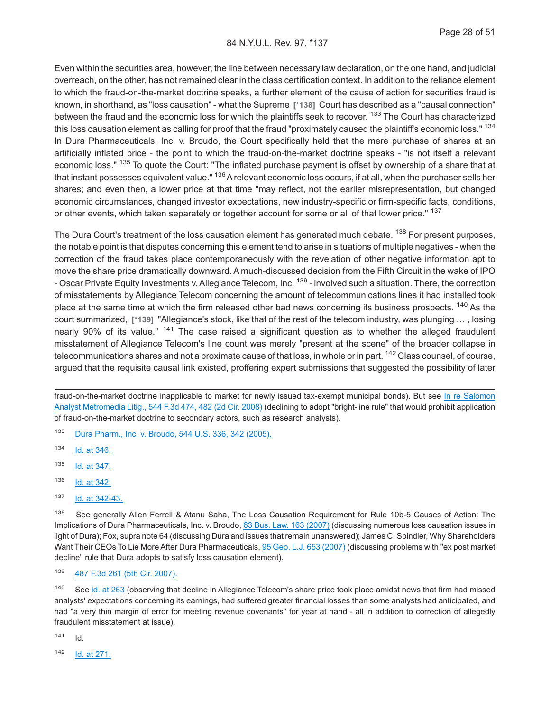Even within the securities area, however, the line between necessary law declaration, on the one hand, and judicial overreach, on the other, has not remained clear in the class certification context. In addition to the reliance element to which the fraud-on-the-market doctrine speaks, a further element of the cause of action for securities fraud is known, in shorthand, as "loss causation" - what the Supreme **[\*138]** Court has described as a "causal connection" between the fraud and the economic loss for which the plaintiffs seek to recover. <sup>133</sup> The Court has characterized this loss causation element as calling for proof that the fraud "proximately caused the plaintiff's economic loss." 134 In Dura Pharmaceuticals, Inc. v. Broudo, the Court specifically held that the mere purchase of shares at an artificially inflated price - the point to which the fraud-on-the-market doctrine speaks - "is not itself a relevant economic loss." <sup>135</sup> To quote the Court: "The inflated purchase payment is offset by ownership of a share that at that instant possesses equivalent value." <sup>136</sup> A relevant economic loss occurs, if at all, when the purchaser sells her shares; and even then, a lower price at that time "may reflect, not the earlier misrepresentation, but changed economic circumstances, changed investor expectations, new industry-specific or firm-specific facts, conditions, or other events, which taken separately or together account for some or all of that lower price." 137

The Dura Court's treatment of the loss causation element has generated much debate. <sup>138</sup> For present purposes, the notable point is that disputes concerning this element tend to arise in situations of multiple negatives - when the correction of the fraud takes place contemporaneously with the revelation of other negative information apt to move the share price dramatically downward. A much-discussed decision from the Fifth Circuit in the wake of IPO - Oscar Private Equity Investments v. Allegiance Telecom, Inc. <sup>139</sup> - involved such a situation. There, the correction of misstatements by Allegiance Telecom concerning the amount of telecommunications lines it had installed took place at the same time at which the firm released other bad news concerning its business prospects. <sup>140</sup> As the court summarized, **[\*139]** "Allegiance's stock, like that of the rest of the telecom industry, was plunging … , losing nearly 90% of its value." <sup>141</sup> The case raised a significant question as to whether the alleged fraudulent misstatement of Allegiance Telecom's line count was merely "present at the scene" of the broader collapse in telecommunications shares and not a proximate cause of that loss, in whole or in part. <sup>142</sup> Class counsel, of course, argued that the requisite causal link existed, proffering expert submissions that suggested the possibility of later

fraud-on-the-market doctrine inapplicable to market for newly issued tax-exempt municipal bonds). But see [In re Salomon](http://advance.lexis.com/api/document?collection=cases&id=urn:contentItem:4TK4-1VF0-TX4N-G02S-00000-00&context=1000516) [Analyst Metromedia Litig., 544 F.3d 474, 482 \(2d Cir. 2008\)](http://advance.lexis.com/api/document?collection=cases&id=urn:contentItem:4TK4-1VF0-TX4N-G02S-00000-00&context=1000516) (declining to adopt "bright-line rule" that would prohibit application of fraud-on-the-market doctrine to secondary actors, such as research analysts).

<sup>133</sup> [Dura Pharm., Inc. v. Broudo, 544 U.S. 336, 342 \(2005\).](http://advance.lexis.com/api/document?collection=cases&id=urn:contentItem:4G05-93F0-004B-Y01S-00000-00&context=1000516)

<sup>134</sup> [Id. at 346.](http://advance.lexis.com/api/document?collection=cases&id=urn:contentItem:4G05-93F0-004B-Y01S-00000-00&context=1000516)

<sup>135</sup> [Id. at 347.](http://advance.lexis.com/api/document?collection=cases&id=urn:contentItem:4G05-93F0-004B-Y01S-00000-00&context=1000516)

<sup>136</sup> [Id. at 342.](http://advance.lexis.com/api/document?collection=cases&id=urn:contentItem:4G05-93F0-004B-Y01S-00000-00&context=1000516)

<sup>137</sup> [Id. at 342-43.](http://advance.lexis.com/api/document?collection=cases&id=urn:contentItem:4G05-93F0-004B-Y01S-00000-00&context=1000516)

<sup>138</sup> See generally Allen Ferrell & Atanu Saha, The Loss Causation Requirement for Rule 10b-5 Causes of Action: The Implications of Dura Pharmaceuticals, Inc. v. Broudo, [63 Bus. Law. 163 \(2007\)](http://advance.lexis.com/api/document?collection=legalnews&id=urn:contentItem:4RNT-JKB0-0027-B09T-00000-00&context=1000516) (discussing numerous loss causation issues in light of Dura); Fox, supra note 64 (discussing Dura and issues that remain unanswered); James C. Spindler, Why Shareholders Want Their CEOs To Lie More After Dura Pharmaceuticals, [95 Geo. L.J. 653 \(2007\)](http://advance.lexis.com/api/document?collection=analytical-materials&id=urn:contentItem:4NNW-8J90-02BM-Y0FK-00000-00&context=1000516) (discussing problems with "ex post market decline" rule that Dura adopts to satisfy loss causation element).

<sup>139</sup> [487 F.3d 261 \(5th Cir. 2007\).](http://advance.lexis.com/api/document?collection=cases&id=urn:contentItem:4NRV-99D0-0038-X1BG-00000-00&context=1000516)

<sup>140</sup> See [id. at 263](http://advance.lexis.com/api/document?collection=cases&id=urn:contentItem:4NRV-99D0-0038-X1BG-00000-00&context=1000516) (observing that decline in Allegiance Telecom's share price took place amidst news that firm had missed analysts' expectations concerning its earnings, had suffered greater financial losses than some analysts had anticipated, and had "a very thin margin of error for meeting revenue covenants" for year at hand - all in addition to correction of allegedly fraudulent misstatement at issue).

 $141$  Id.

<sup>142</sup> [Id. at 271.](http://advance.lexis.com/api/document?collection=cases&id=urn:contentItem:4NRV-99D0-0038-X1BG-00000-00&context=1000516)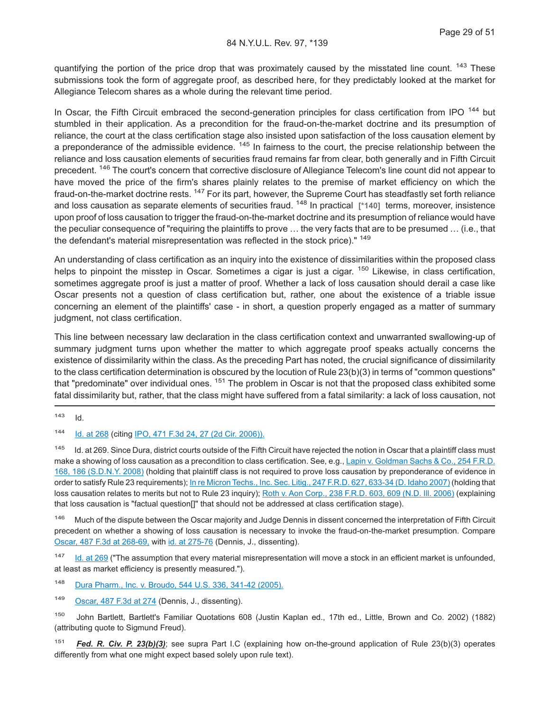quantifying the portion of the price drop that was proximately caused by the misstated line count. <sup>143</sup> These submissions took the form of aggregate proof, as described here, for they predictably looked at the market for Allegiance Telecom shares as a whole during the relevant time period.

In Oscar, the Fifth Circuit embraced the second-generation principles for class certification from IPO <sup>144</sup> but stumbled in their application. As a precondition for the fraud-on-the-market doctrine and its presumption of reliance, the court at the class certification stage also insisted upon satisfaction of the loss causation element by a preponderance of the admissible evidence. <sup>145</sup> In fairness to the court, the precise relationship between the reliance and loss causation elements of securities fraud remains far from clear, both generally and in Fifth Circuit precedent. <sup>146</sup> The court's concern that corrective disclosure of Allegiance Telecom's line count did not appear to have moved the price of the firm's shares plainly relates to the premise of market efficiency on which the fraud-on-the-market doctrine rests. <sup>147</sup> For its part, however, the Supreme Court has steadfastly set forth reliance and loss causation as separate elements of securities fraud. <sup>148</sup> In practical **[\*140]** terms, moreover, insistence upon proof of loss causation to trigger the fraud-on-the-market doctrine and its presumption of reliance would have the peculiar consequence of "requiring the plaintiffs to prove … the very facts that are to be presumed … (i.e., that the defendant's material misrepresentation was reflected in the stock price)."<sup>149</sup>

An understanding of class certification as an inquiry into the existence of dissimilarities within the proposed class helps to pinpoint the misstep in Oscar. Sometimes a cigar is just a cigar. <sup>150</sup> Likewise, in class certification, sometimes aggregate proof is just a matter of proof. Whether a lack of loss causation should derail a case like Oscar presents not a question of class certification but, rather, one about the existence of a triable issue concerning an element of the plaintiffs' case - in short, a question properly engaged as a matter of summary judgment, not class certification.

This line between necessary law declaration in the class certification context and unwarranted swallowing-up of summary judgment turns upon whether the matter to which aggregate proof speaks actually concerns the existence of dissimilarity within the class. As the preceding Part has noted, the crucial significance of dissimilarity to the class certification determination is obscured by the locution of Rule 23(b)(3) in terms of "common questions" that "predominate" over individual ones. <sup>151</sup> The problem in Oscar is not that the proposed class exhibited some fatal dissimilarity but, rather, that the class might have suffered from a fatal similarity: a lack of loss causation, not

 $143$  Id.

144 [Id. at 268](http://advance.lexis.com/api/document?collection=cases&id=urn:contentItem:4NRV-99D0-0038-X1BG-00000-00&context=1000516) (citing [IPO, 471 F.3d 24, 27 \(2d Cir. 2006\)\).](http://advance.lexis.com/api/document?collection=cases&id=urn:contentItem:4MHB-1K20-0038-X0JC-00000-00&context=1000516)

<sup>145</sup> Id. at 269. Since Dura, district courts outside of the Fifth Circuit have rejected the notion in Oscar that a plaintiff class must make a showing of loss causation as a precondition to class certification. See, e.g., [Lapin v. Goldman Sachs & Co., 254 F.R.D.](http://advance.lexis.com/api/document?collection=cases&id=urn:contentItem:4TG3-NR60-TX4N-G0VR-00000-00&context=1000516) [168, 186 \(S.D.N.Y. 2008\)](http://advance.lexis.com/api/document?collection=cases&id=urn:contentItem:4TG3-NR60-TX4N-G0VR-00000-00&context=1000516) (holding that plaintiff class is not required to prove loss causation by preponderance of evidence in order to satisfy Rule 23 requirements); [In re Micron Techs., Inc. Sec. Litig., 247 F.R.D. 627, 633-34 \(D. Idaho 2007\)](http://advance.lexis.com/api/document?collection=cases&id=urn:contentItem:4RD4-CVW0-TXFP-S387-00000-00&context=1000516) (holding that loss causation relates to merits but not to Rule 23 inquiry); Roth v. Aon Corp., 238 F.R.D. 603, 609 (N.D. III. 2006) (explaining that loss causation is "factual question[]" that should not be addressed at class certification stage).

146 Much of the dispute between the Oscar majority and Judge Dennis in dissent concerned the interpretation of Fifth Circuit precedent on whether a showing of loss causation is necessary to invoke the fraud-on-the-market presumption. Compare [Oscar, 487 F.3d at 268-69,](http://advance.lexis.com/api/document?collection=cases&id=urn:contentItem:4NRV-99D0-0038-X1BG-00000-00&context=1000516) with [id. at 275-76](http://advance.lexis.com/api/document?collection=cases&id=urn:contentItem:4NRV-99D0-0038-X1BG-00000-00&context=1000516) (Dennis, J., dissenting).

<sup>147</sup> [Id. at 269](http://advance.lexis.com/api/document?collection=cases&id=urn:contentItem:4NRV-99D0-0038-X1BG-00000-00&context=1000516) ("The assumption that every material misrepresentation will move a stock in an efficient market is unfounded, at least as market efficiency is presently measured.").

<sup>148</sup> [Dura Pharm., Inc. v. Broudo, 544 U.S. 336, 341-42 \(2005\).](http://advance.lexis.com/api/document?collection=cases&id=urn:contentItem:4G05-93F0-004B-Y01S-00000-00&context=1000516)

149 [Oscar, 487 F.3d at 274](http://advance.lexis.com/api/document?collection=cases&id=urn:contentItem:4NRV-99D0-0038-X1BG-00000-00&context=1000516) (Dennis, J., dissenting).

<sup>150</sup> John Bartlett, Bartlett's Familiar Quotations 608 (Justin Kaplan ed., 17th ed., Little, Brown and Co. 2002) (1882) (attributing quote to Sigmund Freud).

<sup>151</sup> *Fed. R. Civ. P. 23(b)(3)*; see supra Part I.C (explaining how on-the-ground application of Rule 23(b)(3) operates differently from what one might expect based solely upon rule text).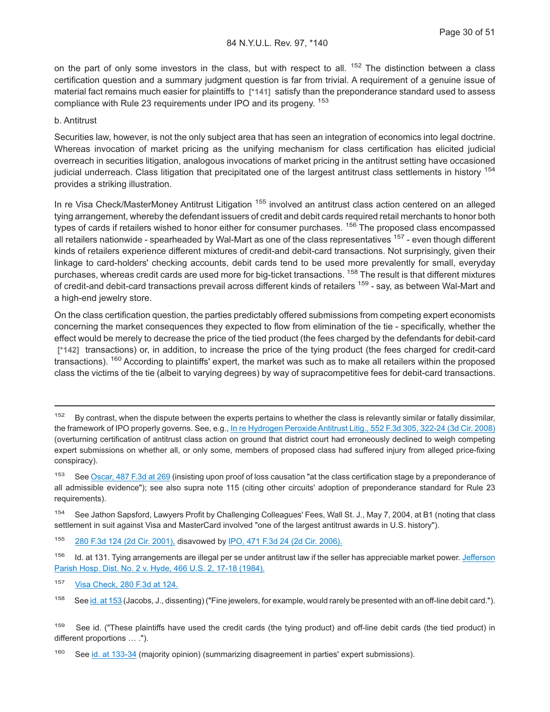on the part of only some investors in the class, but with respect to all.  $152$  The distinction between a class certification question and a summary judgment question is far from trivial. A requirement of a genuine issue of material fact remains much easier for plaintiffs to **[\*141]** satisfy than the preponderance standard used to assess compliance with Rule 23 requirements under IPO and its progeny. <sup>153</sup>

#### b. Antitrust

Securities law, however, is not the only subject area that has seen an integration of economics into legal doctrine. Whereas invocation of market pricing as the unifying mechanism for class certification has elicited judicial overreach in securities litigation, analogous invocations of market pricing in the antitrust setting have occasioned judicial underreach. Class litigation that precipitated one of the largest antitrust class settlements in history <sup>154</sup> provides a striking illustration.

In re Visa Check/MasterMoney Antitrust Litigation <sup>155</sup> involved an antitrust class action centered on an alleged tying arrangement, whereby the defendant issuers of credit and debit cards required retail merchants to honor both types of cards if retailers wished to honor either for consumer purchases. <sup>156</sup> The proposed class encompassed all retailers nationwide - spearheaded by Wal-Mart as one of the class representatives <sup>157</sup> - even though different kinds of retailers experience different mixtures of credit-and debit-card transactions. Not surprisingly, given their linkage to card-holders' checking accounts, debit cards tend to be used more prevalently for small, everyday purchases, whereas credit cards are used more for big-ticket transactions. <sup>158</sup> The result is that different mixtures of credit-and debit-card transactions prevail across different kinds of retailers <sup>159</sup> - say, as between Wal-Mart and a high-end jewelry store.

On the class certification question, the parties predictably offered submissions from competing expert economists concerning the market consequences they expected to flow from elimination of the tie - specifically, whether the effect would be merely to decrease the price of the tied product (the fees charged by the defendants for debit-card **[\*142]** transactions) or, in addition, to increase the price of the tying product (the fees charged for credit-card transactions). <sup>160</sup> According to plaintiffs' expert, the market was such as to make all retailers within the proposed class the victims of the tie (albeit to varying degrees) by way of supracompetitive fees for debit-card transactions.

<sup>154</sup> See Jathon Sapsford, Lawyers Profit by Challenging Colleagues' Fees, Wall St. J., May 7, 2004, at B1 (noting that class settlement in suit against Visa and MasterCard involved "one of the largest antitrust awards in U.S. history").

<sup>155</sup> [280 F.3d 124 \(2d Cir. 2001\),](http://advance.lexis.com/api/document?collection=cases&id=urn:contentItem:447M-W680-0038-X489-00000-00&context=1000516) disavowed by [IPO, 471 F.3d 24 \(2d Cir. 2006\).](http://advance.lexis.com/api/document?collection=cases&id=urn:contentItem:4MHB-1K20-0038-X0JC-00000-00&context=1000516)

<sup>157</sup> [Visa Check, 280 F.3d at 124.](http://advance.lexis.com/api/document?collection=cases&id=urn:contentItem:447M-W680-0038-X489-00000-00&context=1000516)

<sup>&</sup>lt;sup>152</sup> By contrast, when the dispute between the experts pertains to whether the class is relevantly similar or fatally dissimilar, the framework of IPO properly governs. See, e.g., [In re Hydrogen Peroxide Antitrust Litig., 552 F.3d 305, 322-24 \(3d Cir. 2008\)](http://advance.lexis.com/api/document?collection=cases&id=urn:contentItem:4V8Y-WGY0-TXFX-527F-00000-00&context=1000516) (overturning certification of antitrust class action on ground that district court had erroneously declined to weigh competing expert submissions on whether all, or only some, members of proposed class had suffered injury from alleged price-fixing conspiracy).

<sup>&</sup>lt;sup>153</sup> See [Oscar, 487 F.3d at 269](http://advance.lexis.com/api/document?collection=cases&id=urn:contentItem:4NRV-99D0-0038-X1BG-00000-00&context=1000516) (insisting upon proof of loss causation "at the class certification stage by a preponderance of all admissible evidence"); see also supra note 115 (citing other circuits' adoption of preponderance standard for Rule 23 requirements).

<sup>&</sup>lt;sup>156</sup> Id. at 131. Tying arrangements are illegal per se under antitrust law if the seller has appreciable market power. [Jefferson](http://advance.lexis.com/api/document?collection=cases&id=urn:contentItem:3S4X-3HK0-003B-S4MG-00000-00&context=1000516) [Parish Hosp. Dist. No. 2 v. Hyde, 466 U.S. 2, 17-18 \(1984\).](http://advance.lexis.com/api/document?collection=cases&id=urn:contentItem:3S4X-3HK0-003B-S4MG-00000-00&context=1000516)

<sup>158</sup> See [id. at 153](http://advance.lexis.com/api/document?collection=cases&id=urn:contentItem:447M-W680-0038-X489-00000-00&context=1000516) (Jacobs, J., dissenting) ("Fine jewelers, for example, would rarely be presented with an off-line debit card.").

<sup>&</sup>lt;sup>159</sup> See id. ("These plaintiffs have used the credit cards (the tying product) and off-line debit cards (the tied product) in different proportions … .").

<sup>&</sup>lt;sup>160</sup> See [id. at 133-34](http://advance.lexis.com/api/document?collection=cases&id=urn:contentItem:447M-W680-0038-X489-00000-00&context=1000516) (majority opinion) (summarizing disagreement in parties' expert submissions).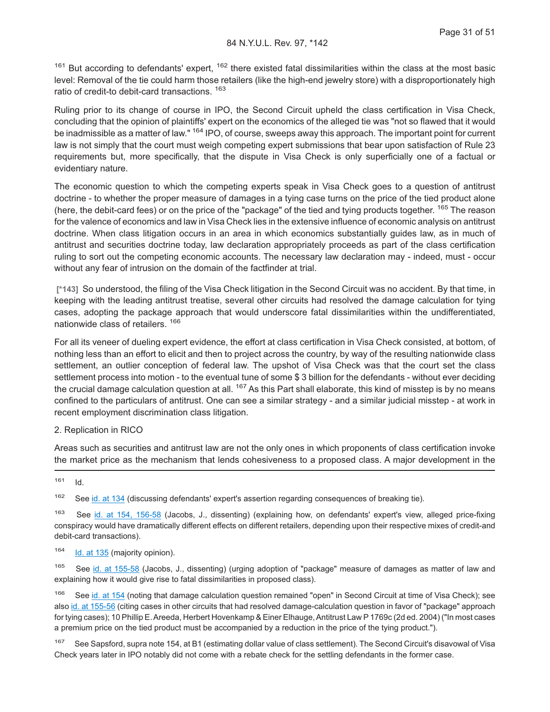$161$  But according to defendants' expert,  $162$  there existed fatal dissimilarities within the class at the most basic level: Removal of the tie could harm those retailers (like the high-end jewelry store) with a disproportionately high ratio of credit-to debit-card transactions.<sup>163</sup>

Ruling prior to its change of course in IPO, the Second Circuit upheld the class certification in Visa Check, concluding that the opinion of plaintiffs' expert on the economics of the alleged tie was "not so flawed that it would be inadmissible as a matter of law." <sup>164</sup> IPO, of course, sweeps away this approach. The important point for current law is not simply that the court must weigh competing expert submissions that bear upon satisfaction of Rule 23 requirements but, more specifically, that the dispute in Visa Check is only superficially one of a factual or evidentiary nature.

The economic question to which the competing experts speak in Visa Check goes to a question of antitrust doctrine - to whether the proper measure of damages in a tying case turns on the price of the tied product alone (here, the debit-card fees) or on the price of the "package" of the tied and tying products together. <sup>165</sup> The reason for the valence of economics and law in Visa Check lies in the extensive influence of economic analysis on antitrust doctrine. When class litigation occurs in an area in which economics substantially guides law, as in much of antitrust and securities doctrine today, law declaration appropriately proceeds as part of the class certification ruling to sort out the competing economic accounts. The necessary law declaration may - indeed, must - occur without any fear of intrusion on the domain of the factfinder at trial.

**[\*143]** So understood, the filing of the Visa Check litigation in the Second Circuit was no accident. By that time, in keeping with the leading antitrust treatise, several other circuits had resolved the damage calculation for tying cases, adopting the package approach that would underscore fatal dissimilarities within the undifferentiated, nationwide class of retailers. <sup>166</sup>

For all its veneer of dueling expert evidence, the effort at class certification in Visa Check consisted, at bottom, of nothing less than an effort to elicit and then to project across the country, by way of the resulting nationwide class settlement, an outlier conception of federal law. The upshot of Visa Check was that the court set the class settlement process into motion - to the eventual tune of some \$ 3 billion for the defendants - without ever deciding the crucial damage calculation question at all. <sup>167</sup> As this Part shall elaborate, this kind of misstep is by no means confined to the particulars of antitrust. One can see a similar strategy - and a similar judicial misstep - at work in recent employment discrimination class litigation.

#### 2. Replication in RICO

Areas such as securities and antitrust law are not the only ones in which proponents of class certification invoke the market price as the mechanism that lends cohesiveness to a proposed class. A major development in the

 $161$  Id.

<sup>162</sup> See [id. at 134](http://advance.lexis.com/api/document?collection=cases&id=urn:contentItem:447M-W680-0038-X489-00000-00&context=1000516) (discussing defendants' expert's assertion regarding consequences of breaking tie).

<sup>163</sup> See [id. at 154, 156-58](http://advance.lexis.com/api/document?collection=cases&id=urn:contentItem:447M-W680-0038-X489-00000-00&context=1000516) (Jacobs, J., dissenting) (explaining how, on defendants' expert's view, alleged price-fixing conspiracy would have dramatically different effects on different retailers, depending upon their respective mixes of credit-and debit-card transactions).

164 [Id. at 135](http://advance.lexis.com/api/document?collection=cases&id=urn:contentItem:447M-W680-0038-X489-00000-00&context=1000516) (majority opinion).

<sup>165</sup> See [id. at 155-58](http://advance.lexis.com/api/document?collection=cases&id=urn:contentItem:447M-W680-0038-X489-00000-00&context=1000516) (Jacobs, J., dissenting) (urging adoption of "package" measure of damages as matter of law and explaining how it would give rise to fatal dissimilarities in proposed class).

<sup>166</sup> See [id. at 154](http://advance.lexis.com/api/document?collection=cases&id=urn:contentItem:447M-W680-0038-X489-00000-00&context=1000516) (noting that damage calculation question remained "open" in Second Circuit at time of Visa Check); see also [id. at 155-56](http://advance.lexis.com/api/document?collection=cases&id=urn:contentItem:447M-W680-0038-X489-00000-00&context=1000516) (citing cases in other circuits that had resolved damage-calculation question in favor of "package" approach for tying cases); 10 Phillip E. Areeda, Herbert Hovenkamp & Einer Elhauge, Antitrust Law P 1769c (2d ed. 2004) ("In most cases a premium price on the tied product must be accompanied by a reduction in the price of the tying product.").

<sup>167</sup> See Sapsford, supra note 154, at B1 (estimating dollar value of class settlement). The Second Circuit's disavowal of Visa Check years later in IPO notably did not come with a rebate check for the settling defendants in the former case.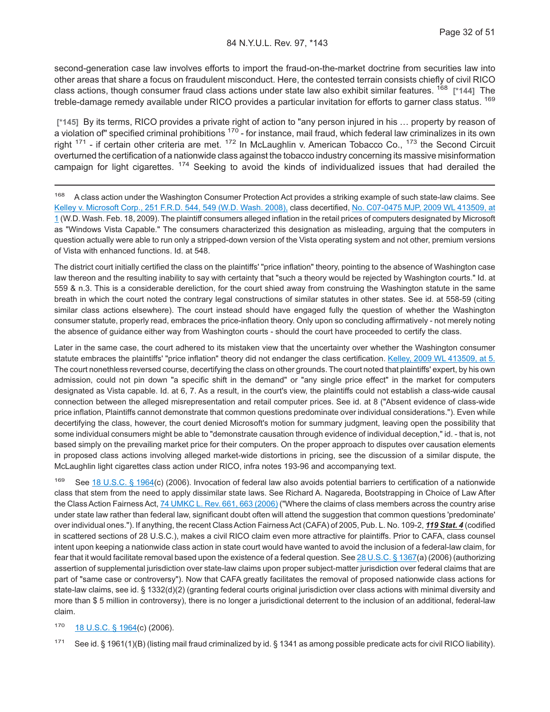second-generation case law involves efforts to import the fraud-on-the-market doctrine from securities law into other areas that share a focus on fraudulent misconduct. Here, the contested terrain consists chiefly of civil RICO class actions, though consumer fraud class actions under state law also exhibit similar features. <sup>168</sup> **[\*144]** The treble-damage remedy available under RICO provides a particular invitation for efforts to garner class status. <sup>169</sup>

**[\*145]** By its terms, RICO provides a private right of action to "any person injured in his … property by reason of  $a$  violation of" specified criminal prohibitions  $170$  - for instance, mail fraud, which federal law criminalizes in its own right  $171$  - if certain other criteria are met.  $172$  In McLaughlin v. American Tobacco Co.,  $173$  the Second Circuit overturned the certification of a nationwide class against the tobacco industry concerning its massive misinformation campaign for light cigarettes.  $174$  Seeking to avoid the kinds of individualized issues that had derailed the

<sup>168</sup> A class action under the Washington Consumer Protection Act provides a striking example of such state-law claims. See [Kelley v. Microsoft Corp., 251 F.R.D. 544, 549 \(W.D. Wash. 2008\),](http://advance.lexis.com/api/document?collection=cases&id=urn:contentItem:4T78-HCY0-TXFS-423D-00000-00&context=1000516) class decertified, [No. C07-0475 MJP, 2009 WL 413509, at](http://advance.lexis.com/api/document?collection=cases&id=urn:contentItem:4VRV-WNB0-TXFS-42PR-00000-00&context=1000516) [1](http://advance.lexis.com/api/document?collection=cases&id=urn:contentItem:4VRV-WNB0-TXFS-42PR-00000-00&context=1000516) (W.D. Wash. Feb. 18, 2009). The plaintiff consumers alleged inflation in the retail prices of computers designated by Microsoft as "Windows Vista Capable." The consumers characterized this designation as misleading, arguing that the computers in question actually were able to run only a stripped-down version of the Vista operating system and not other, premium versions of Vista with enhanced functions. Id. at 548.

The district court initially certified the class on the plaintiffs' "price inflation" theory, pointing to the absence of Washington case law thereon and the resulting inability to say with certainty that "such a theory would be rejected by Washington courts." Id. at 559 & n.3. This is a considerable dereliction, for the court shied away from construing the Washington statute in the same breath in which the court noted the contrary legal constructions of similar statutes in other states. See id. at 558-59 (citing similar class actions elsewhere). The court instead should have engaged fully the question of whether the Washington consumer statute, properly read, embraces the price-inflation theory. Only upon so concluding affirmatively - not merely noting the absence of guidance either way from Washington courts - should the court have proceeded to certify the class.

Later in the same case, the court adhered to its mistaken view that the uncertainty over whether the Washington consumer statute embraces the plaintiffs' "price inflation" theory did not endanger the class certification. [Kelley, 2009 WL 413509, at 5.](http://advance.lexis.com/api/document?collection=cases&id=urn:contentItem:4VRV-WNB0-TXFS-42PR-00000-00&context=1000516) The court nonethless reversed course, decertifying the class on other grounds. The court noted that plaintiffs' expert, by his own admission, could not pin down "a specific shift in the demand" or "any single price effect" in the market for computers designated as Vista capable. Id. at 6, 7. As a result, in the court's view, the plaintiffs could not establish a class-wide causal connection between the alleged misrepresentation and retail computer prices. See id. at 8 ("Absent evidence of class-wide price inflation, Plaintiffs cannot demonstrate that common questions predominate over individual considerations."). Even while decertifying the class, however, the court denied Microsoft's motion for summary judgment, leaving open the possibility that some individual consumers might be able to "demonstrate causation through evidence of individual deception," id. - that is, not based simply on the prevailing market price for their computers. On the proper approach to disputes over causation elements in proposed class actions involving alleged market-wide distortions in pricing, see the discussion of a similar dispute, the McLaughlin light cigarettes class action under RICO, infra notes 193-96 and accompanying text.

<sup>169</sup> See [18 U.S.C. § 1964\(](http://advance.lexis.com/api/document?collection=statutes-legislation&id=urn:contentItem:4YF7-GPJ1-NRF4-44WX-00000-00&context=1000516)c) (2006). Invocation of federal law also avoids potential barriers to certification of a nationwide class that stem from the need to apply dissimilar state laws. See Richard A. Nagareda, Bootstrapping in Choice of Law After the Class Action Fairness Act, [74 UMKC L. Rev. 661, 663 \(2006\)](http://advance.lexis.com/api/document?collection=analytical-materials&id=urn:contentItem:4KJD-KG90-00CV-P07F-00000-00&context=1000516) ("Where the claims of class members across the country arise under state law rather than federal law, significant doubt often will attend the suggestion that common questions 'predominate' over individual ones."). If anything, the recent ClassAction FairnessAct (CAFA) of 2005, Pub. L. No. 109-2, *119 Stat. 4* (codified in scattered sections of 28 U.S.C.), makes a civil RICO claim even more attractive for plaintiffs. Prior to CAFA, class counsel intent upon keeping a nationwide class action in state court would have wanted to avoid the inclusion of a federal-law claim, for fear that it would facilitate removal based upon the existence of a federal question. See [28 U.S.C. § 1367\(](http://advance.lexis.com/api/document?collection=statutes-legislation&id=urn:contentItem:4YF7-GSN1-NRF4-44MM-00000-00&context=1000516)a) (2006) (authorizing assertion of supplemental jurisdiction over state-law claims upon proper subject-matter jurisdiction over federal claims that are part of "same case or controversy"). Now that CAFA greatly facilitates the removal of proposed nationwide class actions for state-law claims, see id. § 1332(d)(2) (granting federal courts original jurisdiction over class actions with minimal diversity and more than \$ 5 million in controversy), there is no longer a jurisdictional deterrent to the inclusion of an additional, federal-law claim.

#### 170 [18 U.S.C. § 1964\(](http://advance.lexis.com/api/document?collection=statutes-legislation&id=urn:contentItem:4YF7-GPJ1-NRF4-44WX-00000-00&context=1000516)c) (2006).

<sup>171</sup> See id. § 1961(1)(B) (listing mail fraud criminalized by id. § 1341 as among possible predicate acts for civil RICO liability).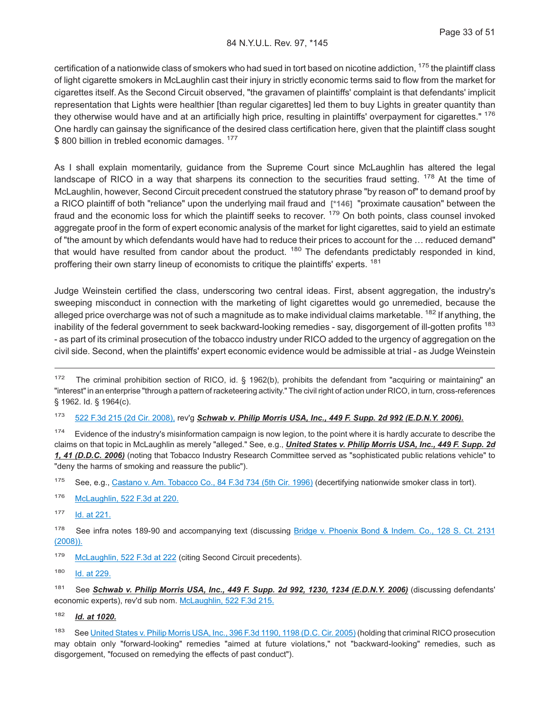#### 84 N.Y.U.L. Rev. 97, \*145

certification of a nationwide class of smokers who had sued in tort based on nicotine addiction, 175 the plaintiff class of light cigarette smokers in McLaughlin cast their injury in strictly economic terms said to flow from the market for cigarettes itself. As the Second Circuit observed, "the gravamen of plaintiffs' complaint is that defendants' implicit representation that Lights were healthier [than regular cigarettes] led them to buy Lights in greater quantity than they otherwise would have and at an artificially high price, resulting in plaintiffs' overpayment for cigarettes." <sup>176</sup> One hardly can gainsay the significance of the desired class certification here, given that the plaintiff class sought \$800 billion in trebled economic damages. <sup>177</sup>

As I shall explain momentarily, guidance from the Supreme Court since McLaughlin has altered the legal landscape of RICO in a way that sharpens its connection to the securities fraud setting. <sup>178</sup> At the time of McLaughlin, however, Second Circuit precedent construed the statutory phrase "by reason of" to demand proof by a RICO plaintiff of both "reliance" upon the underlying mail fraud and **[\*146]** "proximate causation" between the fraud and the economic loss for which the plaintiff seeks to recover. <sup>179</sup> On both points, class counsel invoked aggregate proof in the form of expert economic analysis of the market for light cigarettes, said to yield an estimate of "the amount by which defendants would have had to reduce their prices to account for the … reduced demand" that would have resulted from candor about the product. <sup>180</sup> The defendants predictably responded in kind, proffering their own starry lineup of economists to critique the plaintiffs' experts. <sup>181</sup>

Judge Weinstein certified the class, underscoring two central ideas. First, absent aggregation, the industry's sweeping misconduct in connection with the marketing of light cigarettes would go unremedied, because the alleged price overcharge was not of such a magnitude as to make individual claims marketable. <sup>182</sup> If anything, the inability of the federal government to seek backward-looking remedies - say, disgorgement of ill-gotten profits <sup>183</sup> - as part of its criminal prosecution of the tobacco industry under RICO added to the urgency of aggregation on the civil side. Second, when the plaintiffs' expert economic evidence would be admissible at trial - as Judge Weinstein

- 179 [McLaughlin, 522 F.3d at 222](http://advance.lexis.com/api/document?collection=cases&id=urn:contentItem:4S6M-SC10-TXFX-41XK-00000-00&context=1000516) (citing Second Circuit precedents).
- <sup>180</sup> [Id. at 229.](http://advance.lexis.com/api/document?collection=cases&id=urn:contentItem:4S6M-SC10-TXFX-41XK-00000-00&context=1000516)

<sup>182</sup> *Id. at 1020.*

 $172$  The criminal prohibition section of RICO, id. § 1962(b), prohibits the defendant from "acquiring or maintaining" an "interest" in an enterprise "through a pattern of racketeering activity." The civil right of action under RICO, in turn, cross-references § 1962. Id. § 1964(c).

<sup>173</sup> [522 F.3d 215 \(2d Cir. 2008\),](http://advance.lexis.com/api/document?collection=cases&id=urn:contentItem:4S6M-SC10-TXFX-41XK-00000-00&context=1000516) rev'g *Schwab v. Philip Morris USA, Inc., 449 F. Supp. 2d 992 (E.D.N.Y. 2006).*

<sup>&</sup>lt;sup>174</sup> Evidence of the industry's misinformation campaign is now legion, to the point where it is hardly accurate to describe the claims on that topic in McLaughlin as merely "alleged." See, e.g., *United States v. Philip Morris USA, Inc., 449 F. Supp. 2d 1, 41 (D.D.C. 2006)* (noting that Tobacco Industry Research Committee served as "sophisticated public relations vehicle" to "deny the harms of smoking and reassure the public").

<sup>175</sup> See, e.g., [Castano v. Am. Tobacco Co., 84 F.3d 734 \(5th Cir. 1996\)](http://advance.lexis.com/api/document?collection=cases&id=urn:contentItem:3S4X-27S0-006F-M07W-00000-00&context=1000516) (decertifying nationwide smoker class in tort).

<sup>176</sup> [McLaughlin, 522 F.3d at 220.](http://advance.lexis.com/api/document?collection=cases&id=urn:contentItem:4S6M-SC10-TXFX-41XK-00000-00&context=1000516)

<sup>177</sup> [Id. at 221.](http://advance.lexis.com/api/document?collection=cases&id=urn:contentItem:4S6M-SC10-TXFX-41XK-00000-00&context=1000516)

<sup>&</sup>lt;sup>178</sup> See infra notes 189-90 and accompanying text (discussing [Bridge v. Phoenix Bond & Indem. Co., 128 S. Ct. 2131](http://advance.lexis.com/api/document?collection=cases&id=urn:contentItem:4SPS-PSH0-TXFX-12X7-00000-00&context=1000516) [\(2008\)\).](http://advance.lexis.com/api/document?collection=cases&id=urn:contentItem:4SPS-PSH0-TXFX-12X7-00000-00&context=1000516)

<sup>181</sup> See *Schwab v. Philip Morris USA, Inc., 449 F. Supp. 2d 992, 1230, 1234 (E.D.N.Y. 2006)* (discussing defendants' economic experts), rev'd sub nom. [McLaughlin, 522 F.3d 215.](http://advance.lexis.com/api/document?collection=cases&id=urn:contentItem:4S6M-SC10-TXFX-41XK-00000-00&context=1000516)

<sup>183</sup> See [United States v. Philip Morris USA, Inc., 396 F.3d 1190, 1198 \(D.C. Cir. 2005\)](http://advance.lexis.com/api/document?collection=cases&id=urn:contentItem:4FDF-J8W0-0038-X4XD-00000-00&context=1000516) (holding that criminal RICO prosecution may obtain only "forward-looking" remedies "aimed at future violations," not "backward-looking" remedies, such as disgorgement, "focused on remedying the effects of past conduct").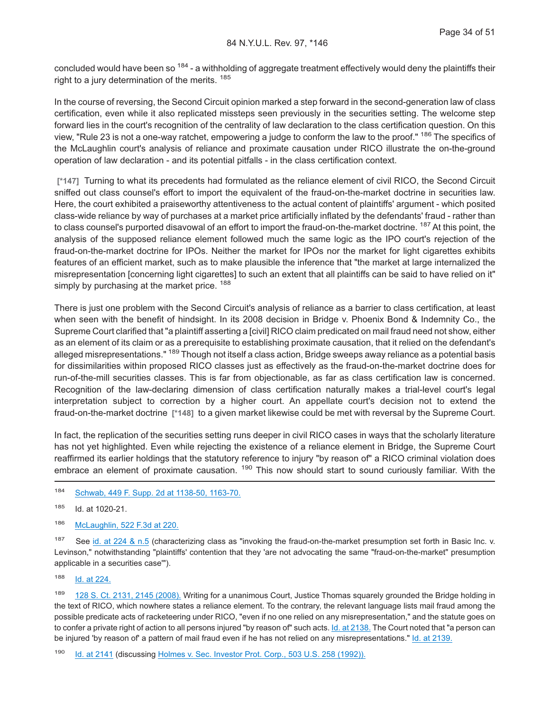concluded would have been so <sup>184</sup> - a withholding of aggregate treatment effectively would deny the plaintiffs their right to a jury determination of the merits.<sup>185</sup>

In the course of reversing, the Second Circuit opinion marked a step forward in the second-generation law of class certification, even while it also replicated missteps seen previously in the securities setting. The welcome step forward lies in the court's recognition of the centrality of law declaration to the class certification question. On this view, "Rule 23 is not a one-way ratchet, empowering a judge to conform the law to the proof." <sup>186</sup> The specifics of the McLaughlin court's analysis of reliance and proximate causation under RICO illustrate the on-the-ground operation of law declaration - and its potential pitfalls - in the class certification context.

**[\*147]** Turning to what its precedents had formulated as the reliance element of civil RICO, the Second Circuit sniffed out class counsel's effort to import the equivalent of the fraud-on-the-market doctrine in securities law. Here, the court exhibited a praiseworthy attentiveness to the actual content of plaintiffs' argument - which posited class-wide reliance by way of purchases at a market price artificially inflated by the defendants' fraud - rather than to class counsel's purported disavowal of an effort to import the fraud-on-the-market doctrine. <sup>187</sup> At this point, the analysis of the supposed reliance element followed much the same logic as the IPO court's rejection of the fraud-on-the-market doctrine for IPOs. Neither the market for IPOs nor the market for light cigarettes exhibits features of an efficient market, such as to make plausible the inference that "the market at large internalized the misrepresentation [concerning light cigarettes] to such an extent that all plaintiffs can be said to have relied on it" simply by purchasing at the market price. <sup>188</sup>

There is just one problem with the Second Circuit's analysis of reliance as a barrier to class certification, at least when seen with the benefit of hindsight. In its 2008 decision in Bridge v. Phoenix Bond & Indemnity Co., the Supreme Court clarified that "a plaintiff asserting a [civil] RICO claim predicated on mail fraud need not show, either as an element of its claim or as a prerequisite to establishing proximate causation, that it relied on the defendant's alleged misrepresentations." <sup>189</sup> Though not itself a class action, Bridge sweeps away reliance as a potential basis for dissimilarities within proposed RICO classes just as effectively as the fraud-on-the-market doctrine does for run-of-the-mill securities classes. This is far from objectionable, as far as class certification law is concerned. Recognition of the law-declaring dimension of class certification naturally makes a trial-level court's legal interpretation subject to correction by a higher court. An appellate court's decision not to extend the fraud-on-the-market doctrine **[\*148]** to a given market likewise could be met with reversal by the Supreme Court.

In fact, the replication of the securities setting runs deeper in civil RICO cases in ways that the scholarly literature has not yet highlighted. Even while rejecting the existence of a reliance element in Bridge, the Supreme Court reaffirmed its earlier holdings that the statutory reference to injury "by reason of" a RICO criminal violation does embrace an element of proximate causation. <sup>190</sup> This now should start to sound curiously familiar. With the

<sup>184</sup> [Schwab, 449 F. Supp. 2d at 1138-50, 1163-70.](http://advance.lexis.com/api/document?collection=cases&id=urn:contentItem:4M34-CTT0-0038-Y51H-00000-02&context=1000516)

<sup>185</sup> Id. at 1020-21.

<sup>186</sup> [McLaughlin, 522 F.3d at 220.](http://advance.lexis.com/api/document?collection=cases&id=urn:contentItem:4S6M-SC10-TXFX-41XK-00000-00&context=1000516)

187 See [id. at 224 & n.5](http://advance.lexis.com/api/document?collection=cases&id=urn:contentItem:4S6M-SC10-TXFX-41XK-00000-00&context=1000516) (characterizing class as "invoking the fraud-on-the-market presumption set forth in Basic Inc. v. Levinson," notwithstanding "plaintiffs' contention that they 'are not advocating the same "fraud-on-the-market" presumption applicable in a securities case'").

<sup>188</sup> [Id. at 224.](http://advance.lexis.com/api/document?collection=cases&id=urn:contentItem:4S6M-SC10-TXFX-41XK-00000-00&context=1000516)

189 [128 S. Ct. 2131, 2145 \(2008\).](http://advance.lexis.com/api/document?collection=cases&id=urn:contentItem:4SPS-PSH0-TXFX-12X7-00000-00&context=1000516) Writing for a unanimous Court, Justice Thomas squarely grounded the Bridge holding in the text of RICO, which nowhere states a reliance element. To the contrary, the relevant language lists mail fraud among the possible predicate acts of racketeering under RICO, "even if no one relied on any misrepresentation," and the statute goes on to confer a private right of action to all persons injured "by reason of" such acts. [Id. at 2138.](http://advance.lexis.com/api/document?collection=cases&id=urn:contentItem:4SPS-PSH0-TXFX-12X7-00000-00&context=1000516) The Court noted that "a person can be injured 'by reason of' a pattern of mail fraud even if he has not relied on any misrepresentations." [Id. at 2139.](http://advance.lexis.com/api/document?collection=cases&id=urn:contentItem:4SPS-PSH0-TXFX-12X7-00000-00&context=1000516)

<sup>190</sup> [Id. at 2141](http://advance.lexis.com/api/document?collection=cases&id=urn:contentItem:4SPS-PSH0-TXFX-12X7-00000-00&context=1000516) (discussing [Holmes v. Sec. Investor Prot. Corp., 503 U.S. 258 \(1992\)\).](http://advance.lexis.com/api/document?collection=cases&id=urn:contentItem:3S65-KJ40-003B-R4CC-00000-00&context=1000516)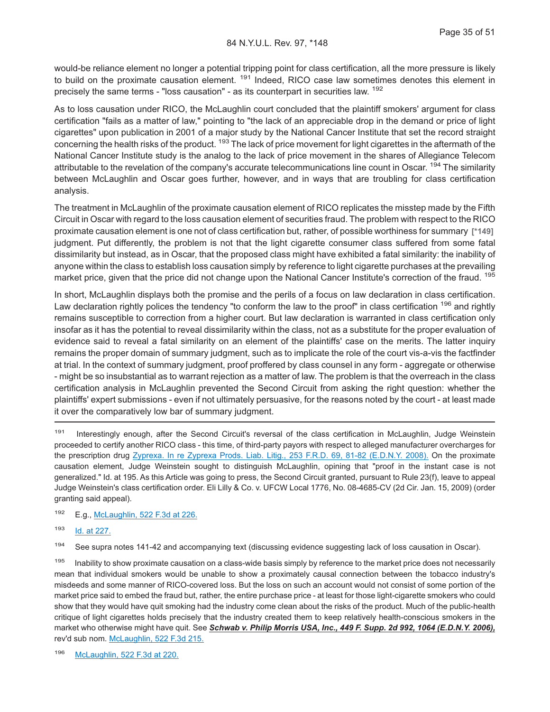would-be reliance element no longer a potential tripping point for class certification, all the more pressure is likely to build on the proximate causation element. <sup>191</sup> Indeed, RICO case law sometimes denotes this element in precisely the same terms - "loss causation" - as its counterpart in securities law. <sup>192</sup>

As to loss causation under RICO, the McLaughlin court concluded that the plaintiff smokers' argument for class certification "fails as a matter of law," pointing to "the lack of an appreciable drop in the demand or price of light cigarettes" upon publication in 2001 of a major study by the National Cancer Institute that set the record straight concerning the health risks of the product. <sup>193</sup> The lack of price movement for light cigarettes in the aftermath of the National Cancer Institute study is the analog to the lack of price movement in the shares of Allegiance Telecom attributable to the revelation of the company's accurate telecommunications line count in Oscar. <sup>194</sup> The similarity between McLaughlin and Oscar goes further, however, and in ways that are troubling for class certification analysis.

The treatment in McLaughlin of the proximate causation element of RICO replicates the misstep made by the Fifth Circuit in Oscar with regard to the loss causation element of securities fraud. The problem with respect to the RICO proximate causation element is one not of class certification but, rather, of possible worthiness for summary **[\*149]** judgment. Put differently, the problem is not that the light cigarette consumer class suffered from some fatal dissimilarity but instead, as in Oscar, that the proposed class might have exhibited a fatal similarity: the inability of anyone within the class to establish loss causation simply by reference to light cigarette purchases at the prevailing market price, given that the price did not change upon the National Cancer Institute's correction of the fraud. <sup>195</sup>

In short, McLaughlin displays both the promise and the perils of a focus on law declaration in class certification. Law declaration rightly polices the tendency "to conform the law to the proof" in class certification <sup>196</sup> and rightly remains susceptible to correction from a higher court. But law declaration is warranted in class certification only insofar as it has the potential to reveal dissimilarity within the class, not as a substitute for the proper evaluation of evidence said to reveal a fatal similarity on an element of the plaintiffs' case on the merits. The latter inquiry remains the proper domain of summary judgment, such as to implicate the role of the court vis-a-vis the factfinder at trial. In the context of summary judgment, proof proffered by class counsel in any form - aggregate or otherwise - might be so insubstantial as to warrant rejection as a matter of law. The problem is that the overreach in the class certification analysis in McLaughlin prevented the Second Circuit from asking the right question: whether the plaintiffs' expert submissions - even if not ultimately persuasive, for the reasons noted by the court - at least made it over the comparatively low bar of summary judgment.

191 Interestingly enough, after the Second Circuit's reversal of the class certification in McLaughlin, Judge Weinstein proceeded to certify another RICO class - this time, of third-party payors with respect to alleged manufacturer overcharges for the prescription drug [Zyprexa. In re Zyprexa Prods. Liab. Litig., 253 F.R.D. 69, 81-82 \(E.D.N.Y. 2008\).](http://advance.lexis.com/api/document?collection=cases&id=urn:contentItem:4TH6-R8G0-TX4N-G0Y2-00000-00&context=1000516) On the proximate causation element, Judge Weinstein sought to distinguish McLaughlin, opining that "proof in the instant case is not generalized." Id. at 195. As this Article was going to press, the Second Circuit granted, pursuant to Rule 23(f), leave to appeal Judge Weinstein's class certification order. Eli Lilly & Co. v. UFCW Local 1776, No. 08-4685-CV (2d Cir. Jan. 15, 2009) (order granting said appeal).

<sup>192</sup> E.g., [McLaughlin, 522 F.3d at 226.](http://advance.lexis.com/api/document?collection=cases&id=urn:contentItem:4S6M-SC10-TXFX-41XK-00000-00&context=1000516)

<sup>193</sup> [Id. at 227.](http://advance.lexis.com/api/document?collection=cases&id=urn:contentItem:4S6M-SC10-TXFX-41XK-00000-00&context=1000516)

194 See supra notes 141-42 and accompanying text (discussing evidence suggesting lack of loss causation in Oscar).

195 Inability to show proximate causation on a class-wide basis simply by reference to the market price does not necessarily mean that individual smokers would be unable to show a proximately causal connection between the tobacco industry's misdeeds and some manner of RICO-covered loss. But the loss on such an account would not consist of some portion of the market price said to embed the fraud but, rather, the entire purchase price - at least for those light-cigarette smokers who could show that they would have quit smoking had the industry come clean about the risks of the product. Much of the public-health critique of light cigarettes holds precisely that the industry created them to keep relatively health-conscious smokers in the market who otherwise might have quit. See *Schwab v. Philip Morris USA, Inc., 449 F. Supp. 2d 992, 1064 (E.D.N.Y. 2006),* rev'd sub nom. [McLaughlin, 522 F.3d 215.](http://advance.lexis.com/api/document?collection=cases&id=urn:contentItem:4S6M-SC10-TXFX-41XK-00000-00&context=1000516)

<sup>196</sup> [McLaughlin, 522 F.3d at 220.](http://advance.lexis.com/api/document?collection=cases&id=urn:contentItem:4S6M-SC10-TXFX-41XK-00000-00&context=1000516)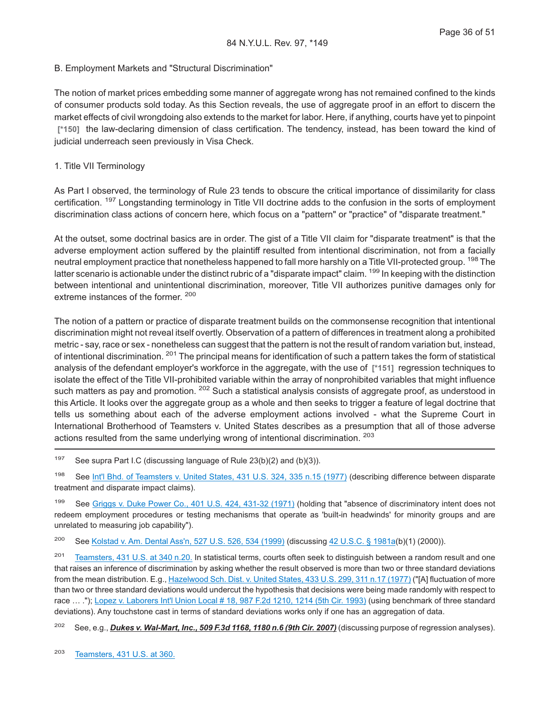#### B. Employment Markets and "Structural Discrimination"

The notion of market prices embedding some manner of aggregate wrong has not remained confined to the kinds of consumer products sold today. As this Section reveals, the use of aggregate proof in an effort to discern the market effects of civil wrongdoing also extends to the market for labor. Here, if anything, courts have yet to pinpoint **[\*150]** the law-declaring dimension of class certification. The tendency, instead, has been toward the kind of judicial underreach seen previously in Visa Check.

#### 1. Title VII Terminology

As Part I observed, the terminology of Rule 23 tends to obscure the critical importance of dissimilarity for class certification. <sup>197</sup> Longstanding terminology in Title VII doctrine adds to the confusion in the sorts of employment discrimination class actions of concern here, which focus on a "pattern" or "practice" of "disparate treatment."

At the outset, some doctrinal basics are in order. The gist of a Title VII claim for "disparate treatment" is that the adverse employment action suffered by the plaintiff resulted from intentional discrimination, not from a facially neutral employment practice that nonetheless happened to fall more harshly on a Title VII-protected group. <sup>198</sup> The latter scenario is actionable under the distinct rubric of a "disparate impact" claim. <sup>199</sup> In keeping with the distinction between intentional and unintentional discrimination, moreover, Title VII authorizes punitive damages only for extreme instances of the former. <sup>200</sup>

The notion of a pattern or practice of disparate treatment builds on the commonsense recognition that intentional discrimination might not reveal itself overtly. Observation of a pattern of differences in treatment along a prohibited metric - say, race or sex - nonetheless can suggest that the pattern is not the result of random variation but, instead, of intentional discrimination. <sup>201</sup> The principal means for identification of such a pattern takes the form of statistical analysis of the defendant employer's workforce in the aggregate, with the use of **[\*151]** regression techniques to isolate the effect of the Title VII-prohibited variable within the array of nonprohibited variables that might influence such matters as pay and promotion. <sup>202</sup> Such a statistical analysis consists of aggregate proof, as understood in this Article. It looks over the aggregate group as a whole and then seeks to trigger a feature of legal doctrine that tells us something about each of the adverse employment actions involved - what the Supreme Court in International Brotherhood of Teamsters v. United States describes as a presumption that all of those adverse actions resulted from the same underlying wrong of intentional discrimination. <sup>203</sup>

<sup>197</sup> See supra Part I.C (discussing language of Rule  $23(b)(2)$  and  $(b)(3)$ ).

<sup>198</sup> See [Int'l Bhd. of Teamsters v. United States, 431 U.S. 324, 335 n.15 \(1977\)](http://advance.lexis.com/api/document?collection=cases&id=urn:contentItem:3S4X-9G50-003B-S24S-00000-00&context=1000516) (describing difference between disparate treatment and disparate impact claims).

199 See [Griggs v. Duke Power Co., 401 U.S. 424, 431-32 \(1971\)](http://advance.lexis.com/api/document?collection=cases&id=urn:contentItem:3S4X-DR50-003B-S410-00000-00&context=1000516) (holding that "absence of discriminatory intent does not redeem employment procedures or testing mechanisms that operate as 'built-in headwinds' for minority groups and are unrelated to measuring job capability").

<sup>200</sup> See [Kolstad v. Am. Dental Ass'n, 527 U.S. 526, 534 \(1999\)](http://advance.lexis.com/api/document?collection=cases&id=urn:contentItem:3WSC-DW90-004B-Y01S-00000-00&context=1000516) (discussing [42 U.S.C. § 1981a\(](http://advance.lexis.com/api/document?collection=statutes-legislation&id=urn:contentItem:4YF7-GNM1-NRF4-40HS-00000-00&context=1000516)b)(1) (2000)).

<sup>201</sup> [Teamsters, 431 U.S. at 340 n.20.](http://advance.lexis.com/api/document?collection=cases&id=urn:contentItem:3S4X-9G50-003B-S24S-00000-00&context=1000516) In statistical terms, courts often seek to distinguish between a random result and one that raises an inference of discrimination by asking whether the result observed is more than two or three standard deviations from the mean distribution. E.g., [Hazelwood Sch. Dist. v. United States, 433 U.S. 299, 311 n.17 \(1977\)](http://advance.lexis.com/api/document?collection=cases&id=urn:contentItem:3S4X-9B30-003B-S1CY-00000-00&context=1000516) ("[A] fluctuation of more than two or three standard deviations would undercut the hypothesis that decisions were being made randomly with respect to race … ."); [Lopez v. Laborers Int'l Union Local # 18, 987 F.2d 1210, 1214 \(5th Cir. 1993\)](http://advance.lexis.com/api/document?collection=cases&id=urn:contentItem:3S4X-GY60-003B-P0PH-00000-00&context=1000516) (using benchmark of three standard deviations). Any touchstone cast in terms of standard deviations works only if one has an aggregation of data.

<sup>202</sup> See, e.g., *Dukes v. Wal-Mart, Inc., 509 F.3d 1168, 1180 n.6 (9th Cir. 2007)* (discussing purpose of regression analyses).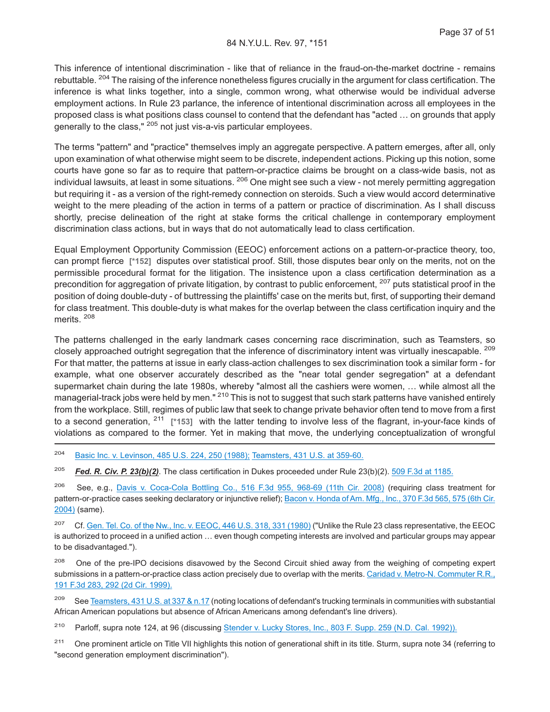This inference of intentional discrimination - like that of reliance in the fraud-on-the-market doctrine - remains rebuttable. <sup>204</sup> The raising of the inference nonetheless figures crucially in the argument for class certification. The inference is what links together, into a single, common wrong, what otherwise would be individual adverse employment actions. In Rule 23 parlance, the inference of intentional discrimination across all employees in the proposed class is what positions class counsel to contend that the defendant has "acted … on grounds that apply generally to the class," <sup>205</sup> not just vis-a-vis particular employees.

The terms "pattern" and "practice" themselves imply an aggregate perspective. A pattern emerges, after all, only upon examination of what otherwise might seem to be discrete, independent actions. Picking up this notion, some courts have gone so far as to require that pattern-or-practice claims be brought on a class-wide basis, not as individual lawsuits, at least in some situations. <sup>206</sup> One might see such a view - not merely permitting aggregation but requiring it - as a version of the right-remedy connection on steroids. Such a view would accord determinative weight to the mere pleading of the action in terms of a pattern or practice of discrimination. As I shall discuss shortly, precise delineation of the right at stake forms the critical challenge in contemporary employment discrimination class actions, but in ways that do not automatically lead to class certification.

Equal Employment Opportunity Commission (EEOC) enforcement actions on a pattern-or-practice theory, too, can prompt fierce **[\*152]** disputes over statistical proof. Still, those disputes bear only on the merits, not on the permissible procedural format for the litigation. The insistence upon a class certification determination as a precondition for aggregation of private litigation, by contrast to public enforcement, <sup>207</sup> puts statistical proof in the position of doing double-duty - of buttressing the plaintiffs' case on the merits but, first, of supporting their demand for class treatment. This double-duty is what makes for the overlap between the class certification inquiry and the merits. <sup>208</sup>

The patterns challenged in the early landmark cases concerning race discrimination, such as Teamsters, so closely approached outright segregation that the inference of discriminatory intent was virtually inescapable. <sup>209</sup> For that matter, the patterns at issue in early class-action challenges to sex discrimination took a similar form - for example, what one observer accurately described as the "near total gender segregation" at a defendant supermarket chain during the late 1980s, whereby "almost all the cashiers were women, ... while almost all the managerial-track jobs were held by men."<sup>210</sup> This is not to suggest that such stark patterns have vanished entirely from the workplace. Still, regimes of public law that seek to change private behavior often tend to move from a first to a second generation, <sup>211</sup> **[\*153]** with the latter tending to involve less of the flagrant, in-your-face kinds of violations as compared to the former. Yet in making that move, the underlying conceptualization of wrongful

<sup>204</sup> [Basic Inc. v. Levinson, 485 U.S. 224, 250 \(1988\);](http://advance.lexis.com/api/document?collection=cases&id=urn:contentItem:3S4X-FKK0-003B-409H-00000-00&context=1000516) [Teamsters, 431 U.S. at 359-60.](http://advance.lexis.com/api/document?collection=cases&id=urn:contentItem:3S4X-9G50-003B-S24S-00000-00&context=1000516)

<sup>205</sup> *Fed. R. Civ. P. 23(b)(2)*. The class certification in Dukes proceeded under Rule 23(b)(2). [509 F.3d at 1185.](http://advance.lexis.com/api/document?collection=cases&id=urn:contentItem:4RB9-N080-TXFX-D2FK-00000-00&context=1000516)

<sup>206</sup> See, e.g., [Davis v. Coca-Cola Bottling Co., 516 F.3d 955, 968-69 \(11th Cir. 2008\)](http://advance.lexis.com/api/document?collection=cases&id=urn:contentItem:4RSG-9KM0-TXFX-G249-00000-00&context=1000516) (requiring class treatment for pattern-or-practice cases seeking declaratory or injunctive relief); [Bacon v. Honda of Am. Mfg., Inc., 370 F.3d 565, 575 \(6th Cir.](http://advance.lexis.com/api/document?collection=cases&id=urn:contentItem:4CGG-XRB0-0038-X1DF-00000-00&context=1000516) [2004\)](http://advance.lexis.com/api/document?collection=cases&id=urn:contentItem:4CGG-XRB0-0038-X1DF-00000-00&context=1000516) (same).

<sup>207</sup> Cf. [Gen. Tel. Co. of the Nw., Inc. v. EEOC, 446 U.S. 318, 331 \(1980\)](http://advance.lexis.com/api/document?collection=cases&id=urn:contentItem:3S4X-7BB0-003B-S208-00000-00&context=1000516) ("Unlike the Rule 23 class representative, the EEOC is authorized to proceed in a unified action … even though competing interests are involved and particular groups may appear to be disadvantaged.").

<sup>208</sup> One of the pre-IPO decisions disavowed by the Second Circuit shied away from the weighing of competing expert submissions in a pattern-or-practice class action precisely due to overlap with the merits. [Caridad v. Metro-N. Commuter R.R.,](http://advance.lexis.com/api/document?collection=cases&id=urn:contentItem:3X2G-N9H0-0038-X2X1-00000-00&context=1000516) [191 F.3d 283, 292 \(2d Cir. 1999\).](http://advance.lexis.com/api/document?collection=cases&id=urn:contentItem:3X2G-N9H0-0038-X2X1-00000-00&context=1000516)

<sup>209</sup> See [Teamsters, 431 U.S. at 337 & n.17](http://advance.lexis.com/api/document?collection=cases&id=urn:contentItem:3S4X-9G50-003B-S24S-00000-00&context=1000516) (noting locations of defendant's trucking terminals in communities with substantial African American populations but absence of African Americans among defendant's line drivers).

<sup>210</sup> Parloff, supra note 124, at 96 (discussing [Stender v. Lucky Stores, Inc., 803 F. Supp. 259 \(N.D. Cal. 1992\)\).](http://advance.lexis.com/api/document?collection=cases&id=urn:contentItem:3S4N-H5K0-008H-F4TY-00000-00&context=1000516)

<sup>211</sup> One prominent article on Title VII highlights this notion of generational shift in its title. Sturm, supra note 34 (referring to "second generation employment discrimination").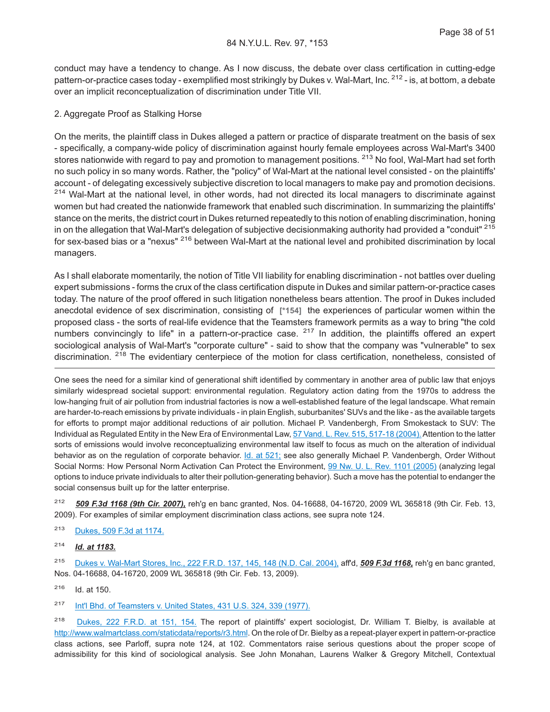conduct may have a tendency to change. As I now discuss, the debate over class certification in cutting-edge pattern-or-practice cases today - exemplified most strikingly by Dukes v. Wal-Mart, Inc. <sup>212</sup> - is, at bottom, a debate over an implicit reconceptualization of discrimination under Title VII.

#### 2. Aggregate Proof as Stalking Horse

On the merits, the plaintiff class in Dukes alleged a pattern or practice of disparate treatment on the basis of sex - specifically, a company-wide policy of discrimination against hourly female employees across Wal-Mart's 3400 stores nationwide with regard to pay and promotion to management positions. <sup>213</sup> No fool, Wal-Mart had set forth no such policy in so many words. Rather, the "policy" of Wal-Mart at the national level consisted - on the plaintiffs' account - of delegating excessively subjective discretion to local managers to make pay and promotion decisions. <sup>214</sup> Wal-Mart at the national level, in other words, had not directed its local managers to discriminate against women but had created the nationwide framework that enabled such discrimination. In summarizing the plaintiffs' stance on the merits, the district court in Dukes returned repeatedly to this notion of enabling discrimination, honing in on the allegation that Wal-Mart's delegation of subjective decisionmaking authority had provided a "conduit" <sup>215</sup> for sex-based bias or a "nexus" <sup>216</sup> between Wal-Mart at the national level and prohibited discrimination by local managers.

As I shall elaborate momentarily, the notion of Title VII liability for enabling discrimination - not battles over dueling expert submissions - forms the crux of the class certification dispute in Dukes and similar pattern-or-practice cases today. The nature of the proof offered in such litigation nonetheless bears attention. The proof in Dukes included anecdotal evidence of sex discrimination, consisting of **[\*154]** the experiences of particular women within the proposed class - the sorts of real-life evidence that the Teamsters framework permits as a way to bring "the cold numbers convincingly to life" in a pattern-or-practice case.  $217$  In addition, the plaintiffs offered an expert sociological analysis of Wal-Mart's "corporate culture" - said to show that the company was "vulnerable" to sex discrimination. <sup>218</sup> The evidentiary centerpiece of the motion for class certification, nonetheless, consisted of

One sees the need for a similar kind of generational shift identified by commentary in another area of public law that enjoys similarly widespread societal support: environmental regulation. Regulatory action dating from the 1970s to address the low-hanging fruit of air pollution from industrial factories is now a well-established feature of the legal landscape. What remain are harder-to-reach emissions by private individuals - in plain English, suburbanites' SUVs and the like - as the available targets for efforts to prompt major additional reductions of air pollution. Michael P. Vandenbergh, From Smokestack to SUV: The Individual as Regulated Entity in the New Era of Environmental Law, [57 Vand. L. Rev. 515, 517-18 \(2004\).](http://advance.lexis.com/api/document?collection=analytical-materials&id=urn:contentItem:4CW4-6W70-00CW-705P-00000-00&context=1000516) Attention to the latter sorts of emissions would involve reconceptualizing environmental law itself to focus as much on the alteration of individual behavior as on the regulation of corporate behavior. *[Id. at 521;](http://advance.lexis.com/api/document?collection=analytical-materials&id=urn:contentItem:4CW4-6W70-00CW-705P-00000-00&context=1000516)* see also generally Michael P. Vandenbergh, Order Without Social Norms: How Personal Norm Activation Can Protect the Environment, [99 Nw. U. L. Rev. 1101 \(2005\)](http://advance.lexis.com/api/document?collection=analytical-materials&id=urn:contentItem:4GMR-S2N0-00CW-00M1-00000-00&context=1000516) (analyzing legal options to induce private individuals to alter their pollution-generating behavior). Such a move has the potential to endanger the social consensus built up for the latter enterprise.

<sup>212</sup> *509 F.3d 1168 (9th Cir. 2007),* reh'g en banc granted, Nos. 04-16688, 04-16720, 2009 WL 365818 (9th Cir. Feb. 13, 2009). For examples of similar employment discrimination class actions, see supra note 124.

<sup>213</sup> [Dukes, 509 F.3d at 1174.](http://advance.lexis.com/api/document?collection=cases&id=urn:contentItem:4RB9-N080-TXFX-D2FK-00000-00&context=1000516)

<sup>214</sup> *Id. at 1183.*

<sup>215</sup> [Dukes v. Wal-Mart Stores, Inc., 222 F.R.D. 137, 145, 148 \(N.D. Cal. 2004\),](http://advance.lexis.com/api/document?collection=cases&id=urn:contentItem:4CP5-VB80-0038-Y2XY-00000-00&context=1000516) aff'd, *509 F.3d 1168,* reh'g en banc granted, Nos. 04-16688, 04-16720, 2009 WL 365818 (9th Cir. Feb. 13, 2009).

<sup>216</sup> Id. at 150.

<sup>217</sup> [Int'l Bhd. of Teamsters v. United States, 431 U.S. 324, 339 \(1977\).](http://advance.lexis.com/api/document?collection=cases&id=urn:contentItem:3S4X-9G50-003B-S24S-00000-00&context=1000516)

<sup>218</sup> [Dukes, 222 F.R.D. at 151, 154.](http://advance.lexis.com/api/document?collection=cases&id=urn:contentItem:4CP5-VB80-0038-Y2XY-00000-00&context=1000516) The report of plaintiffs' expert sociologist, Dr. William T. Bielby, is available at [http://www.walmartclass.com/staticdata/reports/r3.html.](http://www.walmartclass.com/staticdata/reports/r3.html) On the role of Dr. Bielby as a repeat-player expert in pattern-or-practice class actions, see Parloff, supra note 124, at 102. Commentators raise serious questions about the proper scope of admissibility for this kind of sociological analysis. See John Monahan, Laurens Walker & Gregory Mitchell, Contextual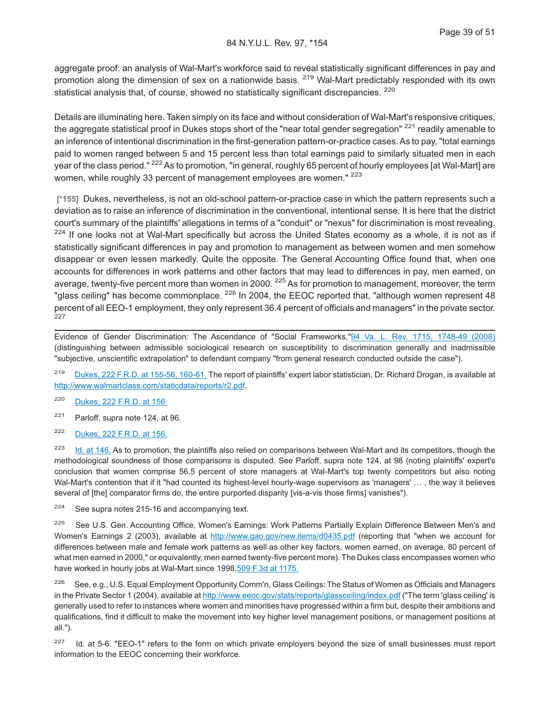aggregate proof: an analysis of Wal-Mart's workforce said to reveal statistically significant differences in pay and promotion along the dimension of sex on a nationwide basis. <sup>219</sup> Wal-Mart predictably responded with its own statistical analysis that, of course, showed no statistically significant discrepancies. <sup>220</sup>

Details are illuminating here. Taken simply on its face and without consideration of Wal-Mart's responsive critiques, the aggregate statistical proof in Dukes stops short of the "near total gender segregation" <sup>221</sup> readily amenable to an inference of intentional discrimination in the first-generation pattern-or-practice cases. As to pay, "total earnings paid to women ranged between 5 and 15 percent less than total earnings paid to similarly situated men in each year of the class period." <sup>222</sup> As to promotion, "in general, roughly 65 percent of hourly employees [at Wal-Mart] are women, while roughly 33 percent of management employees are women." <sup>223</sup>

**[\*155]** Dukes, nevertheless, is not an old-school pattern-or-practice case in which the pattern represents such a deviation as to raise an inference of discrimination in the conventional, intentional sense. It is here that the district court's summary of the plaintiffs' allegations in terms of a "conduit" or "nexus" for discrimination is most revealing. <sup>224</sup> If one looks not at Wal-Mart specifically but across the United States economy as a whole, it is not as if statistically significant differences in pay and promotion to management as between women and men somehow disappear or even lessen markedly. Quite the opposite. The General Accounting Office found that, when one accounts for differences in work patterns and other factors that may lead to differences in pay, men earned, on average, twenty-five percent more than women in 2000. <sup>225</sup> As for promotion to management, moreover, the term "glass ceiling" has become commonplace.  $^{226}$  In 2004, the EEOC reported that, "although women represent 48 percent of all EEO-1 employment, they only represent 36.4 percent of officials and managers" in the private sector. 227

Evidence of Gender Discrimination: The Ascendance of "Social Frameworks,["94 Va. L. Rev. 1715, 1748-49 \(2008\)](http://advance.lexis.com/api/document?collection=analytical-materials&id=urn:contentItem:4TYY-R690-02BM-Y1CC-00000-00&context=1000516) (distinguishing between admissible sociological research on susceptibility to discrimination generally and inadmissible "subjective, unscientific extrapolation" to defendant company "from general research conducted outside the case").

<sup>219</sup> [Dukes, 222 F.R.D. at 155-56, 160-61.](http://advance.lexis.com/api/document?collection=cases&id=urn:contentItem:4CP5-VB80-0038-Y2XY-00000-00&context=1000516) The report of plaintiffs' expert labor statistician, Dr. Richard Drogan, is available at [http://www.walmartclass.com/staticdata/reports/r2.pdf.](http://www.walmartclass.com/staticdata/reports/r2.pdf)

<sup>220</sup> [Dukes, 222 F.R.D. at 156.](http://advance.lexis.com/api/document?collection=cases&id=urn:contentItem:4CP5-VB80-0038-Y2XY-00000-00&context=1000516)

<sup>221</sup> Parloff, supra note 124, at 96.

<sup>222</sup> [Dukes, 222 F.R.D. at 156.](http://advance.lexis.com/api/document?collection=cases&id=urn:contentItem:4CP5-VB80-0038-Y2XY-00000-00&context=1000516)

 $223$  [Id. at 146.](http://advance.lexis.com/api/document?collection=cases&id=urn:contentItem:4CP5-VB80-0038-Y2XY-00000-00&context=1000516) As to promotion, the plaintiffs also relied on comparisons between Wal-Mart and its competitors, though the methodological soundness of those comparisons is disputed. See Parloff, supra note 124, at 98 (noting plaintiffs' expert's conclusion that women comprise 56.5 percent of store managers at Wal-Mart's top twenty competitors but also noting Wal-Mart's contention that if it "had counted its highest-level hourly-wage supervisors as 'managers' … , the way it believes several of [the] comparator firms do, the entire purported disparity [vis-a-vis those firms] vanishes").

 $224$  See supra notes 215-16 and accompanying text.

<sup>225</sup> See U.S. Gen. Accounting Office, Women's Earnings: Work Patterns Partially Explain Difference Between Men's and Women's Earnings 2 (2003), available at <http://www.gao.gov/new.items/d0435.pdf> (reporting that "when we account for differences between male and female work patterns as well as other key factors, women earned, on average, 80 percent of what men earned in 2000," or equivalently, men earned twenty-five percent more). The Dukes class encompasses women who have worked in hourly jobs at Wal-Mart since 1998[.509 F.3d at 1175.](http://advance.lexis.com/api/document?collection=cases&id=urn:contentItem:4RB9-N080-TXFX-D2FK-00000-00&context=1000516)

<sup>226</sup> See, e.g., U.S. Equal Employment Opportunity Comm'n, Glass Ceilings: The Status of Women as Officials and Managers in the Private Sector 1 (2004), available at <http://www.eeoc.gov/stats/reports/glassceiling/index.pdf> ("The term 'glass ceiling' is generally used to refer to instances where women and minorities have progressed within a firm but, despite their ambitions and qualifications, find it difficult to make the movement into key higher level management positions, or management positions at all.").

<sup>227</sup> Id. at 5-6. "EEO-1" refers to the form on which private employers beyond the size of small businesses must report information to the EEOC concerning their workforce.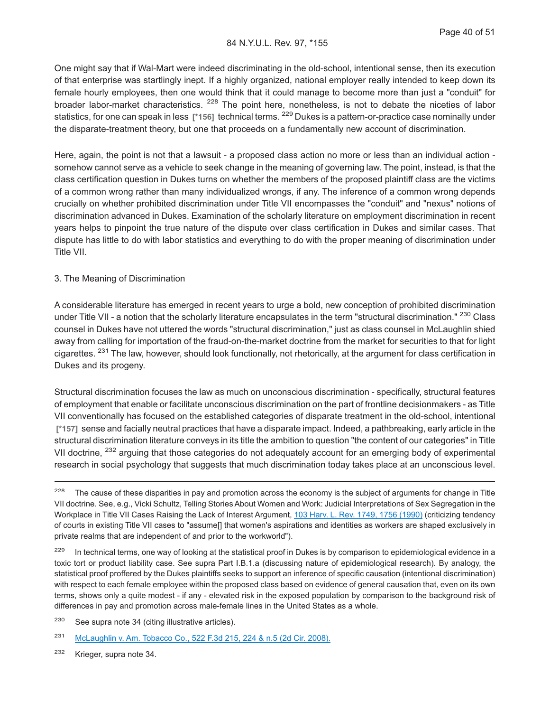One might say that if Wal-Mart were indeed discriminating in the old-school, intentional sense, then its execution of that enterprise was startlingly inept. If a highly organized, national employer really intended to keep down its female hourly employees, then one would think that it could manage to become more than just a "conduit" for broader labor-market characteristics. <sup>228</sup> The point here, nonetheless, is not to debate the niceties of labor statistics, for one can speak in less **[\*156]** technical terms. <sup>229</sup> Dukes is a pattern-or-practice case nominally under the disparate-treatment theory, but one that proceeds on a fundamentally new account of discrimination.

Here, again, the point is not that a lawsuit - a proposed class action no more or less than an individual action somehow cannot serve as a vehicle to seek change in the meaning of governing law. The point, instead, is that the class certification question in Dukes turns on whether the members of the proposed plaintiff class are the victims of a common wrong rather than many individualized wrongs, if any. The inference of a common wrong depends crucially on whether prohibited discrimination under Title VII encompasses the "conduit" and "nexus" notions of discrimination advanced in Dukes. Examination of the scholarly literature on employment discrimination in recent years helps to pinpoint the true nature of the dispute over class certification in Dukes and similar cases. That dispute has little to do with labor statistics and everything to do with the proper meaning of discrimination under Title VII.

#### 3. The Meaning of Discrimination

A considerable literature has emerged in recent years to urge a bold, new conception of prohibited discrimination under Title VII - a notion that the scholarly literature encapsulates in the term "structural discrimination." <sup>230</sup> Class counsel in Dukes have not uttered the words "structural discrimination," just as class counsel in McLaughlin shied away from calling for importation of the fraud-on-the-market doctrine from the market for securities to that for light cigarettes. <sup>231</sup> The law, however, should look functionally, not rhetorically, at the argument for class certification in Dukes and its progeny.

Structural discrimination focuses the law as much on unconscious discrimination - specifically, structural features of employment that enable or facilitate unconscious discrimination on the part of frontline decisionmakers - as Title VII conventionally has focused on the established categories of disparate treatment in the old-school, intentional **[\*157]** sense and facially neutral practices that have a disparate impact. Indeed, a pathbreaking, early article in the structural discrimination literature conveys in its title the ambition to question "the content of our categories" in Title VII doctrine, <sup>232</sup> arguing that those categories do not adequately account for an emerging body of experimental research in social psychology that suggests that much discrimination today takes place at an unconscious level.

<sup>229</sup> In technical terms, one way of looking at the statistical proof in Dukes is by comparison to epidemiological evidence in a toxic tort or product liability case. See supra Part I.B.1.a (discussing nature of epidemiological research). By analogy, the statistical proof proffered by the Dukes plaintiffs seeks to support an inference of specific causation (intentional discrimination) with respect to each female employee within the proposed class based on evidence of general causation that, even on its own terms, shows only a quite modest - if any - elevated risk in the exposed population by comparison to the background risk of differences in pay and promotion across male-female lines in the United States as a whole.

<sup>230</sup> See supra note 34 (citing illustrative articles).

<sup>231</sup> [McLaughlin v. Am. Tobacco Co., 522 F.3d 215, 224 & n.5 \(2d Cir. 2008\).](http://advance.lexis.com/api/document?collection=cases&id=urn:contentItem:4S6M-SC10-TXFX-41XK-00000-00&context=1000516)

<sup>232</sup> Krieger, supra note 34.

<sup>&</sup>lt;sup>228</sup> The cause of these disparities in pay and promotion across the economy is the subject of arguments for change in Title VII doctrine. See, e.g., Vicki Schultz, Telling Stories About Women and Work: Judicial Interpretations of Sex Segregation in the Workplace in Title VII Cases Raising the Lack of Interest Argument, [103 Harv. L. Rev. 1749, 1756 \(1990\)](http://advance.lexis.com/api/document?collection=analytical-materials&id=urn:contentItem:3S41-2C90-00CV-51RG-00000-00&context=1000516) (criticizing tendency of courts in existing Title VII cases to "assume[] that women's aspirations and identities as workers are shaped exclusively in private realms that are independent of and prior to the workworld").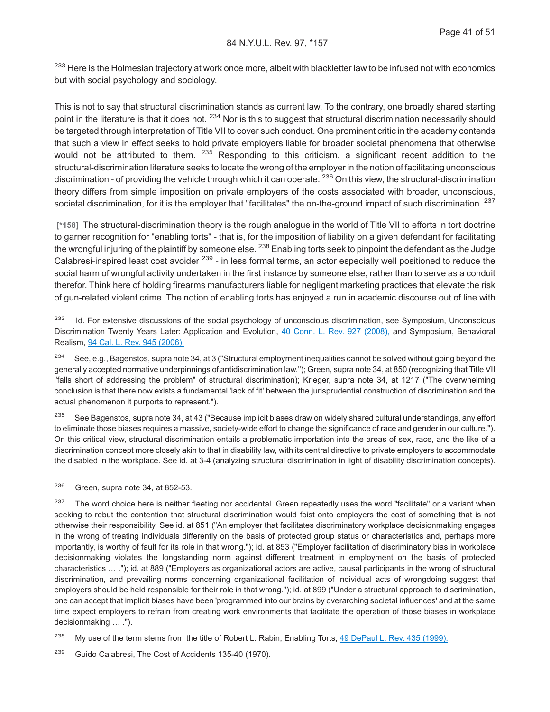<sup>233</sup> Here is the Holmesian trajectory at work once more, albeit with blackletter law to be infused not with economics but with social psychology and sociology.

This is not to say that structural discrimination stands as current law. To the contrary, one broadly shared starting point in the literature is that it does not. <sup>234</sup> Nor is this to suggest that structural discrimination necessarily should be targeted through interpretation of Title VII to cover such conduct. One prominent critic in the academy contends that such a view in effect seeks to hold private employers liable for broader societal phenomena that otherwise would not be attributed to them. <sup>235</sup> Responding to this criticism, a significant recent addition to the structural-discrimination literature seeks to locate the wrong of the employer in the notion of facilitating unconscious discrimination - of providing the vehicle through which it can operate. <sup>236</sup> On this view, the structural-discrimination theory differs from simple imposition on private employers of the costs associated with broader, unconscious, societal discrimination, for it is the employer that "facilitates" the on-the-ground impact of such discrimination. <sup>237</sup>

**[\*158]** The structural-discrimination theory is the rough analogue in the world of Title VII to efforts in tort doctrine to garner recognition for "enabling torts" - that is, for the imposition of liability on a given defendant for facilitating the wrongful injuring of the plaintiff by someone else. <sup>238</sup> Enabling torts seek to pinpoint the defendant as the Judge Calabresi-inspired least cost avoider <sup>239</sup> - in less formal terms, an actor especially well positioned to reduce the social harm of wrongful activity undertaken in the first instance by someone else, rather than to serve as a conduit therefor. Think here of holding firearms manufacturers liable for negligent marketing practices that elevate the risk of gun-related violent crime. The notion of enabling torts has enjoyed a run in academic discourse out of line with

<sup>233</sup> Id. For extensive discussions of the social psychology of unconscious discrimination, see Symposium, Unconscious Discrimination Twenty Years Later: Application and Evolution, [40 Conn. L. Rev. 927 \(2008\),](http://advance.lexis.com/api/document?collection=analytical-materials&id=urn:contentItem:4T84-BR30-00CV-T0R0-00000-00&context=1000516) and Symposium, Behavioral Realism, [94 Cal. L. Rev. 945 \(2006\).](http://advance.lexis.com/api/document?collection=analytical-materials&id=urn:contentItem:4KTM-4NR0-02BN-000Y-00000-00&context=1000516)

 $234$  See, e.g., Bagenstos, supra note 34, at 3 ("Structural employment inequalities cannot be solved without going beyond the generally accepted normative underpinnings of antidiscrimination law."); Green, supra note 34, at 850 (recognizing that Title VII "falls short of addressing the problem" of structural discrimination); Krieger, supra note 34, at 1217 ("The overwhelming conclusion is that there now exists a fundamental 'lack of fit' between the jurisprudential construction of discrimination and the actual phenomenon it purports to represent.").

<sup>235</sup> See Bagenstos, supra note 34, at 43 ("Because implicit biases draw on widely shared cultural understandings, any effort to eliminate those biases requires a massive, society-wide effort to change the significance of race and gender in our culture."). On this critical view, structural discrimination entails a problematic importation into the areas of sex, race, and the like of a discrimination concept more closely akin to that in disability law, with its central directive to private employers to accommodate the disabled in the workplace. See id. at 3-4 (analyzing structural discrimination in light of disability discrimination concepts).

<sup>236</sup> Green, supra note 34, at 852-53.

<sup>237</sup> The word choice here is neither fleeting nor accidental. Green repeatedly uses the word "facilitate" or a variant when seeking to rebut the contention that structural discrimination would foist onto employers the cost of something that is not otherwise their responsibility. See id. at 851 ("An employer that facilitates discriminatory workplace decisionmaking engages in the wrong of treating individuals differently on the basis of protected group status or characteristics and, perhaps more importantly, is worthy of fault for its role in that wrong."); id. at 853 ("Employer facilitation of discriminatory bias in workplace decisionmaking violates the longstanding norm against different treatment in employment on the basis of protected characteristics … ."); id. at 889 ("Employers as organizational actors are active, causal participants in the wrong of structural discrimination, and prevailing norms concerning organizational facilitation of individual acts of wrongdoing suggest that employers should be held responsible for their role in that wrong."); id. at 899 ("Under a structural approach to discrimination, one can accept that implicit biases have been 'programmed into our brains by overarching societal influences' and at the same time expect employers to refrain from creating work environments that facilitate the operation of those biases in workplace decisionmaking … .").

<sup>238</sup> My use of the term stems from the title of Robert L. Rabin, Enabling Torts, [49 DePaul L. Rev. 435 \(1999\).](http://advance.lexis.com/api/document?collection=analytical-materials&id=urn:contentItem:3YKS-P9F0-00CW-D0D4-00000-00&context=1000516)

<sup>239</sup> Guido Calabresi, The Cost of Accidents 135-40 (1970).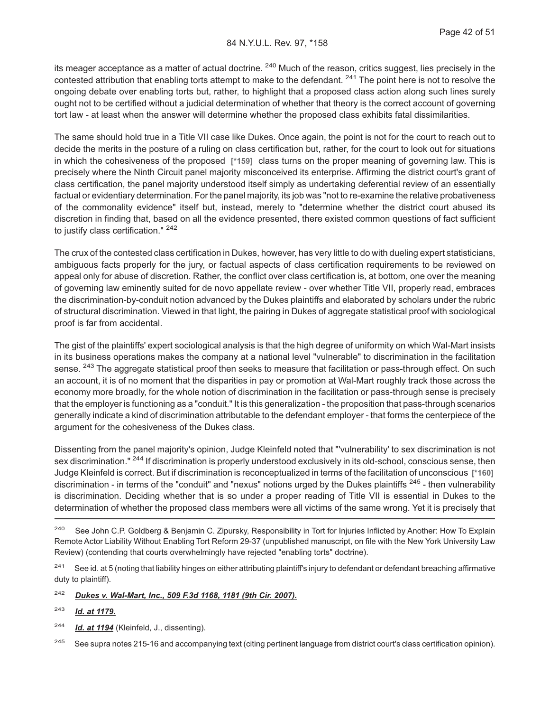its meager acceptance as a matter of actual doctrine. <sup>240</sup> Much of the reason, critics suggest, lies precisely in the contested attribution that enabling torts attempt to make to the defendant. <sup>241</sup> The point here is not to resolve the ongoing debate over enabling torts but, rather, to highlight that a proposed class action along such lines surely ought not to be certified without a judicial determination of whether that theory is the correct account of governing tort law - at least when the answer will determine whether the proposed class exhibits fatal dissimilarities.

The same should hold true in a Title VII case like Dukes. Once again, the point is not for the court to reach out to decide the merits in the posture of a ruling on class certification but, rather, for the court to look out for situations in which the cohesiveness of the proposed **[\*159]** class turns on the proper meaning of governing law. This is precisely where the Ninth Circuit panel majority misconceived its enterprise. Affirming the district court's grant of class certification, the panel majority understood itself simply as undertaking deferential review of an essentially factual or evidentiary determination. For the panel majority, its job was "not to re-examine the relative probativeness of the commonality evidence" itself but, instead, merely to "determine whether the district court abused its discretion in finding that, based on all the evidence presented, there existed common questions of fact sufficient to justify class certification." <sup>242</sup>

The crux of the contested class certification in Dukes, however, has very little to do with dueling expert statisticians, ambiguous facts properly for the jury, or factual aspects of class certification requirements to be reviewed on appeal only for abuse of discretion. Rather, the conflict over class certification is, at bottom, one over the meaning of governing law eminently suited for de novo appellate review - over whether Title VII, properly read, embraces the discrimination-by-conduit notion advanced by the Dukes plaintiffs and elaborated by scholars under the rubric of structural discrimination. Viewed in that light, the pairing in Dukes of aggregate statistical proof with sociological proof is far from accidental.

The gist of the plaintiffs' expert sociological analysis is that the high degree of uniformity on which Wal-Mart insists in its business operations makes the company at a national level "vulnerable" to discrimination in the facilitation sense. <sup>243</sup> The aggregate statistical proof then seeks to measure that facilitation or pass-through effect. On such an account, it is of no moment that the disparities in pay or promotion at Wal-Mart roughly track those across the economy more broadly, for the whole notion of discrimination in the facilitation or pass-through sense is precisely that the employer is functioning as a "conduit." It is this generalization - the proposition that pass-through scenarios generally indicate a kind of discrimination attributable to the defendant employer - that forms the centerpiece of the argument for the cohesiveness of the Dukes class.

Dissenting from the panel majority's opinion, Judge Kleinfeld noted that "'vulnerability' to sex discrimination is not sex discrimination." <sup>244</sup> If discrimination is properly understood exclusively in its old-school, conscious sense, then Judge Kleinfeld is correct. But if discrimination is reconceptualized in terms of the facilitation of unconscious **[\*160]** discrimination - in terms of the "conduit" and "nexus" notions urged by the Dukes plaintiffs <sup>245</sup> - then vulnerability is discrimination. Deciding whether that is so under a proper reading of Title VII is essential in Dukes to the determination of whether the proposed class members were all victims of the same wrong. Yet it is precisely that

<sup>241</sup> See id. at 5 (noting that liability hinges on either attributing plaintiff's injury to defendant or defendant breaching affirmative duty to plaintiff).

<sup>242</sup> *Dukes v. Wal-Mart, Inc., 509 F.3d 1168, 1181 (9th Cir. 2007).*

<sup>243</sup> *Id. at 1179.*

<sup>244</sup> *Id. at 1194* (Kleinfeld, J., dissenting).

<sup>245</sup> See supra notes 215-16 and accompanying text (citing pertinent language from district court's class certification opinion).

<sup>&</sup>lt;sup>240</sup> See John C.P. Goldberg & Benjamin C. Zipursky, Responsibility in Tort for Injuries Inflicted by Another: How To Explain Remote Actor Liability Without Enabling Tort Reform 29-37 (unpublished manuscript, on file with the New York University Law Review) (contending that courts overwhelmingly have rejected "enabling torts" doctrine).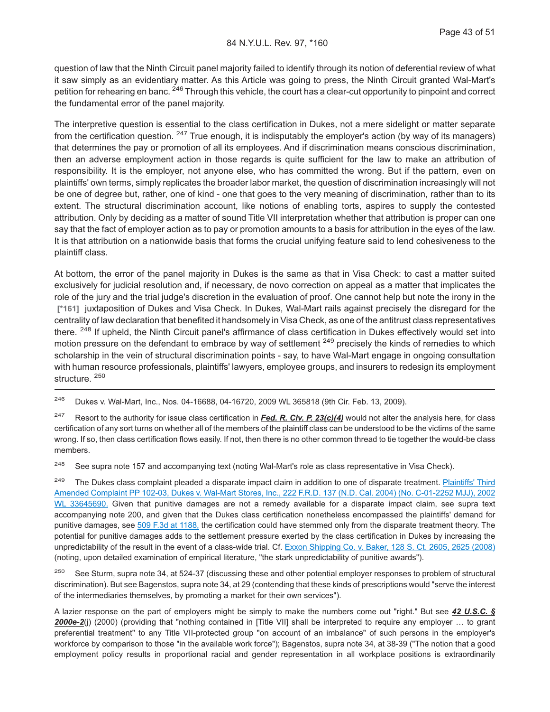question of law that the Ninth Circuit panel majority failed to identify through its notion of deferential review of what it saw simply as an evidentiary matter. As this Article was going to press, the Ninth Circuit granted Wal-Mart's petition for rehearing en banc. <sup>246</sup> Through this vehicle, the court has a clear-cut opportunity to pinpoint and correct the fundamental error of the panel majority.

The interpretive question is essential to the class certification in Dukes, not a mere sidelight or matter separate from the certification question.  $247$  True enough, it is indisputably the employer's action (by way of its managers) that determines the pay or promotion of all its employees. And if discrimination means conscious discrimination, then an adverse employment action in those regards is quite sufficient for the law to make an attribution of responsibility. It is the employer, not anyone else, who has committed the wrong. But if the pattern, even on plaintiffs' own terms, simply replicates the broader labor market, the question of discrimination increasingly will not be one of degree but, rather, one of kind - one that goes to the very meaning of discrimination, rather than to its extent. The structural discrimination account, like notions of enabling torts, aspires to supply the contested attribution. Only by deciding as a matter of sound Title VII interpretation whether that attribution is proper can one say that the fact of employer action as to pay or promotion amounts to a basis for attribution in the eyes of the law. It is that attribution on a nationwide basis that forms the crucial unifying feature said to lend cohesiveness to the plaintiff class.

At bottom, the error of the panel majority in Dukes is the same as that in Visa Check: to cast a matter suited exclusively for judicial resolution and, if necessary, de novo correction on appeal as a matter that implicates the role of the jury and the trial judge's discretion in the evaluation of proof. One cannot help but note the irony in the **[\*161]** juxtaposition of Dukes and Visa Check. In Dukes, Wal-Mart rails against precisely the disregard for the centrality of law declaration that benefited it handsomely in Visa Check, as one of the antitrust class representatives there. <sup>248</sup> If upheld, the Ninth Circuit panel's affirmance of class certification in Dukes effectively would set into motion pressure on the defendant to embrace by way of settlement <sup>249</sup> precisely the kinds of remedies to which scholarship in the vein of structural discrimination points - say, to have Wal-Mart engage in ongoing consultation with human resource professionals, plaintiffs' lawyers, employee groups, and insurers to redesign its employment structure. <sup>250</sup>

<sup>246</sup> Dukes v. Wal-Mart, Inc., Nos. 04-16688, 04-16720, 2009 WL 365818 (9th Cir. Feb. 13, 2009).

<sup>247</sup> Resort to the authority for issue class certification in *Fed. R. Civ. P. 23(c)(4)* would not alter the analysis here, for class certification of any sort turns on whether all of the members of the plaintiff class can be understood to be the victims of the same wrong. If so, then class certification flows easily. If not, then there is no other common thread to tie together the would-be class members.

<sup>248</sup> See supra note 157 and accompanying text (noting Wal-Mart's role as class representative in Visa Check).

<sup>249</sup> The Dukes class complaint pleaded a disparate impact claim in addition to one of disparate treatment. [Plaintiffs' Third](http://advance.lexis.com/api/document?collection=cases&id=urn:contentItem:4CP5-VB80-0038-Y2XY-00000-00&context=1000516) [Amended Complaint PP 102-03, Dukes v. Wal-Mart Stores, Inc., 222 F.R.D. 137 \(N.D. Cal. 2004\) \(No. C-01-2252 MJJ\), 2002](http://advance.lexis.com/api/document?collection=cases&id=urn:contentItem:4CP5-VB80-0038-Y2XY-00000-00&context=1000516) [WL 33645690.](http://advance.lexis.com/api/document?collection=cases&id=urn:contentItem:4CP5-VB80-0038-Y2XY-00000-00&context=1000516) Given that punitive damages are not a remedy available for a disparate impact claim, see supra text accompanying note 200, and given that the Dukes class certification nonetheless encompassed the plaintiffs' demand for punitive damages, see [509 F.3d at 1188,](http://advance.lexis.com/api/document?collection=cases&id=urn:contentItem:4RB9-N080-TXFX-D2FK-00000-00&context=1000516) the certification could have stemmed only from the disparate treatment theory. The potential for punitive damages adds to the settlement pressure exerted by the class certification in Dukes by increasing the unpredictability of the result in the event of a class-wide trial. Cf. [Exxon Shipping Co. v. Baker, 128 S. Ct. 2605, 2625 \(2008\)](http://advance.lexis.com/api/document?collection=cases&id=urn:contentItem:4SV6-C4T0-TXFX-12R7-00000-00&context=1000516) (noting, upon detailed examination of empirical literature, "the stark unpredictability of punitive awards").

<sup>250</sup> See Sturm, supra note 34, at 524-37 (discussing these and other potential employer responses to problem of structural discrimination). But see Bagenstos, supra note 34, at 29 (contending that these kinds of prescriptions would "serve the interest of the intermediaries themselves, by promoting a market for their own services").

A lazier response on the part of employers might be simply to make the numbers come out "right." But see *42 U.S.C. § 2000e-2*(j) (2000) (providing that "nothing contained in [Title VII] shall be interpreted to require any employer … to grant preferential treatment" to any Title VII-protected group "on account of an imbalance" of such persons in the employer's workforce by comparison to those "in the available work force"); Bagenstos, supra note 34, at 38-39 ("The notion that a good employment policy results in proportional racial and gender representation in all workplace positions is extraordinarily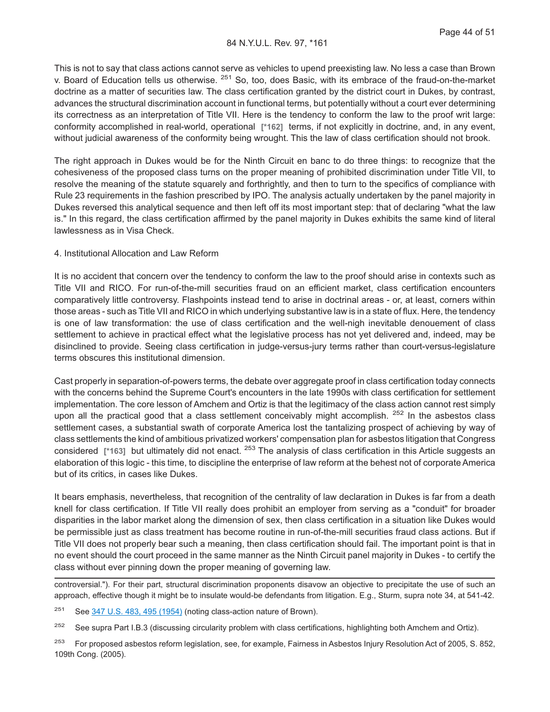This is not to say that class actions cannot serve as vehicles to upend preexisting law. No less a case than Brown v. Board of Education tells us otherwise. <sup>251</sup> So, too, does Basic, with its embrace of the fraud-on-the-market doctrine as a matter of securities law. The class certification granted by the district court in Dukes, by contrast, advances the structural discrimination account in functional terms, but potentially without a court ever determining its correctness as an interpretation of Title VII. Here is the tendency to conform the law to the proof writ large: conformity accomplished in real-world, operational **[\*162]** terms, if not explicitly in doctrine, and, in any event, without judicial awareness of the conformity being wrought. This the law of class certification should not brook.

The right approach in Dukes would be for the Ninth Circuit en banc to do three things: to recognize that the cohesiveness of the proposed class turns on the proper meaning of prohibited discrimination under Title VII, to resolve the meaning of the statute squarely and forthrightly, and then to turn to the specifics of compliance with Rule 23 requirements in the fashion prescribed by IPO. The analysis actually undertaken by the panel majority in Dukes reversed this analytical sequence and then left off its most important step: that of declaring "what the law is." In this regard, the class certification affirmed by the panel majority in Dukes exhibits the same kind of literal lawlessness as in Visa Check.

#### 4. Institutional Allocation and Law Reform

It is no accident that concern over the tendency to conform the law to the proof should arise in contexts such as Title VII and RICO. For run-of-the-mill securities fraud on an efficient market, class certification encounters comparatively little controversy. Flashpoints instead tend to arise in doctrinal areas - or, at least, corners within those areas - such as Title VII and RICO in which underlying substantive law is in a state of flux. Here, the tendency is one of law transformation: the use of class certification and the well-nigh inevitable denouement of class settlement to achieve in practical effect what the legislative process has not yet delivered and, indeed, may be disinclined to provide. Seeing class certification in judge-versus-jury terms rather than court-versus-legislature terms obscures this institutional dimension.

Cast properly in separation-of-powers terms, the debate over aggregate proof in class certification today connects with the concerns behind the Supreme Court's encounters in the late 1990s with class certification for settlement implementation. The core lesson of Amchem and Ortiz is that the legitimacy of the class action cannot rest simply upon all the practical good that a class settlement conceivably might accomplish. <sup>252</sup> In the asbestos class settlement cases, a substantial swath of corporate America lost the tantalizing prospect of achieving by way of class settlements the kind of ambitious privatized workers' compensation plan for asbestos litigation that Congress considered **[\*163]** but ultimately did not enact. <sup>253</sup> The analysis of class certification in this Article suggests an elaboration of this logic - this time, to discipline the enterprise of law reform at the behest not of corporate America but of its critics, in cases like Dukes.

It bears emphasis, nevertheless, that recognition of the centrality of law declaration in Dukes is far from a death knell for class certification. If Title VII really does prohibit an employer from serving as a "conduit" for broader disparities in the labor market along the dimension of sex, then class certification in a situation like Dukes would be permissible just as class treatment has become routine in run-of-the-mill securities fraud class actions. But if Title VII does not properly bear such a meaning, then class certification should fail. The important point is that in no event should the court proceed in the same manner as the Ninth Circuit panel majority in Dukes - to certify the class without ever pinning down the proper meaning of governing law.

controversial."). For their part, structural discrimination proponents disavow an objective to precipitate the use of such an approach, effective though it might be to insulate would-be defendants from litigation. E.g., Sturm, supra note 34, at 541-42.

<sup>251</sup> See [347 U.S. 483, 495 \(1954\)](http://advance.lexis.com/api/document?collection=cases&id=urn:contentItem:3S4X-JD90-003B-S3RR-00000-00&context=1000516) (noting class-action nature of Brown).

<sup>252</sup> See supra Part I.B.3 (discussing circularity problem with class certifications, highlighting both Amchem and Ortiz).

<sup>253</sup> For proposed asbestos reform legislation, see, for example, Fairness in Asbestos Injury Resolution Act of 2005, S. 852, 109th Cong. (2005).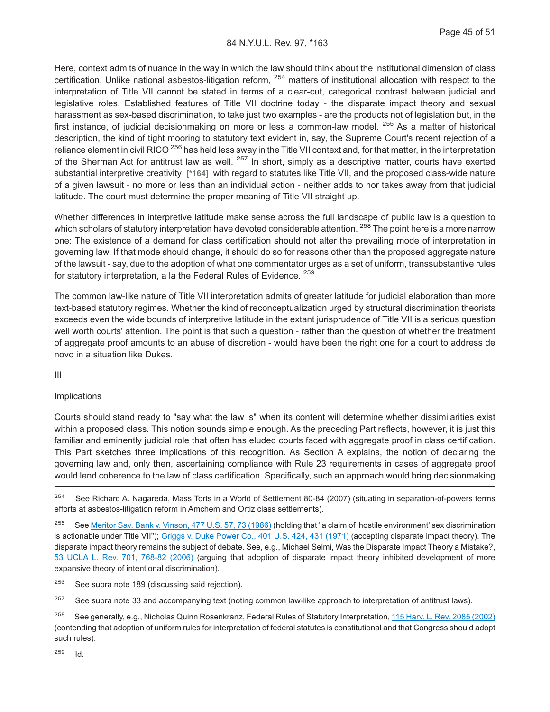Here, context admits of nuance in the way in which the law should think about the institutional dimension of class certification. Unlike national asbestos-litigation reform, <sup>254</sup> matters of institutional allocation with respect to the interpretation of Title VII cannot be stated in terms of a clear-cut, categorical contrast between judicial and legislative roles. Established features of Title VII doctrine today - the disparate impact theory and sexual harassment as sex-based discrimination, to take just two examples - are the products not of legislation but, in the first instance, of judicial decisionmaking on more or less a common-law model. <sup>255</sup> As a matter of historical description, the kind of tight mooring to statutory text evident in, say, the Supreme Court's recent rejection of a reliance element in civil RICO<sup>256</sup> has held less sway in the Title VII context and, for that matter, in the interpretation of the Sherman Act for antitrust law as well. <sup>257</sup> In short, simply as a descriptive matter, courts have exerted substantial interpretive creativity **[\*164]** with regard to statutes like Title VII, and the proposed class-wide nature of a given lawsuit - no more or less than an individual action - neither adds to nor takes away from that judicial latitude. The court must determine the proper meaning of Title VII straight up.

Whether differences in interpretive latitude make sense across the full landscape of public law is a question to which scholars of statutory interpretation have devoted considerable attention. <sup>258</sup> The point here is a more narrow one: The existence of a demand for class certification should not alter the prevailing mode of interpretation in governing law. If that mode should change, it should do so for reasons other than the proposed aggregate nature of the lawsuit - say, due to the adoption of what one commentator urges as a set of uniform, transsubstantive rules for statutory interpretation, a la the Federal Rules of Evidence. <sup>259</sup>

The common law-like nature of Title VII interpretation admits of greater latitude for judicial elaboration than more text-based statutory regimes. Whether the kind of reconceptualization urged by structural discrimination theorists exceeds even the wide bounds of interpretive latitude in the extant jurisprudence of Title VII is a serious question well worth courts' attention. The point is that such a question - rather than the question of whether the treatment of aggregate proof amounts to an abuse of discretion - would have been the right one for a court to address de novo in a situation like Dukes.

III

#### Implications

Courts should stand ready to "say what the law is" when its content will determine whether dissimilarities exist within a proposed class. This notion sounds simple enough. As the preceding Part reflects, however, it is just this familiar and eminently judicial role that often has eluded courts faced with aggregate proof in class certification. This Part sketches three implications of this recognition. As Section A explains, the notion of declaring the governing law and, only then, ascertaining compliance with Rule 23 requirements in cases of aggregate proof would lend coherence to the law of class certification. Specifically, such an approach would bring decisionmaking

<sup>255</sup> See [Meritor Sav. Bank v. Vinson, 477 U.S. 57, 73 \(1986\)](http://advance.lexis.com/api/document?collection=cases&id=urn:contentItem:3S4X-6N20-0039-N3CX-00000-00&context=1000516) (holding that "a claim of 'hostile environment' sex discrimination is actionable under Title VII"); [Griggs v. Duke Power Co., 401 U.S. 424, 431 \(1971\)](http://advance.lexis.com/api/document?collection=cases&id=urn:contentItem:3S4X-DR50-003B-S410-00000-00&context=1000516) (accepting disparate impact theory). The disparate impact theory remains the subject of debate. See, e.g., Michael Selmi, Was the Disparate Impact Theory a Mistake?, [53 UCLA L. Rev. 701, 768-82 \(2006\)](http://advance.lexis.com/api/document?collection=analytical-materials&id=urn:contentItem:4JCB-VP40-02BN-0035-00000-00&context=1000516) (arguing that adoption of disparate impact theory inhibited development of more expansive theory of intentional discrimination).

<sup>256</sup> See supra note 189 (discussing said rejection).

<sup>257</sup> See supra note 33 and accompanying text (noting common law-like approach to interpretation of antitrust laws).

<sup>258</sup> See generally, e.g., Nicholas Quinn Rosenkranz, Federal Rules of Statutory Interpretation, [115 Harv. L. Rev. 2085 \(2002\)](http://advance.lexis.com/api/document?collection=analytical-materials&id=urn:contentItem:4620-NPM0-00CV-5285-00000-00&context=1000516) (contending that adoption of uniform rules for interpretation of federal statutes is constitutional and that Congress should adopt such rules).

<sup>259</sup> Id.

<sup>&</sup>lt;sup>254</sup> See Richard A. Nagareda, Mass Torts in a World of Settlement 80-84 (2007) (situating in separation-of-powers terms efforts at asbestos-litigation reform in Amchem and Ortiz class settlements).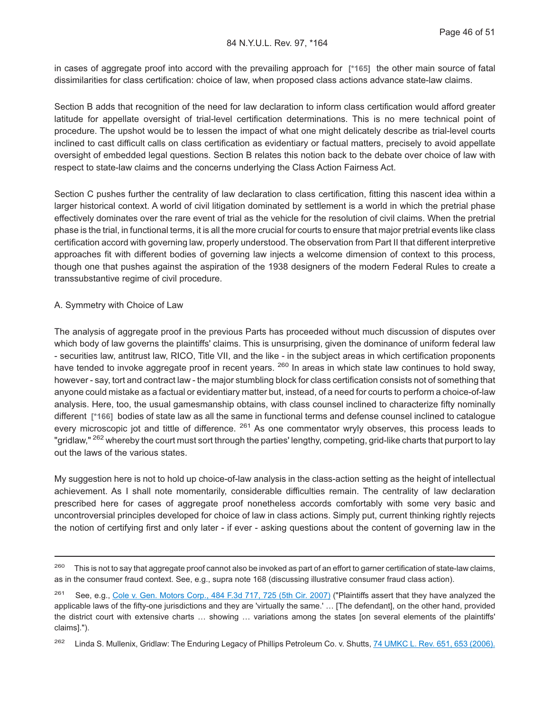in cases of aggregate proof into accord with the prevailing approach for **[\*165]** the other main source of fatal dissimilarities for class certification: choice of law, when proposed class actions advance state-law claims.

Section B adds that recognition of the need for law declaration to inform class certification would afford greater latitude for appellate oversight of trial-level certification determinations. This is no mere technical point of procedure. The upshot would be to lessen the impact of what one might delicately describe as trial-level courts inclined to cast difficult calls on class certification as evidentiary or factual matters, precisely to avoid appellate oversight of embedded legal questions. Section B relates this notion back to the debate over choice of law with respect to state-law claims and the concerns underlying the Class Action Fairness Act.

Section C pushes further the centrality of law declaration to class certification, fitting this nascent idea within a larger historical context. A world of civil litigation dominated by settlement is a world in which the pretrial phase effectively dominates over the rare event of trial as the vehicle for the resolution of civil claims. When the pretrial phase is the trial, in functional terms, it is all the more crucial for courts to ensure that major pretrial events like class certification accord with governing law, properly understood. The observation from Part II that different interpretive approaches fit with different bodies of governing law injects a welcome dimension of context to this process, though one that pushes against the aspiration of the 1938 designers of the modern Federal Rules to create a transsubstantive regime of civil procedure.

#### A. Symmetry with Choice of Law

The analysis of aggregate proof in the previous Parts has proceeded without much discussion of disputes over which body of law governs the plaintiffs' claims. This is unsurprising, given the dominance of uniform federal law - securities law, antitrust law, RICO, Title VII, and the like - in the subject areas in which certification proponents have tended to invoke aggregate proof in recent years. <sup>260</sup> In areas in which state law continues to hold sway, however - say, tort and contract law - the major stumbling block for class certification consists not of something that anyone could mistake as a factual or evidentiary matter but, instead, of a need for courts to perform a choice-of-law analysis. Here, too, the usual gamesmanship obtains, with class counsel inclined to characterize fifty nominally different **[\*166]** bodies of state law as all the same in functional terms and defense counsel inclined to catalogue every microscopic jot and tittle of difference. <sup>261</sup> As one commentator wryly observes, this process leads to "gridlaw," <sup>262</sup> whereby the court must sort through the parties' lengthy, competing, grid-like charts that purport to lay out the laws of the various states.

My suggestion here is not to hold up choice-of-law analysis in the class-action setting as the height of intellectual achievement. As I shall note momentarily, considerable difficulties remain. The centrality of law declaration prescribed here for cases of aggregate proof nonetheless accords comfortably with some very basic and uncontroversial principles developed for choice of law in class actions. Simply put, current thinking rightly rejects the notion of certifying first and only later - if ever - asking questions about the content of governing law in the

<sup>&</sup>lt;sup>260</sup> This is not to say that aggregate proof cannot also be invoked as part of an effort to garner certification of state-law claims, as in the consumer fraud context. See, e.g., supra note 168 (discussing illustrative consumer fraud class action).

<sup>261</sup> See, e.g., [Cole v. Gen. Motors Corp., 484 F.3d 717, 725 \(5th Cir. 2007\)](http://advance.lexis.com/api/document?collection=cases&id=urn:contentItem:4NG6-BNX0-0038-X424-00000-00&context=1000516) ("Plaintiffs assert that they have analyzed the applicable laws of the fifty-one jurisdictions and they are 'virtually the same.' … [The defendant], on the other hand, provided the district court with extensive charts … showing … variations among the states [on several elements of the plaintiffs' claims].").

<sup>&</sup>lt;sup>262</sup> Linda S. Mullenix, Gridlaw: The Enduring Legacy of Phillips Petroleum Co. v. Shutts, [74 UMKC L. Rev. 651, 653 \(2006\).](http://advance.lexis.com/api/document?collection=analytical-materials&id=urn:contentItem:4KJD-KG90-00CV-P07D-00000-00&context=1000516)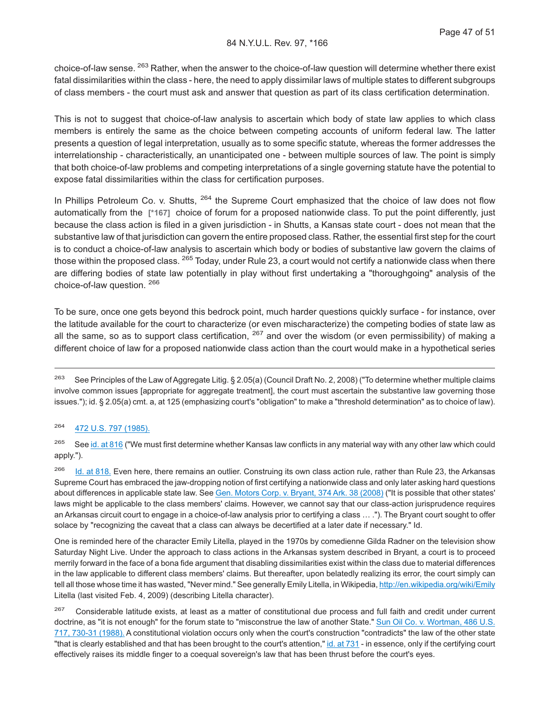choice-of-law sense. <sup>263</sup> Rather, when the answer to the choice-of-law question will determine whether there exist fatal dissimilarities within the class - here, the need to apply dissimilar laws of multiple states to different subgroups of class members - the court must ask and answer that question as part of its class certification determination.

This is not to suggest that choice-of-law analysis to ascertain which body of state law applies to which class members is entirely the same as the choice between competing accounts of uniform federal law. The latter presents a question of legal interpretation, usually as to some specific statute, whereas the former addresses the interrelationship - characteristically, an unanticipated one - between multiple sources of law. The point is simply that both choice-of-law problems and competing interpretations of a single governing statute have the potential to expose fatal dissimilarities within the class for certification purposes.

In Phillips Petroleum Co. v. Shutts, <sup>264</sup> the Supreme Court emphasized that the choice of law does not flow automatically from the **[\*167]** choice of forum for a proposed nationwide class. To put the point differently, just because the class action is filed in a given jurisdiction - in Shutts, a Kansas state court - does not mean that the substantive law of that jurisdiction can govern the entire proposed class. Rather, the essential first step for the court is to conduct a choice-of-law analysis to ascertain which body or bodies of substantive law govern the claims of those within the proposed class. <sup>265</sup> Today, under Rule 23, a court would not certify a nationwide class when there are differing bodies of state law potentially in play without first undertaking a "thoroughgoing" analysis of the choice-of-law question. <sup>266</sup>

To be sure, once one gets beyond this bedrock point, much harder questions quickly surface - for instance, over the latitude available for the court to characterize (or even mischaracterize) the competing bodies of state law as all the same, so as to support class certification,  $267$  and over the wisdom (or even permissibility) of making a different choice of law for a proposed nationwide class action than the court would make in a hypothetical series

#### <sup>264</sup> [472 U.S. 797 \(1985\).](http://advance.lexis.com/api/document?collection=cases&id=urn:contentItem:3S4X-B1X0-0039-N4D1-00000-00&context=1000516)

<sup>265</sup> See [id. at 816](http://advance.lexis.com/api/document?collection=cases&id=urn:contentItem:3S4X-B1X0-0039-N4D1-00000-00&context=1000516) ("We must first determine whether Kansas law conflicts in any material way with any other law which could apply.").

<sup>266</sup> [Id. at 818.](http://advance.lexis.com/api/document?collection=cases&id=urn:contentItem:3S4X-B1X0-0039-N4D1-00000-00&context=1000516) Even here, there remains an outlier. Construing its own class action rule, rather than Rule 23, the Arkansas Supreme Court has embraced the jaw-dropping notion of first certifying a nationwide class and only later asking hard questions about differences in applicable state law. See [Gen. Motors Corp. v. Bryant, 374 Ark. 38 \(2008\)](http://advance.lexis.com/api/document?collection=cases&id=urn:contentItem:4STR-T7T0-TX4N-G0RJ-00000-00&context=1000516) ("It is possible that other states' laws might be applicable to the class members' claims. However, we cannot say that our class-action jurisprudence requires an Arkansas circuit court to engage in a choice-of-law analysis prior to certifying a class … ."). The Bryant court sought to offer solace by "recognizing the caveat that a class can always be decertified at a later date if necessary." Id.

One is reminded here of the character Emily Litella, played in the 1970s by comedienne Gilda Radner on the television show Saturday Night Live. Under the approach to class actions in the Arkansas system described in Bryant, a court is to proceed merrily forward in the face of a bona fide argument that disabling dissimilarities exist within the class due to material differences in the law applicable to different class members' claims. But thereafter, upon belatedly realizing its error, the court simply can tell all those whose time it has wasted, "Never mind." See generally Emily Litella, in Wikipedia, <http://en.wikipedia.org/wiki/Emily> Litella (last visited Feb. 4, 2009) (describing Litella character).

<sup>267</sup> Considerable latitude exists, at least as a matter of constitutional due process and full faith and credit under current doctrine, as "it is not enough" for the forum state to "misconstrue the law of another State." [Sun Oil Co. v. Wortman, 486 U.S.](http://advance.lexis.com/api/document?collection=cases&id=urn:contentItem:3S4X-F1H0-003B-43DK-00000-00&context=1000516) [717, 730-31 \(1988\).](http://advance.lexis.com/api/document?collection=cases&id=urn:contentItem:3S4X-F1H0-003B-43DK-00000-00&context=1000516) A constitutional violation occurs only when the court's construction "contradicts" the law of the other state "that is clearly established and that has been brought to the court's attention," [id. at 731](http://advance.lexis.com/api/document?collection=cases&id=urn:contentItem:3S4X-F1H0-003B-43DK-00000-00&context=1000516) - in essence, only if the certifying court effectively raises its middle finger to a coequal sovereign's law that has been thrust before the court's eyes.

<sup>&</sup>lt;sup>263</sup> See Principles of the Law of Aggregate Litig. § 2.05(a) (Council Draft No. 2, 2008) ("To determine whether multiple claims involve common issues [appropriate for aggregate treatment], the court must ascertain the substantive law governing those issues."); id. § 2.05(a) cmt. a, at 125 (emphasizing court's "obligation" to make a "threshold determination" as to choice of law).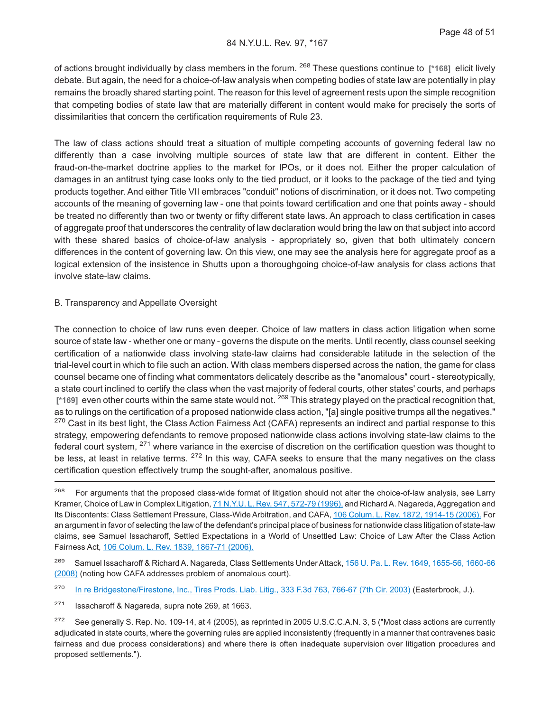of actions brought individually by class members in the forum. <sup>268</sup> These questions continue to **[\*168]** elicit lively debate. But again, the need for a choice-of-law analysis when competing bodies of state law are potentially in play remains the broadly shared starting point. The reason for this level of agreement rests upon the simple recognition that competing bodies of state law that are materially different in content would make for precisely the sorts of dissimilarities that concern the certification requirements of Rule 23.

The law of class actions should treat a situation of multiple competing accounts of governing federal law no differently than a case involving multiple sources of state law that are different in content. Either the fraud-on-the-market doctrine applies to the market for IPOs, or it does not. Either the proper calculation of damages in an antitrust tying case looks only to the tied product, or it looks to the package of the tied and tying products together. And either Title VII embraces "conduit" notions of discrimination, or it does not. Two competing accounts of the meaning of governing law - one that points toward certification and one that points away - should be treated no differently than two or twenty or fifty different state laws. An approach to class certification in cases of aggregate proof that underscores the centrality of law declaration would bring the law on that subject into accord with these shared basics of choice-of-law analysis - appropriately so, given that both ultimately concern differences in the content of governing law. On this view, one may see the analysis here for aggregate proof as a logical extension of the insistence in Shutts upon a thoroughgoing choice-of-law analysis for class actions that involve state-law claims.

#### B. Transparency and Appellate Oversight

The connection to choice of law runs even deeper. Choice of law matters in class action litigation when some source of state law - whether one or many - governs the dispute on the merits. Until recently, class counsel seeking certification of a nationwide class involving state-law claims had considerable latitude in the selection of the trial-level court in which to file such an action. With class members dispersed across the nation, the game for class counsel became one of finding what commentators delicately describe as the "anomalous" court - stereotypically, a state court inclined to certify the class when the vast majority of federal courts, other states' courts, and perhaps [\*169] even other courts within the same state would not. <sup>269</sup> This strategy played on the practical recognition that, as to rulings on the certification of a proposed nationwide class action, "[a] single positive trumps all the negatives." <sup>270</sup> Cast in its best light, the Class Action Fairness Act (CAFA) represents an indirect and partial response to this strategy, empowering defendants to remove proposed nationwide class actions involving state-law claims to the federal court system, <sup>271</sup> where variance in the exercise of discretion on the certification question was thought to be less, at least in relative terms. <sup>272</sup> In this way, CAFA seeks to ensure that the many negatives on the class certification question effectively trump the sought-after, anomalous positive.

<sup>&</sup>lt;sup>268</sup> For arguments that the proposed class-wide format of litigation should not alter the choice-of-law analysis, see Larry Kramer, Choice of Law in Complex Litigation, [71 N.Y.U. L. Rev. 547, 572-79 \(1996\),](http://advance.lexis.com/api/document?collection=analytical-materials&id=urn:contentItem:3S0M-BC10-00CW-73FG-00000-00&context=1000516) and Richard A. Nagareda, Aggregation and Its Discontents: Class Settlement Pressure, Class-Wide Arbitration, and CAFA, [106 Colum. L. Rev. 1872, 1914-15 \(2006\).](http://advance.lexis.com/api/document?collection=analytical-materials&id=urn:contentItem:4MG0-XH20-02BN-104M-00000-00&context=1000516) For an argument in favor of selecting the law of the defendant's principal place of business for nationwide class litigation of state-law claims, see Samuel Issacharoff, Settled Expectations in a World of Unsettled Law: Choice of Law After the Class Action Fairness Act, [106 Colum. L. Rev. 1839, 1867-71 \(2006\).](http://advance.lexis.com/api/document?collection=analytical-materials&id=urn:contentItem:4MG0-XH20-02BN-104K-00000-00&context=1000516)

<sup>&</sup>lt;sup>269</sup> Samuel Issacharoff & Richard A. Nagareda, Class Settlements Under Attack, [156 U. Pa. L. Rev. 1649, 1655-56, 1660-66](http://advance.lexis.com/api/document?collection=analytical-materials&id=urn:contentItem:4TM4-F5G0-02BN-10YR-00000-00&context=1000516) [\(2008\)](http://advance.lexis.com/api/document?collection=analytical-materials&id=urn:contentItem:4TM4-F5G0-02BN-10YR-00000-00&context=1000516) (noting how CAFA addresses problem of anomalous court).

<sup>&</sup>lt;sup>270</sup> [In re Bridgestone/Firestone, Inc., Tires Prods. Liab. Litig., 333 F.3d 763, 766-67 \(7th Cir. 2003\)](http://advance.lexis.com/api/document?collection=cases&id=urn:contentItem:48WJ-V5Y0-0038-X2BT-00000-00&context=1000516) (Easterbrook, J.).

<sup>271</sup> Issacharoff & Nagareda, supra note 269, at 1663.

<sup>&</sup>lt;sup>272</sup> See generally S. Rep. No. 109-14, at 4 (2005), as reprinted in 2005 U.S.C.C.A.N. 3, 5 ("Most class actions are currently adjudicated in state courts, where the governing rules are applied inconsistently (frequently in a manner that contravenes basic fairness and due process considerations) and where there is often inadequate supervision over litigation procedures and proposed settlements.").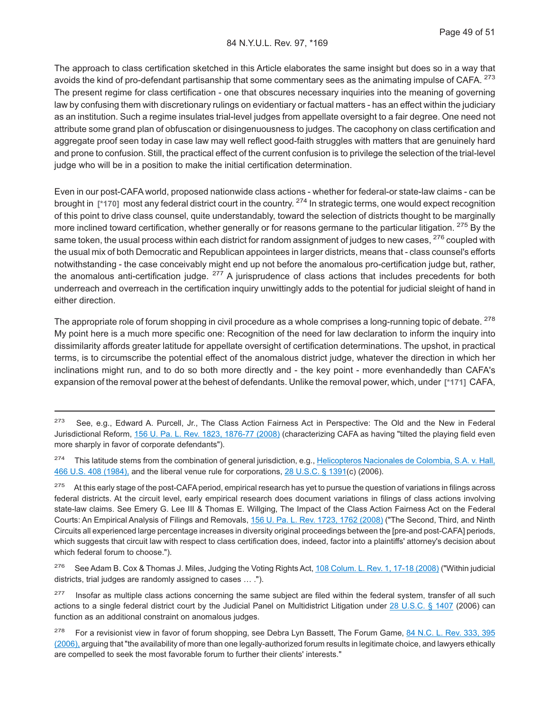The approach to class certification sketched in this Article elaborates the same insight but does so in a way that avoids the kind of pro-defendant partisanship that some commentary sees as the animating impulse of CAFA. <sup>273</sup> The present regime for class certification - one that obscures necessary inquiries into the meaning of governing law by confusing them with discretionary rulings on evidentiary or factual matters - has an effect within the judiciary as an institution. Such a regime insulates trial-level judges from appellate oversight to a fair degree. One need not attribute some grand plan of obfuscation or disingenuousness to judges. The cacophony on class certification and aggregate proof seen today in case law may well reflect good-faith struggles with matters that are genuinely hard and prone to confusion. Still, the practical effect of the current confusion is to privilege the selection of the trial-level judge who will be in a position to make the initial certification determination.

Even in our post-CAFA world, proposed nationwide class actions - whether for federal-or state-law claims - can be brought in **[\*170]** most any federal district court in the country. <sup>274</sup> In strategic terms, one would expect recognition of this point to drive class counsel, quite understandably, toward the selection of districts thought to be marginally more inclined toward certification, whether generally or for reasons germane to the particular litigation. <sup>275</sup> By the same token, the usual process within each district for random assignment of judges to new cases, <sup>276</sup> coupled with the usual mix of both Democratic and Republican appointees in larger districts, means that - class counsel's efforts notwithstanding - the case conceivably might end up not before the anomalous pro-certification judge but, rather, the anomalous anti-certification judge. <sup>277</sup> A jurisprudence of class actions that includes precedents for both underreach and overreach in the certification inquiry unwittingly adds to the potential for judicial sleight of hand in either direction.

The appropriate role of forum shopping in civil procedure as a whole comprises a long-running topic of debate. <sup>278</sup> My point here is a much more specific one: Recognition of the need for law declaration to inform the inquiry into dissimilarity affords greater latitude for appellate oversight of certification determinations. The upshot, in practical terms, is to circumscribe the potential effect of the anomalous district judge, whatever the direction in which her inclinations might run, and to do so both more directly and - the key point - more evenhandedly than CAFA's expansion of the removal power at the behest of defendants. Unlike the removal power, which, under **[\*171]** CAFA,

<sup>276</sup> See Adam B. Cox & Thomas J. Miles, Judging the Voting Rights Act, [108 Colum. L. Rev. 1, 17-18 \(2008\)](http://advance.lexis.com/api/document?collection=analytical-materials&id=urn:contentItem:4RNS-3Y20-02BN-10KN-00000-00&context=1000516) ("Within judicial districts, trial judges are randomly assigned to cases … .").

<sup>277</sup> Insofar as multiple class actions concerning the same subject are filed within the federal system, transfer of all such actions to a single federal district court by the Judicial Panel on Multidistrict Litigation under [28 U.S.C. § 1407](http://advance.lexis.com/api/document?collection=statutes-legislation&id=urn:contentItem:4YF7-GSG1-NRF4-42NR-00000-00&context=1000516) (2006) can function as an additional constraint on anomalous judges.

<sup>&</sup>lt;sup>273</sup> See, e.g., Edward A. Purcell, Jr., The Class Action Fairness Act in Perspective: The Old and the New in Federal Jurisdictional Reform, [156 U. Pa. L. Rev. 1823, 1876-77 \(2008\)](http://advance.lexis.com/api/document?collection=analytical-materials&id=urn:contentItem:4TM4-F5H0-02BN-10YV-00000-00&context=1000516) (characterizing CAFA as having "tilted the playing field even more sharply in favor of corporate defendants").

<sup>&</sup>lt;sup>274</sup> This latitude stems from the combination of general jurisdiction, e.g., [Helicopteros Nacionales de Colombia, S.A. v. Hall,](http://advance.lexis.com/api/document?collection=cases&id=urn:contentItem:3S4X-3FY0-003B-S44N-00000-00&context=1000516) [466 U.S. 408 \(1984\),](http://advance.lexis.com/api/document?collection=cases&id=urn:contentItem:3S4X-3FY0-003B-S44N-00000-00&context=1000516) and the liberal venue rule for corporations, [28 U.S.C. § 1391\(](http://advance.lexis.com/api/document?collection=statutes-legislation&id=urn:contentItem:4YF7-GTT1-NRF4-4066-00000-00&context=1000516)c) (2006).

<sup>&</sup>lt;sup>275</sup> At this early stage of the post-CAFA period, empirical research has yet to pursue the question of variations in filings across federal districts. At the circuit level, early empirical research does document variations in filings of class actions involving state-law claims. See Emery G. Lee III & Thomas E. Willging, The Impact of the Class Action Fairness Act on the Federal Courts: An Empirical Analysis of Filings and Removals, [156 U. Pa. L. Rev. 1723, 1762 \(2008\)](http://advance.lexis.com/api/document?collection=analytical-materials&id=urn:contentItem:4TM4-F5G0-02BN-10YS-00000-00&context=1000516) ("The Second, Third, and Ninth Circuits all experienced large percentage increases in diversity original proceedings between the [pre-and post-CAFA] periods, which suggests that circuit law with respect to class certification does, indeed, factor into a plaintiffs' attorney's decision about which federal forum to choose.").

<sup>&</sup>lt;sup>278</sup> For a revisionist view in favor of forum shopping, see Debra Lyn Bassett, The Forum Game, [84 N.C. L. Rev. 333, 395](http://advance.lexis.com/api/document?collection=analytical-materials&id=urn:contentItem:4J4J-35B0-02BN-002M-00000-00&context=1000516) [\(2006\),](http://advance.lexis.com/api/document?collection=analytical-materials&id=urn:contentItem:4J4J-35B0-02BN-002M-00000-00&context=1000516) arguing that "the availability of more than one legally-authorized forum results in legitimate choice, and lawyers ethically are compelled to seek the most favorable forum to further their clients' interests."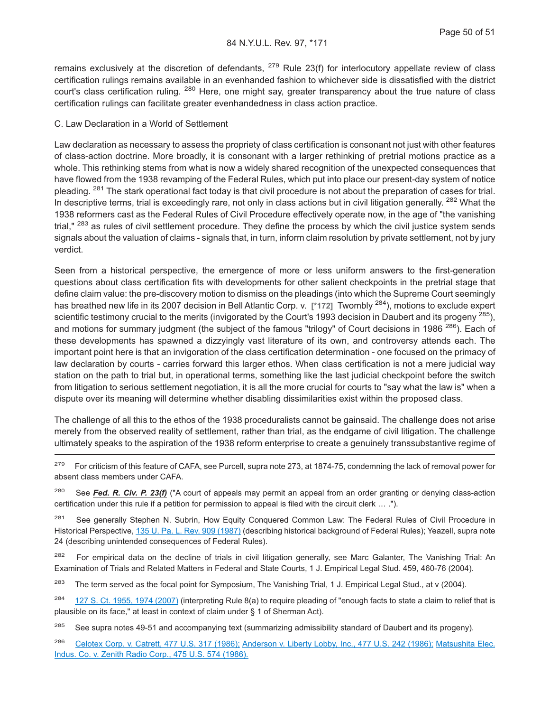remains exclusively at the discretion of defendants,  $^{279}$  Rule 23(f) for interlocutory appellate review of class certification rulings remains available in an evenhanded fashion to whichever side is dissatisfied with the district court's class certification ruling. <sup>280</sup> Here, one might say, greater transparency about the true nature of class certification rulings can facilitate greater evenhandedness in class action practice.

#### C. Law Declaration in a World of Settlement

Law declaration as necessary to assess the propriety of class certification is consonant not just with other features of class-action doctrine. More broadly, it is consonant with a larger rethinking of pretrial motions practice as a whole. This rethinking stems from what is now a widely shared recognition of the unexpected consequences that have flowed from the 1938 revamping of the Federal Rules, which put into place our present-day system of notice pleading. <sup>281</sup> The stark operational fact today is that civil procedure is not about the preparation of cases for trial. In descriptive terms, trial is exceedingly rare, not only in class actions but in civil litigation generally. <sup>282</sup> What the 1938 reformers cast as the Federal Rules of Civil Procedure effectively operate now, in the age of "the vanishing trial." <sup>283</sup> as rules of civil settlement procedure. They define the process by which the civil justice system sends signals about the valuation of claims - signals that, in turn, inform claim resolution by private settlement, not by jury verdict.

Seen from a historical perspective, the emergence of more or less uniform answers to the first-generation questions about class certification fits with developments for other salient checkpoints in the pretrial stage that define claim value: the pre-discovery motion to dismiss on the pleadings (into which the Supreme Court seemingly has breathed new life in its 2007 decision in Bell Atlantic Corp. v. **[\*172]** Twombly <sup>284</sup>), motions to exclude expert scientific testimony crucial to the merits (invigorated by the Court's 1993 decision in Daubert and its progeny <sup>285</sup>). and motions for summary judgment (the subject of the famous "trilogy" of Court decisions in 1986<sup>286</sup>). Each of these developments has spawned a dizzyingly vast literature of its own, and controversy attends each. The important point here is that an invigoration of the class certification determination - one focused on the primacy of law declaration by courts - carries forward this larger ethos. When class certification is not a mere judicial way station on the path to trial but, in operational terms, something like the last judicial checkpoint before the switch from litigation to serious settlement negotiation, it is all the more crucial for courts to "say what the law is" when a dispute over its meaning will determine whether disabling dissimilarities exist within the proposed class.

The challenge of all this to the ethos of the 1938 proceduralists cannot be gainsaid. The challenge does not arise merely from the observed reality of settlement, rather than trial, as the endgame of civil litigation. The challenge ultimately speaks to the aspiration of the 1938 reform enterprise to create a genuinely transsubstantive regime of

<sup>279</sup> For criticism of this feature of CAFA, see Purcell, supra note 273, at 1874-75, condemning the lack of removal power for absent class members under CAFA.

<sup>280</sup> See *Fed. R. Civ. P. 23(f)* ("A court of appeals may permit an appeal from an order granting or denying class-action certification under this rule if a petition for permission to appeal is filed with the circuit clerk … .").

<sup>281</sup> See generally Stephen N. Subrin, How Equity Conquered Common Law: The Federal Rules of Civil Procedure in Historical Perspective, [135 U. Pa. L. Rev. 909 \(1987\)](http://advance.lexis.com/api/document?collection=analytical-materials&id=urn:contentItem:3S0M-7SV0-00CW-70NG-00000-00&context=1000516) (describing historical background of Federal Rules); Yeazell, supra note 24 (describing unintended consequences of Federal Rules).

<sup>282</sup> For empirical data on the decline of trials in civil litigation generally, see Marc Galanter, The Vanishing Trial: An Examination of Trials and Related Matters in Federal and State Courts, 1 J. Empirical Legal Stud. 459, 460-76 (2004).

<sup>283</sup> The term served as the focal point for Symposium, The Vanishing Trial, 1 J. Empirical Legal Stud., at v (2004).

 $284$  [127 S. Ct. 1955, 1974 \(2007\)](http://advance.lexis.com/api/document?collection=cases&id=urn:contentItem:4NSN-8840-004C-002M-00000-00&context=1000516) (interpreting Rule 8(a) to require pleading of "enough facts to state a claim to relief that is plausible on its face," at least in context of claim under § 1 of Sherman Act).

<sup>285</sup> See supra notes 49-51 and accompanying text (summarizing admissibility standard of Daubert and its progeny).

<sup>286</sup> [Celotex Corp. v. Catrett, 477 U.S. 317 \(1986\);](http://advance.lexis.com/api/document?collection=cases&id=urn:contentItem:3S4X-6HC0-0039-N37R-00000-00&context=1000516) [Anderson v. Liberty Lobby, Inc., 477 U.S. 242 \(1986\);](http://advance.lexis.com/api/document?collection=cases&id=urn:contentItem:3S4X-6H80-0039-N37M-00000-00&context=1000516) [Matsushita Elec.](http://advance.lexis.com/api/document?collection=cases&id=urn:contentItem:3S4X-7P90-0039-N51W-00000-00&context=1000516) [Indus. Co. v. Zenith Radio Corp., 475 U.S. 574 \(1986\).](http://advance.lexis.com/api/document?collection=cases&id=urn:contentItem:3S4X-7P90-0039-N51W-00000-00&context=1000516)